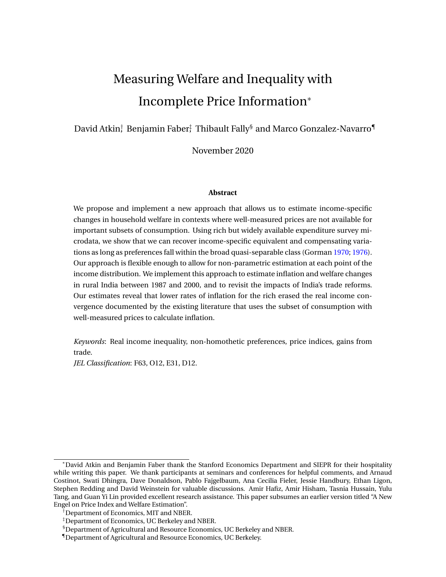# Measuring Welfare and Inequality with Incomplete Price Information<sup>∗</sup>

David Atkin $\dag$  Benjamin Faber $\ddagger$  Thibault Fally $\mathcal \$$  and Marco Gonzalez-Navarro $\P$ 

November 2020

#### **Abstract**

We propose and implement a new approach that allows us to estimate income-specific changes in household welfare in contexts where well-measured prices are not available for important subsets of consumption. Using rich but widely available expenditure survey microdata, we show that we can recover income-specific equivalent and compensating variations as long as preferences fall within the broad quasi-separable class (Gorman [1970;](#page-33-0) [1976\)](#page-33-0). Our approach is flexible enough to allow for non-parametric estimation at each point of the income distribution. We implement this approach to estimate inflation and welfare changes in rural India between 1987 and 2000, and to revisit the impacts of India's trade reforms. Our estimates reveal that lower rates of inflation for the rich erased the real income convergence documented by the existing literature that uses the subset of consumption with well-measured prices to calculate inflation.

*Keywords*: Real income inequality, non-homothetic preferences, price indices, gains from trade.

*JEL Classification*: F63, O12, E31, D12.

<sup>∗</sup>David Atkin and Benjamin Faber thank the Stanford Economics Department and SIEPR for their hospitality while writing this paper. We thank participants at seminars and conferences for helpful comments, and Arnaud Costinot, Swati Dhingra, Dave Donaldson, Pablo Fajgelbaum, Ana Cecilia Fieler, Jessie Handbury, Ethan Ligon, Stephen Redding and David Weinstein for valuable discussions. Amir Hafiz, Amir Hisham, Tasnia Hussain, Yulu Tang, and Guan Yi Lin provided excellent research assistance. This paper subsumes an earlier version titled "A New Engel on Price Index and Welfare Estimation".

 $\dagger$ Department of Economics, MIT and NBER.

<sup>‡</sup>Department of Economics, UC Berkeley and NBER.

<sup>§</sup>Department of Agricultural and Resource Economics, UC Berkeley and NBER.

<sup>¶</sup>Department of Agricultural and Resource Economics, UC Berkeley.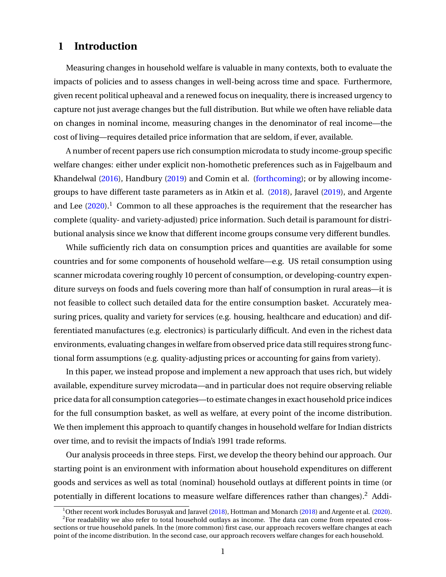# <span id="page-1-0"></span>**1 Introduction**

Measuring changes in household welfare is valuable in many contexts, both to evaluate the impacts of policies and to assess changes in well-being across time and space. Furthermore, given recent political upheaval and a renewed focus on inequality, there is increased urgency to capture not just average changes but the full distribution. But while we often have reliable data on changes in nominal income, measuring changes in the denominator of real income—the cost of living—requires detailed price information that are seldom, if ever, available.

A number of recent papers use rich consumption microdata to study income-group specific welfare changes: either under explicit non-homothetic preferences such as in Fajgelbaum and Khandelwal [\(2016\)](#page-32-0), Handbury [\(2019\)](#page-33-0) and Comin et al. [\(forthcoming\)](#page-32-0); or by allowing incomegroups to have different taste parameters as in Atkin et al. [\(2018\)](#page-32-0), Jaravel [\(2019\)](#page-33-0), and Argente and Lee  $(2020).$  $(2020).$ <sup>1</sup> Common to all these approaches is the requirement that the researcher has complete (quality- and variety-adjusted) price information. Such detail is paramount for distributional analysis since we know that different income groups consume very different bundles.

While sufficiently rich data on consumption prices and quantities are available for some countries and for some components of household welfare—e.g. US retail consumption using scanner microdata covering roughly 10 percent of consumption, or developing-country expenditure surveys on foods and fuels covering more than half of consumption in rural areas—it is not feasible to collect such detailed data for the entire consumption basket. Accurately measuring prices, quality and variety for services (e.g. housing, healthcare and education) and differentiated manufactures (e.g. electronics) is particularly difficult. And even in the richest data environments, evaluating changes in welfare from observed price data still requires strong functional form assumptions (e.g. quality-adjusting prices or accounting for gains from variety).

In this paper, we instead propose and implement a new approach that uses rich, but widely available, expenditure survey microdata—and in particular does not require observing reliable price data for all consumption categories—to estimate changes in exact household price indices for the full consumption basket, as well as welfare, at every point of the income distribution. We then implement this approach to quantify changes in household welfare for Indian districts over time, and to revisit the impacts of India's 1991 trade reforms.

Our analysis proceeds in three steps. First, we develop the theory behind our approach. Our starting point is an environment with information about household expenditures on different goods and services as well as total (nominal) household outlays at different points in time (or potentially in different locations to measure welfare differences rather than changes).<sup>2</sup> Addi-

<sup>&</sup>lt;sup>1</sup>Other recent work includes Borusyak and Jaravel [\(2018\)](#page-33-0), Hottman and Monarch (2018) and Argente et al. [\(2020\)](#page-32-0). <sup>2</sup>For readability we also refer to total household outlays as income. The data can come from repeated crosssections or true household panels. In the (more common) first case, our approach recovers welfare changes at each point of the income distribution. In the second case, our approach recovers welfare changes for each household.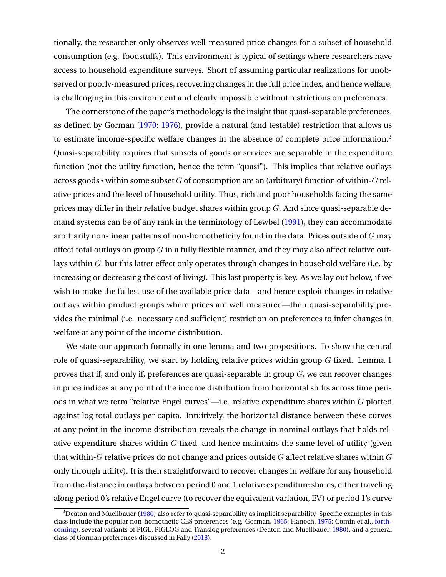tionally, the researcher only observes well-measured price changes for a subset of household consumption (e.g. foodstuffs). This environment is typical of settings where researchers have access to household expenditure surveys. Short of assuming particular realizations for unobserved or poorly-measured prices, recovering changes in the full price index, and hence welfare, is challenging in this environment and clearly impossible without restrictions on preferences.

The cornerstone of the paper's methodology is the insight that quasi-separable preferences, as defined by Gorman [\(1970;](#page-33-0) [1976\)](#page-33-0), provide a natural (and testable) restriction that allows us to estimate income-specific welfare changes in the absence of complete price information.<sup>3</sup> Quasi-separability requires that subsets of goods or services are separable in the expenditure function (not the utility function, hence the term "quasi"). This implies that relative outlays across goods i within some subset G of consumption are an (arbitrary) function of within-G relative prices and the level of household utility. Thus, rich and poor households facing the same prices may differ in their relative budget shares within group G. And since quasi-separable demand systems can be of any rank in the terminology of Lewbel [\(1991\)](#page-33-0), they can accommodate arbitrarily non-linear patterns of non-homotheticity found in the data. Prices outside of  $G$  may affect total outlays on group  $G$  in a fully flexible manner, and they may also affect relative outlays within  $G$ , but this latter effect only operates through changes in household welfare (i.e. by increasing or decreasing the cost of living). This last property is key. As we lay out below, if we wish to make the fullest use of the available price data—and hence exploit changes in relative outlays within product groups where prices are well measured—then quasi-separability provides the minimal (i.e. necessary and sufficient) restriction on preferences to infer changes in welfare at any point of the income distribution.

We state our approach formally in one lemma and two propositions. To show the central role of quasi-separability, we start by holding relative prices within group  $G$  fixed. Lemma 1 proves that if, and only if, preferences are quasi-separable in group  $G$ , we can recover changes in price indices at any point of the income distribution from horizontal shifts across time periods in what we term "relative Engel curves"—i.e. relative expenditure shares within G plotted against log total outlays per capita. Intuitively, the horizontal distance between these curves at any point in the income distribution reveals the change in nominal outlays that holds relative expenditure shares within  $G$  fixed, and hence maintains the same level of utility (given that within- $G$  relative prices do not change and prices outside  $G$  affect relative shares within  $G$ only through utility). It is then straightforward to recover changes in welfare for any household from the distance in outlays between period 0 and 1 relative expenditure shares, either traveling along period 0's relative Engel curve (to recover the equivalent variation, EV) or period 1's curve

 $3$ Deaton and Muellbauer [\(1980\)](#page-32-0) also refer to quasi-separability as implicit separability. Specific examples in this class include the popular non-homothetic CES preferences (e.g. Gorman, [1965;](#page-32-0) Hanoch, [1975;](#page-33-0) Comin et al., [forth](#page-32-0)[coming\)](#page-32-0), several variants of PIGL, PIGLOG and Translog preferences (Deaton and Muellbauer, [1980\)](#page-32-0), and a general class of Gorman preferences discussed in Fally [\(2018\)](#page-32-0).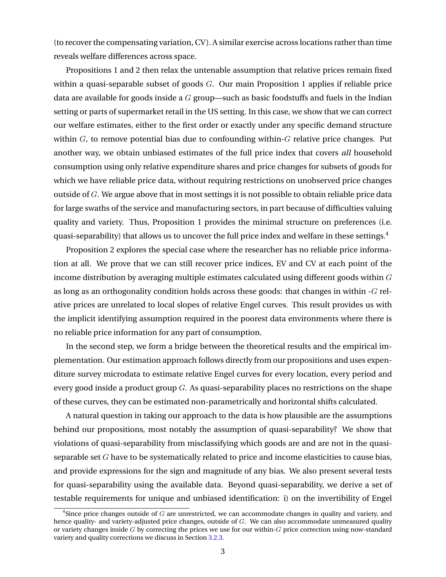(to recover the compensating variation, CV). A similar exercise across locations rather than time reveals welfare differences across space.

Propositions 1 and 2 then relax the untenable assumption that relative prices remain fixed within a quasi-separable subset of goods  $G$ . Our main Proposition 1 applies if reliable price data are available for goods inside a  $G$  group—such as basic foodstuffs and fuels in the Indian setting or parts of supermarket retail in the US setting. In this case, we show that we can correct our welfare estimates, either to the first order or exactly under any specific demand structure within  $G$ , to remove potential bias due to confounding within- $G$  relative price changes. Put another way, we obtain unbiased estimates of the full price index that covers *all* household consumption using only relative expenditure shares and price changes for subsets of goods for which we have reliable price data, without requiring restrictions on unobserved price changes outside of  $G$ . We argue above that in most settings it is not possible to obtain reliable price data for large swaths of the service and manufacturing sectors, in part because of difficulties valuing quality and variety. Thus, Proposition 1 provides the minimal structure on preferences (i.e. quasi-separability) that allows us to uncover the full price index and welfare in these settings.<sup>4</sup>

Proposition 2 explores the special case where the researcher has no reliable price information at all. We prove that we can still recover price indices, EV and CV at each point of the income distribution by averaging multiple estimates calculated using different goods within  $G$ as long as an orthogonality condition holds across these goods: that changes in within -G relative prices are unrelated to local slopes of relative Engel curves. This result provides us with the implicit identifying assumption required in the poorest data environments where there is no reliable price information for any part of consumption.

In the second step, we form a bridge between the theoretical results and the empirical implementation. Our estimation approach follows directly from our propositions and uses expenditure survey microdata to estimate relative Engel curves for every location, every period and every good inside a product group  $G$ . As quasi-separability places no restrictions on the shape of these curves, they can be estimated non-parametrically and horizontal shifts calculated.

A natural question in taking our approach to the data is how plausible are the assumptions behind our propositions, most notably the assumption of quasi-separability? We show that violations of quasi-separability from misclassifying which goods are and are not in the quasiseparable set  $G$  have to be systematically related to price and income elasticities to cause bias, and provide expressions for the sign and magnitude of any bias. We also present several tests for quasi-separability using the available data. Beyond quasi-separability, we derive a set of testable requirements for unique and unbiased identification: i) on the invertibility of Engel

 $^4$ Since price changes outside of  $G$  are unrestricted, we can accommodate changes in quality and variety, and hence quality- and variety-adjusted price changes, outside of G. We can also accommodate unmeasured quality or variety changes inside  $G$  by correcting the prices we use for our within- $G$  price correction using now-standard variety and quality corrections we discuss in Section [3.2.3.](#page-18-0)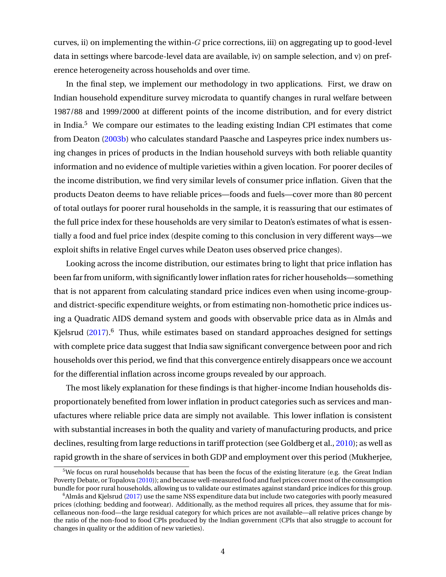curves, ii) on implementing the within- $G$  price corrections, iii) on aggregating up to good-level data in settings where barcode-level data are available, iv) on sample selection, and v) on preference heterogeneity across households and over time.

In the final step, we implement our methodology in two applications. First, we draw on Indian household expenditure survey microdata to quantify changes in rural welfare between 1987/88 and 1999/2000 at different points of the income distribution, and for every district in India.<sup>5</sup> We compare our estimates to the leading existing Indian CPI estimates that come from Deaton [\(2003b\)](#page-32-0) who calculates standard Paasche and Laspeyres price index numbers using changes in prices of products in the Indian household surveys with both reliable quantity information and no evidence of multiple varieties within a given location. For poorer deciles of the income distribution, we find very similar levels of consumer price inflation. Given that the products Deaton deems to have reliable prices—foods and fuels—cover more than 80 percent of total outlays for poorer rural households in the sample, it is reassuring that our estimates of the full price index for these households are very similar to Deaton's estimates of what is essentially a food and fuel price index (despite coming to this conclusion in very different ways—we exploit shifts in relative Engel curves while Deaton uses observed price changes).

Looking across the income distribution, our estimates bring to light that price inflation has been far from uniform, with significantly lower inflation rates for richer households—something that is not apparent from calculating standard price indices even when using income-groupand district-specific expenditure weights, or from estimating non-homothetic price indices using a Quadratic AIDS demand system and goods with observable price data as in Almås and Kielsrud  $(2017)$ .<sup>6</sup> Thus, while estimates based on standard approaches designed for settings with complete price data suggest that India saw significant convergence between poor and rich households over this period, we find that this convergence entirely disappears once we account for the differential inflation across income groups revealed by our approach.

The most likely explanation for these findings is that higher-income Indian households disproportionately benefited from lower inflation in product categories such as services and manufactures where reliable price data are simply not available. This lower inflation is consistent with substantial increases in both the quality and variety of manufacturing products, and price declines, resulting from large reductions in tariff protection (see Goldberg et al., [2010\)](#page-32-0); as well as rapid growth in the share of services in both GDP and employment over this period (Mukherjee,

 $5$ We focus on rural households because that has been the focus of the existing literature (e.g. the Great Indian Poverty Debate, or Topalova [\(2010\)](#page-33-0)); and because well-measured food and fuel prices cover most of the consumption bundle for poor rural households, allowing us to validate our estimates against standard price indices for this group.

 $6A$ lmås and Kjelsrud [\(2017\)](#page-31-0) use the same NSS expenditure data but include two categories with poorly measured prices (clothing; bedding and footwear). Additionally, as the method requires all prices, they assume that for miscellaneous non-food—the large residual category for which prices are not available—all relative prices change by the ratio of the non-food to food CPIs produced by the Indian government (CPIs that also struggle to account for changes in quality or the addition of new varieties).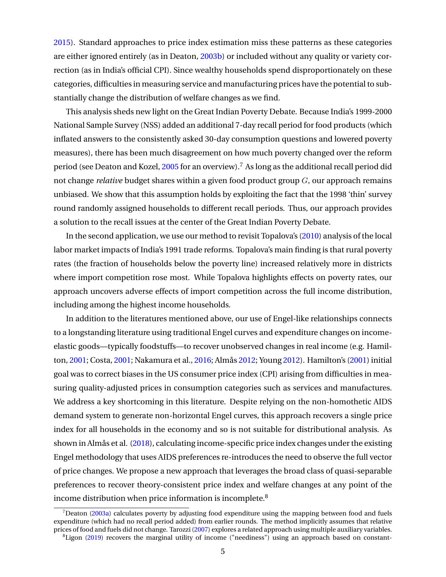[2015\)](#page-33-0). Standard approaches to price index estimation miss these patterns as these categories are either ignored entirely (as in Deaton, [2003b\)](#page-32-0) or included without any quality or variety correction (as in India's official CPI). Since wealthy households spend disproportionately on these categories, difficulties in measuring service and manufacturing prices have the potential to substantially change the distribution of welfare changes as we find.

This analysis sheds new light on the Great Indian Poverty Debate. Because India's 1999-2000 National Sample Survey (NSS) added an additional 7-day recall period for food products (which inflated answers to the consistently asked 30-day consumption questions and lowered poverty measures), there has been much disagreement on how much poverty changed over the reform period (see Deaton and Kozel,  $2005$  for an overview).<sup>7</sup> As long as the additional recall period did not change *relative* budget shares within a given food product group G, our approach remains unbiased. We show that this assumption holds by exploiting the fact that the 1998 'thin' survey round randomly assigned households to different recall periods. Thus, our approach provides a solution to the recall issues at the center of the Great Indian Poverty Debate.

In the second application, we use our method to revisit Topalova's [\(2010\)](#page-33-0) analysis of the local labor market impacts of India's 1991 trade reforms. Topalova's main finding is that rural poverty rates (the fraction of households below the poverty line) increased relatively more in districts where import competition rose most. While Topalova highlights effects on poverty rates, our approach uncovers adverse effects of import competition across the full income distribution, including among the highest income households.

In addition to the literatures mentioned above, our use of Engel-like relationships connects to a longstanding literature using traditional Engel curves and expenditure changes on incomeelastic goods—typically foodstuffs—to recover unobserved changes in real income (e.g. Hamilton, [2001;](#page-33-0) Costa, [2001;](#page-32-0) Nakamura et al., [2016;](#page-33-0) Almås [2012;](#page-31-0) Young [2012\)](#page-33-0). Hamilton's [\(2001\)](#page-33-0) initial goal was to correct biases in the US consumer price index (CPI) arising from difficulties in measuring quality-adjusted prices in consumption categories such as services and manufactures. We address a key shortcoming in this literature. Despite relying on the non-homothetic AIDS demand system to generate non-horizontal Engel curves, this approach recovers a single price index for all households in the economy and so is not suitable for distributional analysis. As shown in Almås et al. [\(2018\)](#page-31-0), calculating income-specific price index changes under the existing Engel methodology that uses AIDS preferences re-introduces the need to observe the full vector of price changes. We propose a new approach that leverages the broad class of quasi-separable preferences to recover theory-consistent price index and welfare changes at any point of the income distribution when price information is incomplete.<sup>8</sup>

 $<sup>7</sup>$ Deaton [\(2003a\)](#page-32-0) calculates poverty by adjusting food expenditure using the mapping between food and fuels</sup> expenditure (which had no recall period added) from earlier rounds. The method implicitly assumes that relative prices of food and fuels did not change. Tarozzi [\(2007\)](#page-33-0) explores a related approach using multiple auxiliary variables.  ${}^{8}$ Ligon [\(2019\)](#page-33-0) recovers the marginal utility of income ("neediness") using an approach based on constant-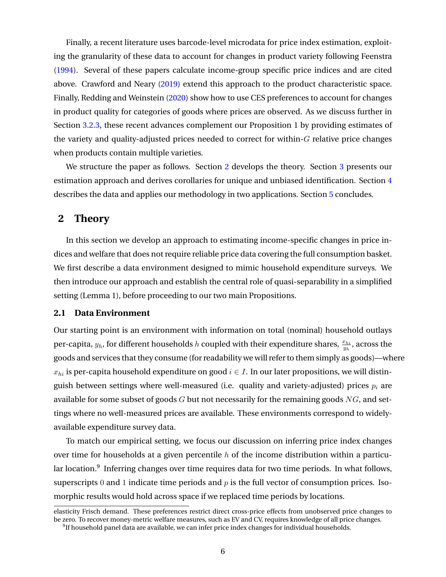<span id="page-6-0"></span>Finally, a recent literature uses barcode-level microdata for price index estimation, exploiting the granularity of these data to account for changes in product variety following Feenstra [\(1994\)](#page-32-0). Several of these papers calculate income-group specific price indices and are cited above. Crawford and Neary [\(2019\)](#page-32-0) extend this approach to the product characteristic space. Finally, Redding and Weinstein [\(2020\)](#page-33-0) show how to use CES preferences to account for changes in product quality for categories of goods where prices are observed. As we discuss further in Section [3.2.3,](#page-18-0) these recent advances complement our Proposition 1 by providing estimates of the variety and quality-adjusted prices needed to correct for within- $G$  relative price changes when products contain multiple varieties.

We structure the paper as follows. Section 2 develops the theory. Section [3](#page-13-0) presents our estimation approach and derives corollaries for unique and unbiased identification. Section [4](#page-22-0) describes the data and applies our methodology in two applications. Section [5](#page-31-0) concludes.

# **2 Theory**

In this section we develop an approach to estimating income-specific changes in price indices and welfare that does not require reliable price data covering the full consumption basket. We first describe a data environment designed to mimic household expenditure surveys. We then introduce our approach and establish the central role of quasi-separability in a simplified setting (Lemma 1), before proceeding to our two main Propositions.

# **2.1 Data Environment**

Our starting point is an environment with information on total (nominal) household outlays per-capita,  $y_h$ , for different households  $h$  coupled with their expenditure shares,  $\frac{x_{hi}}{y_h},$  across the goods and services that they consume (for readability we will refer to them simply as goods)—where  $x_{hi}$  is per-capita household expenditure on good  $i \in I$ . In our later propositions, we will distinguish between settings where well-measured (i.e. quality and variety-adjusted) prices  $p_i$  are available for some subset of goods  $G$  but not necessarily for the remaining goods  $NG$ , and settings where no well-measured prices are available. These environments correspond to widelyavailable expenditure survey data.

To match our empirical setting, we focus our discussion on inferring price index changes over time for households at a given percentile  $h$  of the income distribution within a particular location.<sup>9</sup> Inferring changes over time requires data for two time periods. In what follows, superscripts 0 and 1 indicate time periods and  $p$  is the full vector of consumption prices. Isomorphic results would hold across space if we replaced time periods by locations.

elasticity Frisch demand. These preferences restrict direct cross-price effects from unobserved price changes to be zero. To recover money-metric welfare measures, such as EV and CV, requires knowledge of all price changes.

 $^9$ If household panel data are available, we can infer price index changes for individual households.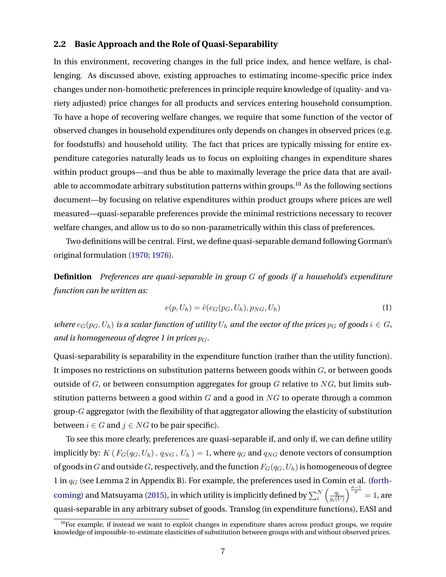# <span id="page-7-0"></span>**2.2 Basic Approach and the Role of Quasi-Separability**

In this environment, recovering changes in the full price index, and hence welfare, is challenging. As discussed above, existing approaches to estimating income-specific price index changes under non-homothetic preferences in principle require knowledge of (quality- and variety adjusted) price changes for all products and services entering household consumption. To have a hope of recovering welfare changes, we require that some function of the vector of observed changes in household expenditures only depends on changes in observed prices (e.g. for foodstuffs) and household utility. The fact that prices are typically missing for entire expenditure categories naturally leads us to focus on exploiting changes in expenditure shares within product groups—and thus be able to maximally leverage the price data that are available to accommodate arbitrary substitution patterns within groups.<sup>10</sup> As the following sections document—by focusing on relative expenditures within product groups where prices are well measured—quasi-separable preferences provide the minimal restrictions necessary to recover welfare changes, and allow us to do so non-parametrically within this class of preferences.

Two definitions will be central. First, we define quasi-separable demand following Gorman's original formulation [\(1970;](#page-33-0) [1976\)](#page-33-0).

**Definition** *Preferences are quasi-separable in group* G *of goods if a household's expenditure function can be written as:*

$$
e(p, U_h) = \tilde{e}(e_G(p_G, U_h), p_{NG}, U_h)
$$
\n(1)

*where*  $e_G(p_G, U_h)$  *is a scalar function of utility*  $U_h$  *and the vector of the prices*  $p_G$  *of goods*  $i \in G$ *, and is homogeneous of degree 1 in prices*  $p_G$ *.* 

Quasi-separability is separability in the expenditure function (rather than the utility function). It imposes no restrictions on substitution patterns between goods within  $G$ , or between goods outside of  $G$ , or between consumption aggregates for group  $G$  relative to  $NG$ , but limits substitution patterns between a good within  $G$  and a good in  $NG$  to operate through a common group-G aggregator (with the flexibility of that aggregator allowing the elasticity of substitution between  $i \in G$  and  $j \in NG$  to be pair specific).

To see this more clearly, preferences are quasi-separable if, and only if, we can define utility implicitly by: K ( $F_G(q_G, U_h)$ ,  $q_{NG}$ ,  $U_h$ ) = 1, where  $q_G$  and  $q_{NG}$  denote vectors of consumption of goods in G and outside G, respectively, and the function  $F_G(q_G, U_h)$  is homogeneous of degree 1 in  $q_G$  (see Lemma 2 in Appendix B). For example, the preferences used in Comin et al. [\(forth](#page-32-0)[coming\)](#page-32-0) and Matsuyama [\(2015\)](#page-33-0), in which utility is implicitly defined by  $\sum_i^N \left(\frac{q_i}{q_i(l)}\right)$  $g_i(U)$  $\int_{0}^{\frac{\sigma-1}{\sigma}}$  = 1, are quasi-separable in any arbitrary subset of goods. Translog (in expenditure functions), EASI and

<sup>&</sup>lt;sup>10</sup>For example, if instead we want to exploit changes in expenditure shares across product groups, we require knowledge of impossible-to-estimate elasticities of substitution between groups with and without observed prices.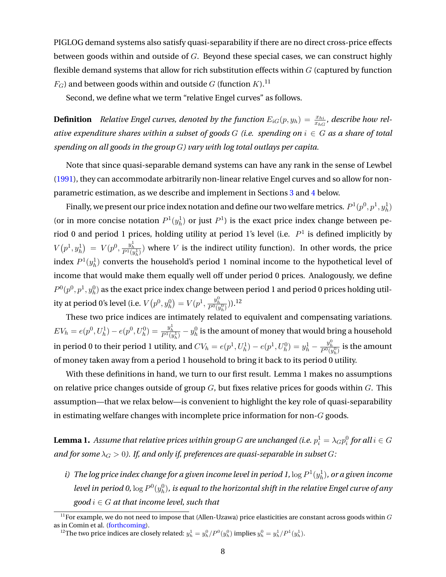PIGLOG demand systems also satisfy quasi-separability if there are no direct cross-price effects between goods within and outside of  $G$ . Beyond these special cases, we can construct highly flexible demand systems that allow for rich substitution effects within  $G$  (captured by function  $F_G$ ) and between goods within and outside G (function K).<sup>11</sup>

Second, we define what we term "relative Engel curves" as follows.

**Definition** Relative Engel curves, denoted by the function  $E_{iG}(p, y_h) = \frac{x_{hi}}{x_{hG}}$ , describe how rel*ative expenditure shares within a subset of goods* G *(i.e. spending on* i ∈ G *as a share of total spending on all goods in the group* G*) vary with log total outlays per capita.*

Note that since quasi-separable demand systems can have any rank in the sense of Lewbel [\(1991\)](#page-33-0), they can accommodate arbitrarily non-linear relative Engel curves and so allow for nonparametric estimation, as we describe and implement in Sections [3](#page-13-0) and [4](#page-22-0) below.

Finally, we present our price index notation and define our two welfare metrics.  $P^1(p^0, p^1, y^1_h)$ (or in more concise notation  $P^1(y_h^1)$  or just  $P^1$ ) is the exact price index change between period 0 and period 1 prices, holding utility at period 1's level (i.e.  $P<sup>1</sup>$  is defined implicitly by  $V(p^1, y^1_h) = V(p^0, \frac{y^1_h}{P^1(y^1_h)})$  where V is the indirect utility function). In other words, the price index  $P^1(y_h^1)$  converts the household's period 1 nominal income to the hypothetical level of income that would make them equally well off under period 0 prices. Analogously, we define  $P^0(p^0,p^1,y^0_h)$  as the exact price index change between period  $1$  and period  $0$  prices holding utility at period 0's level (i.e.  $V\big(p^0, y^0_h\big) = V\big(p^1, \frac{y^0_h}{P^0(y^0_h)}\big)).$ <sup>12</sup>

These two price indices are intimately related to equivalent and compensating variations.  $EV_h=e(p^0,U_h^1)-e(p^0,U_h^0)=\frac{y_h^1}{P^1(y_h^1)}-y_h^0$  is the amount of money that would bring a household in period 0 to their period 1 utility, and  $CV_h=e(p^1,U_h^1)-e(p^1,U_h^0)=y_h^1-\frac{y_h^0}{P^0(y_h^0)}$  is the amount of money taken away from a period 1 household to bring it back to its period 0 utility.

With these definitions in hand, we turn to our first result. Lemma 1 makes no assumptions on relative price changes outside of group  $G$ , but fixes relative prices for goods within  $G$ . This assumption—that we relax below—is convenient to highlight the key role of quasi-separability in estimating welfare changes with incomplete price information for non- $G$  goods.

 ${\bf Lemma~1.}$  Assume that relative prices within group  $G$  are unchanged (i.e.  $p_i^1 = \lambda_G p_i^0$  for all  $i \in G$ *and for some*  $\lambda_G > 0$ . If, and only if, preferences are quasi-separable in subset G:

i) The log price index change for a given income level in period 1,  $\log P^1(y^1_h)$ , or a given income level in period 0,  $\log P^0(y^0_h)$ , is equal to the horizontal shift in the relative Engel curve of any  $\textit{good } i \in G$  *at that income level, such that* 

<sup>&</sup>lt;sup>11</sup>For example, we do not need to impose that (Allen-Uzawa) price elasticities are constant across goods within  $G$ as in Comin et al. [\(forthcoming\)](#page-32-0).

 $^{12}$ The two price indices are closely related:  $y_h^1 = y_h^0/P^0(y_h^0)$  implies  $y_h^0 = y_h^1/P^1(y_h^1)$ .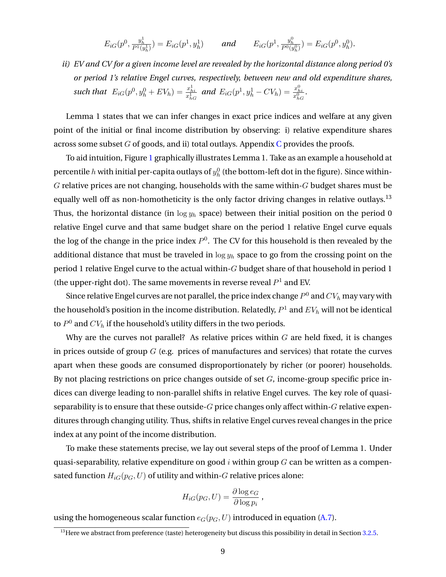$$
E_{iG}(p^{0}, \frac{y_{h}^{1}}{P^{1}(y_{h}^{1})}) = E_{iG}(p^{1}, y_{h}^{1}) \quad \text{and} \quad E_{iG}(p^{1}, \frac{y_{h}^{0}}{P^{0}(y_{h}^{0})}) = E_{iG}(p^{0}, y_{h}^{0}).
$$

*ii) EV and CV for a given income level are revealed by the horizontal distance along period 0's or period 1's relative Engel curves, respectively, between new and old expenditure shares,* such that  $E_{iG}(p^0, y_h^0 + EV_h) = \frac{x_{hi}^1}{x_{hG}^1}$  and  $E_{iG}(p^1, y_h^1 - CV_h) = \frac{x_{hi}^0}{x_{hG}^0}$ .

Lemma 1 states that we can infer changes in exact price indices and welfare at any given point of the initial or final income distribution by observing: i) relative expenditure shares across some subset  $G$  of goods, and ii) total outlays. Appendix  $C$  provides the proofs.

To aid intuition, Figure [1](#page-34-0) graphically illustrates Lemma 1. Take as an example a household at percentile  $h$  with initial per-capita outlays of  $y_h^0$  (the bottom-left dot in the figure). Since within- $G$  relative prices are not changing, households with the same within- $G$  budget shares must be equally well off as non-homotheticity is the only factor driving changes in relative outlays.<sup>13</sup> Thus, the horizontal distance (in  $\log y_h$  space) between their initial position on the period 0 relative Engel curve and that same budget share on the period 1 relative Engel curve equals the log of the change in the price index  $P^0$ . The CV for this household is then revealed by the additional distance that must be traveled in  $\log y_h$  space to go from the crossing point on the period 1 relative Engel curve to the actual within-G budget share of that household in period 1 (the upper-right dot). The same movements in reverse reveal  $P<sup>1</sup>$  and EV.

Since relative Engel curves are not parallel, the price index change  $P^0$  and  $CV_h$  may vary with the household's position in the income distribution. Relatedly,  $P^1$  and  $EV_{h}$  will not be identical to  $P^0$  and  $CV_h$  if the household's utility differs in the two periods.

Why are the curves not parallel? As relative prices within  $G$  are held fixed, it is changes in prices outside of group  $G$  (e.g. prices of manufactures and services) that rotate the curves apart when these goods are consumed disproportionately by richer (or poorer) households. By not placing restrictions on price changes outside of set  $G$ , income-group specific price indices can diverge leading to non-parallel shifts in relative Engel curves. The key role of quasiseparability is to ensure that these outside- $G$  price changes only affect within- $G$  relative expenditures through changing utility. Thus, shifts in relative Engel curves reveal changes in the price index at any point of the income distribution.

To make these statements precise, we lay out several steps of the proof of Lemma 1. Under quasi-separability, relative expenditure on good  $i$  within group  $G$  can be written as a compensated function  $H_{iG}(p_G, U)$  of utility and within-G relative prices alone:

$$
H_{iG}(p_G, U) = \frac{\partial \log e_G}{\partial \log p_i},
$$

using the homogeneous scalar function  $e_G(p_G, U)$  introduced in equation [\(A.7\)](#page-64-0).

 $\frac{13}{13}$  Here we abstract from preference (taste) heterogeneity but discuss this possibility in detail in Section [3.2.5.](#page-21-0)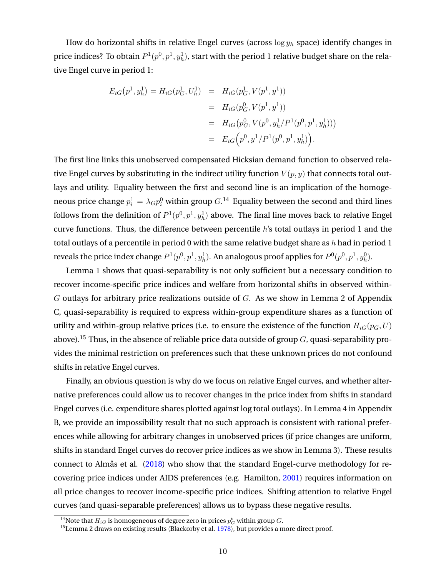How do horizontal shifts in relative Engel curves (across  $\log y_h$  space) identify changes in price indices? To obtain  $P^1(p^0,p^1,y^1_h)$ , start with the period  $1$  relative budget share on the relative Engel curve in period 1:

$$
E_{iG}(p^{1}, y_{h}^{1}) = H_{iG}(p_{G}^{1}, U_{h}^{1}) = H_{iG}(p_{G}^{1}, V(p^{1}, y^{1}))
$$
  
=  $H_{iG}(p_{G}^{0}, V(p^{1}, y^{1}))$   
=  $H_{iG}(p_{G}^{0}, V(p^{0}, y_{h}^{1}/P^{1}(p^{0}, p^{1}, y_{h}^{1})))$   
=  $E_{iG}(p^{0}, y^{1}/P^{1}(p^{0}, p^{1}, y_{h}^{1}))$ .

The first line links this unobserved compensated Hicksian demand function to observed relative Engel curves by substituting in the indirect utility function  $V(p, y)$  that connects total outlays and utility. Equality between the first and second line is an implication of the homogeneous price change  $p_i^1 = \lambda_G p_i^0$  within group  $G.^{14}$  Equality between the second and third lines follows from the definition of  $P^1({p^0},p^1,y^1_h)$  above. The final line moves back to relative Engel curve functions. Thus, the difference between percentile h's total outlays in period 1 and the total outlays of a percentile in period 0 with the same relative budget share as h had in period 1 reveals the price index change  $P^1(p^0,p^1,y^1_h)$ . An analogous proof applies for  $P^0(p^0,p^1,y^0_h)$ .

Lemma 1 shows that quasi-separability is not only sufficient but a necessary condition to recover income-specific price indices and welfare from horizontal shifts in observed within- $G$  outlays for arbitrary price realizations outside of  $G$ . As we show in Lemma 2 of Appendix C, quasi-separability is required to express within-group expenditure shares as a function of utility and within-group relative prices (i.e. to ensure the existence of the function  $H_{iG}(p_G, U)$ ) above).<sup>15</sup> Thus, in the absence of reliable price data outside of group  $G$ , quasi-separability provides the minimal restriction on preferences such that these unknown prices do not confound shifts in relative Engel curves.

Finally, an obvious question is why do we focus on relative Engel curves, and whether alternative preferences could allow us to recover changes in the price index from shifts in standard Engel curves (i.e. expenditure shares plotted against log total outlays). In Lemma 4 in Appendix B, we provide an impossibility result that no such approach is consistent with rational preferences while allowing for arbitrary changes in unobserved prices (if price changes are uniform, shifts in standard Engel curves do recover price indices as we show in Lemma 3). These results connect to Almås et al. [\(2018\)](#page-31-0) who show that the standard Engel-curve methodology for recovering price indices under AIDS preferences (e.g. Hamilton, [2001\)](#page-33-0) requires information on all price changes to recover income-specific price indices. Shifting attention to relative Engel curves (and quasi-separable preferences) allows us to bypass these negative results.

 $^{14}$ Note that  $H_{iG}$  is homogeneous of degree zero in prices  $p^t_G$  within group  $G.$ 

<sup>&</sup>lt;sup>15</sup>Lemma 2 draws on existing results (Blackorby et al. [1978\)](#page-32-0), but provides a more direct proof.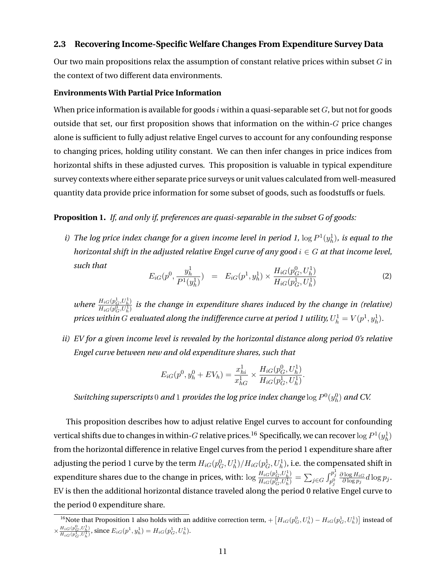# <span id="page-11-0"></span>**2.3 Recovering Income-Specific Welfare Changes From Expenditure Survey Data**

Our two main propositions relax the assumption of constant relative prices within subset  $G$  in the context of two different data environments.

### **Environments With Partial Price Information**

When price information is available for goods i within a quasi-separable set  $G$ , but not for goods outside that set, our first proposition shows that information on the within- $G$  price changes alone is sufficient to fully adjust relative Engel curves to account for any confounding response to changing prices, holding utility constant. We can then infer changes in price indices from horizontal shifts in these adjusted curves. This proposition is valuable in typical expenditure survey contexts where either separate price surveys or unit values calculated from well-measured quantity data provide price information for some subset of goods, such as foodstuffs or fuels.

## **Proposition 1.** *If, and only if, preferences are quasi-separable in the subset G of goods:*

*i)* The log price index change for a given income level in period 1,  $\log P^1(y^1_h)$ , is equal to the *horizontal shift in the adjusted relative Engel curve of any good*  $i \in G$  *at that income level, such that* 1  $\boldsymbol{0}$ 

$$
E_{iG}(p^0, \frac{y_h^1}{P^1(y_h^1)}) = E_{iG}(p^1, y_h^1) \times \frac{H_{iG}(p_G^0, U_h^1)}{H_{iG}(p_G^1, U_h^1)}
$$
(2)

*where*  $\frac{H_{iG}(p_G^1, U_h^1)}{H_{iG}(p_0^0, U_1^1)}$  $\frac{H_{iG}(p_{G},U_{h})}{H_{iG}(p_{G}^{0},U_{h}^{1})}$  is the change in expenditure shares induced by the change in (relative) prices within  $G$  evaluated along the indifference curve at period 1 utility,  $U^1_h=V(p^1,y^1_h).$ 

*ii) EV for a given income level is revealed by the horizontal distance along period 0's relative Engel curve between new and old expenditure shares, such that*

$$
E_{iG}(p^{0}, y_{h}^{0} + EV_{h}) = \frac{x_{hi}^{1}}{x_{hG}^{1}} \times \frac{H_{iG}(p_{G}^{0}, U_{h}^{1})}{H_{iG}(p_{G}^{1}, U_{h}^{1})}.
$$

Switching superscripts  $0$  and  $1$  provides the log price index change  $\log P^0(y^0_h)$  and CV.

This proposition describes how to adjust relative Engel curves to account for confounding vertical shifts due to changes in within- $G$  relative prices.  $^{16}$  Specifically, we can recover  $\log P^1(y^1_h)$ from the horizontal difference in relative Engel curves from the period 1 expenditure share after adjusting the period 1 curve by the term  $H_{iG}(p^0_G,U^1_h)/H_{iG}(p^1_G,U^1_h)$ , i.e. the compensated shift in expenditure shares due to the change in prices, with:  $\log \frac{H_{iG}(p_G^1,U_h^1)}{H_{iG}(p_G^0,U_h^1)}$  $\frac{H_{iG}(p_{G}^{1},U_{h}^{1})}{H_{iG}(p_{G}^{0},U_{h}^{1})} = \sum_{j \in G} \int_{p_{j}^{0}}^{p_{j}^{1}}$  $\partial \log H_{iG}$  $\frac{\log H_{iG}}{\partial \log p_j}d\log p_j$ . EV is then the additional horizontal distance traveled along the period 0 relative Engel curve to the period 0 expenditure share.

 $^{16}$ Note that Proposition 1 also holds with an additive correction term,  $+\left[H_{iG}(p_{G}^0,U^1_h)-H_{iG}(p_{G}^1,U^1_h)\right]$  instead of  $\times \frac{H_{iG}(p_G^0, U_h^1)}{H_{iG}(1, U_1^1)}$  $\frac{H_{iG}(p_G^{\alpha}, U_h^1)}{H_{iG}(p_G^1, U_h^1)}$ , since  $E_{iG}(p^1, y_h^1) = H_{iG}(p_G^1, U_h^1)$ .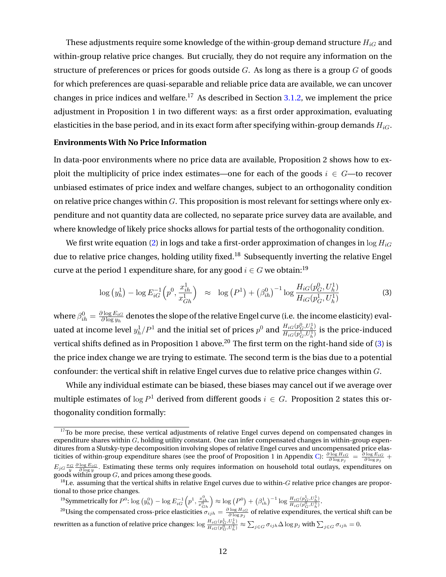<span id="page-12-0"></span>These adjustments require some knowledge of the within-group demand structure  $H_{iG}$  and within-group relative price changes. But crucially, they do not require any information on the structure of preferences or prices for goods outside  $G$ . As long as there is a group  $G$  of goods for which preferences are quasi-separable and reliable price data are available, we can uncover changes in price indices and welfare.<sup>17</sup> As described in Section [3.1.2,](#page-15-0) we implement the price adjustment in Proposition 1 in two different ways: as a first order approximation, evaluating elasticities in the base period, and in its exact form after specifying within-group demands  $H_{iG}$ .

#### **Environments With No Price Information**

In data-poor environments where no price data are available, Proposition 2 shows how to exploit the multiplicity of price index estimates—one for each of the goods  $i \in G$ —to recover unbiased estimates of price index and welfare changes, subject to an orthogonality condition on relative price changes within  $G$ . This proposition is most relevant for settings where only expenditure and not quantity data are collected, no separate price survey data are available, and where knowledge of likely price shocks allows for partial tests of the orthogonality condition.

We first write equation [\(2\)](#page-11-0) in logs and take a first-order approximation of changes in  $\log H_{iG}$ due to relative price changes, holding utility fixed.<sup>18</sup> Subsequently inverting the relative Engel curve at the period 1 expenditure share, for any good  $i \in G$  we obtain:<sup>19</sup>

$$
\log\left(y_h^1\right) - \log E_{iG}^{-1}\left(p^0, \frac{x_{ih}^1}{x_{Gh}^1}\right) \approx \log\left(P^1\right) + \left(\beta_{ih}^0\right)^{-1} \log \frac{H_{iG}(p_G^0, U_h^1)}{H_{iG}(p_G^1, U_h^1)}
$$
(3)

where  $\beta_{ih}^0 = \frac{\partial \log E_{iG}}{\partial \log y_h}$  $\frac{\partial \log E_{iG}}{\partial \log y_h}$  denotes the slope of the relative Engel curve (i.e. the income elasticity) evaluated at income level  $y_h^1/P^1$  and the initial set of prices  $p^0$  and  $\frac{H_{iG}(p^0_G,U^1_h)}{H_{iG}(p^1_G,U^1_h)}$  $\frac{H_{iG}(p_{G}^{\dagger},U_{h}^{\dagger})}{H_{iG}(p_{G}^{\dagger},U_{h}^{\dagger})}$  is the price-induced vertical shifts defined as in Proposition 1 above.<sup>20</sup> The first term on the right-hand side of (3) is the price index change we are trying to estimate. The second term is the bias due to a potential confounder: the vertical shift in relative Engel curves due to relative price changes within G.

While any individual estimate can be biased, these biases may cancel out if we average over multiple estimates of  $\log P^1$  derived from different goods  $i \in G$ . Proposition 2 states this orthogonality condition formally:

<sup>19</sup>Symmetrically for  $P^0$ :  $\log (y_h^0) - \log E^{-1}_{iG} \left( p^1, \frac{x_{ih}^0}{x_{Gh}^0} \right)$  $\left(\sum_{i=1}^{\infty} \frac{p_i^2}{(p_i^0)^2 + \left(\beta_{ih}^1\right)^{-1} \log \frac{H_{iG}(p_G^1, U_h^1)}{H_{iG}(p_G^0, U_h^1)}}\right)$  $\frac{H_{iG}(p_G, U_h)}{H_{iG}(p_G^0, U_h^1)}$ .

<sup>20</sup>Using the compensated cross-price elasticities  $\sigma_{ijk} = \frac{\partial \log H_{iG}}{\partial \log p_j}$  of relative expenditures, the vertical shift can be rewritten as a function of relative price changes:  $\log \frac{H_{iG}(p_G^1,U_h^1)}{H_{iG}(p_G^0,U_h^1)}$ 1  $\frac{n_{iG}(p_G, o_h)}{n_{iG}(p_G^0, U_h^1)} \approx \sum_{j \in G} \sigma_{ijh} \Delta \log p_j$  with  $\sum_{j \in G} \sigma_{ijh} = 0$ .

 $17$ To be more precise, these vertical adjustments of relative Engel curves depend on compensated changes in expenditure shares within  $G$ , holding utility constant. One can infer compensated changes in within-group expenditures from a Slutsky-type decomposition involving slopes of relative Engel curves and uncompensated price elas-ticities of within-group expenditure shares (see the proof of Proposition 1 in Appendix [C\)](#page-58-0):  $\frac{\partial \log H_{iG}}{\partial \log p_j} = \frac{\partial \log E_{iG}}{\partial \log p_j} +$  $E_{jG}\frac{x_G}{y}\frac{\partial \log E_{iG}}{\partial \log y}$ . Estimating these terms only requires information on household total outlays, expenditures on goods within group  $G$ , and prices among these goods.

 $18$ I.e. assuming that the vertical shifts in relative Engel curves due to within-G relative price changes are proportional to those price changes.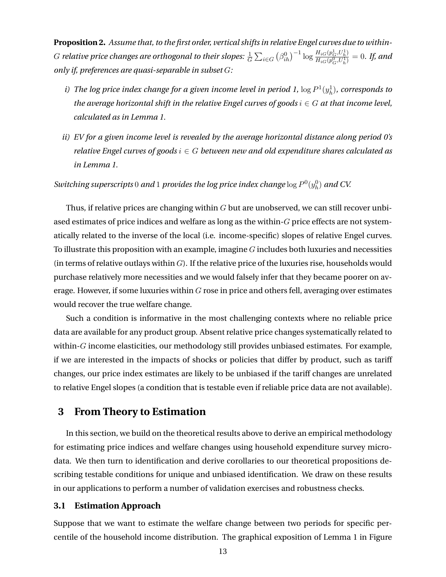<span id="page-13-0"></span>**Proposition 2.** *Assume that, to the first order, vertical shifts in relative Engel curves due to within-*G relative price changes are orthogonal to their slopes:  $\frac{1}{G}\sum_{i\in G}\left(\beta_{ih}^0\right)^{-1}\log\frac{H_{iG}(p_G^1,U_h^1)}{H_{iG}(p_G^0,U_h^1)}$  $\frac{H_{iG}(p_{G}^{0},U_{h}^{1})}{H_{iG}(p_{G}^{0},U_{h}^{1})}=0.$  If, and *only if, preferences are quasi-separable in subset* G*:*

- i) The log price index change for a given income level in period 1,  $\log P^1(y^1_h)$ , corresponds to *the average horizontal shift in the relative Engel curves of goods*  $i \in G$  *at that income level, calculated as in Lemma 1.*
- *ii) EV for a given income level is revealed by the average horizontal distance along period 0's relative Engel curves of goods* i ∈ G *between new and old expenditure shares calculated as in Lemma 1.*

Switching superscripts  $0$  and  $1$  provides the log price index change  $\log P^0(y^0_h)$  and CV.

Thus, if relative prices are changing within  $G$  but are unobserved, we can still recover unbiased estimates of price indices and welfare as long as the within-G price effects are not systematically related to the inverse of the local (i.e. income-specific) slopes of relative Engel curves. To illustrate this proposition with an example, imagine  $G$  includes both luxuries and necessities (in terms of relative outlays within  $G$ ). If the relative price of the luxuries rise, households would purchase relatively more necessities and we would falsely infer that they became poorer on average. However, if some luxuries within  $G$  rose in price and others fell, averaging over estimates would recover the true welfare change.

Such a condition is informative in the most challenging contexts where no reliable price data are available for any product group. Absent relative price changes systematically related to within- $G$  income elasticities, our methodology still provides unbiased estimates. For example, if we are interested in the impacts of shocks or policies that differ by product, such as tariff changes, our price index estimates are likely to be unbiased if the tariff changes are unrelated to relative Engel slopes (a condition that is testable even if reliable price data are not available).

# **3 From Theory to Estimation**

In this section, we build on the theoretical results above to derive an empirical methodology for estimating price indices and welfare changes using household expenditure survey microdata. We then turn to identification and derive corollaries to our theoretical propositions describing testable conditions for unique and unbiased identification. We draw on these results in our applications to perform a number of validation exercises and robustness checks.

#### **3.1 Estimation Approach**

Suppose that we want to estimate the welfare change between two periods for specific percentile of the household income distribution. The graphical exposition of Lemma 1 in Figure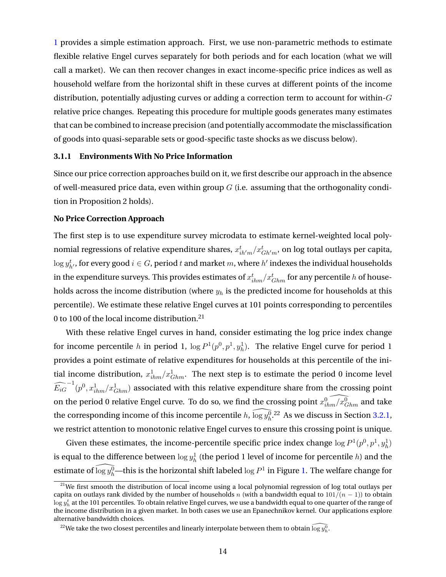<span id="page-14-0"></span>[1](#page-34-0) provides a simple estimation approach. First, we use non-parametric methods to estimate flexible relative Engel curves separately for both periods and for each location (what we will call a market). We can then recover changes in exact income-specific price indices as well as household welfare from the horizontal shift in these curves at different points of the income distribution, potentially adjusting curves or adding a correction term to account for within- $G$ relative price changes. Repeating this procedure for multiple goods generates many estimates that can be combined to increase precision (and potentially accommodate the misclassification of goods into quasi-separable sets or good-specific taste shocks as we discuss below).

#### **3.1.1 Environments With No Price Information**

Since our price correction approaches build on it, we first describe our approach in the absence of well-measured price data, even within group  $G$  (i.e. assuming that the orthogonality condition in Proposition 2 holds).

#### **No Price Correction Approach**

The first step is to use expenditure survey microdata to estimate kernel-weighted local polynomial regressions of relative expenditure shares,  $x_{ih'm}^t/x_{Gh'm}^t,$  on log total outlays per capita,  $\log y_{h'}^t$ , for every good  $i \in G$ , period  $t$  and market  $m$ , where  $h'$  indexes the individual households in the expenditure surveys. This provides estimates of  $x_{ihm}^t/x_{Ghm}^t$  for any percentile  $h$  of households across the income distribution (where  $y_h$  is the predicted income for households at this percentile). We estimate these relative Engel curves at 101 points corresponding to percentiles 0 to 100 of the local income distribution.<sup>21</sup>

With these relative Engel curves in hand, consider estimating the log price index change for income percentile h in period 1,  $\log P^1(p^0, p^1, y^1_h)$ . The relative Engel curve for period 1 provides a point estimate of relative expenditures for households at this percentile of the initial income distribution,  $x_{ihm}^1/x_{Chm}^1$ . The next step is to estimate the period 0 income level  $\widehat{E_{iG}}^{-1}(p^0,x^1_{ihm}/x^1_{Ghm})$  associated with this relative expenditure share from the crossing point on the period 0 relative Engel curve. To do so, we find the crossing point  $\widehat{x_{ihm}^0/x^0_{Ghm}}$  and take the corresponding income of this income percentile  $h$ ,  $\widehat{\log y^0_h}$ .<sup>22</sup> As we discuss in Section [3.2.1,](#page-16-0) we restrict attention to monotonic relative Engel curves to ensure this crossing point is unique.

Given these estimates, the income-percentile specific price index change  $\log P^1(p^0, p^1, y_h^1)$ is equal to the difference between  $\log y^1_h$  (the period 1 level of income for percentile  $h$ ) and the estimate of  $\widehat{\log y^0_h}$ —this is the horizontal shift labeled  $\log P^1$  in Figure [1.](#page-34-0) The welfare change for

<sup>&</sup>lt;sup>21</sup>We first smooth the distribution of local income using a local polynomial regression of log total outlays per capita on outlays rank divided by the number of households n (with a bandwidth equal to  $101/(n-1)$ ) to obtain  $\log y_h^t$  at the 101 percentiles. To obtain relative Engel curves, we use a bandwidth equal to one quarter of the range of the income distribution in a given market. In both cases we use an Epanechnikov kernel. Our applications explore alternative bandwidth choices.

 $^{22}$ We take the two closest percentiles and linearly interpolate between them to obtain  $\widehat{\log y^0_h}.$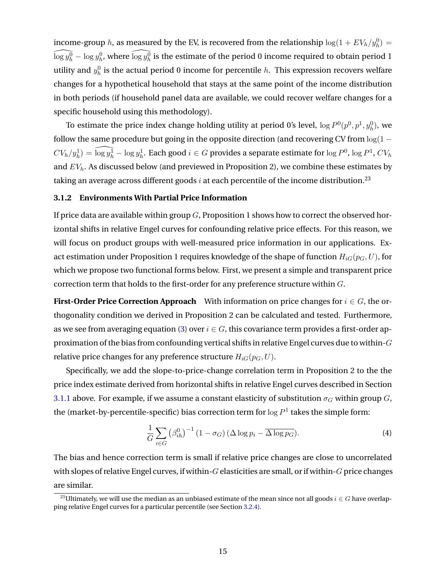<span id="page-15-0"></span>income-group h, as measured by the EV, is recovered from the relationship  $\log(1+EV_h/y_h^0) =$  $\widehat{\log y^0_h} - \log y^0_h$ , where  $\widehat{\log y^0_h}$  is the estimate of the period 0 income required to obtain period 1 utility and  $y_h^0$  is the actual period 0 income for percentile h. This expression recovers welfare changes for a hypothetical household that stays at the same point of the income distribution in both periods (if household panel data are available, we could recover welfare changes for a specific household using this methodology).

To estimate the price index change holding utility at period 0's level,  $\log P^0(p^0, p^1, y^0_h)$ , we follow the same procedure but going in the opposite direction (and recovering CV from  $log(1 CV_h/y_h^1)=\widehat{\log y_h^1}-\log y_h^1.$  Each good  $i\in G$  provides a separate estimate for  $\log P^0,$   $\log P^1$ ,  $CV_h$ and  $EV<sub>h</sub>$ . As discussed below (and previewed in Proposition 2), we combine these estimates by taking an average across different goods  $i$  at each percentile of the income distribution.<sup>23</sup>

#### **3.1.2 Environments With Partial Price Information**

If price data are available within group  $G$ , Proposition 1 shows how to correct the observed horizontal shifts in relative Engel curves for confounding relative price effects. For this reason, we will focus on product groups with well-measured price information in our applications. Exact estimation under Proposition 1 requires knowledge of the shape of function  $H_{iG}(p_G, U)$ , for which we propose two functional forms below. First, we present a simple and transparent price correction term that holds to the first-order for any preference structure within G.

**First-Order Price Correction Approach** With information on price changes for  $i \in G$ , the orthogonality condition we derived in Proposition 2 can be calculated and tested. Furthermore, as we see from averaging equation [\(3\)](#page-12-0) over  $i \in G$ , this covariance term provides a first-order approximation of the bias from confounding vertical shifts in relative Engel curves due to within-G relative price changes for any preference structure  $H_{iG}(p_G, U)$ .

Specifically, we add the slope-to-price-change correlation term in Proposition 2 to the the price index estimate derived from horizontal shifts in relative Engel curves described in Section [3.1.1](#page-14-0) above. For example, if we assume a constant elasticity of substitution  $\sigma_G$  within group G, the (market-by-percentile-specific) bias correction term for  $\log P^1$  takes the simple form:

$$
\frac{1}{G} \sum_{i \in G} \left( \beta_{ih}^0 \right)^{-1} \left( 1 - \sigma_G \right) \left( \Delta \log p_i - \overline{\Delta \log p_G} \right). \tag{4}
$$

The bias and hence correction term is small if relative price changes are close to uncorrelated with slopes of relative Engel curves, if within- $G$  elasticities are small, or if within- $G$  price changes are similar.

<sup>&</sup>lt;sup>23</sup>Ultimately, we will use the median as an unbiased estimate of the mean since not all goods  $i \in G$  have overlapping relative Engel curves for a particular percentile (see Section [3.2.4\)](#page-20-0).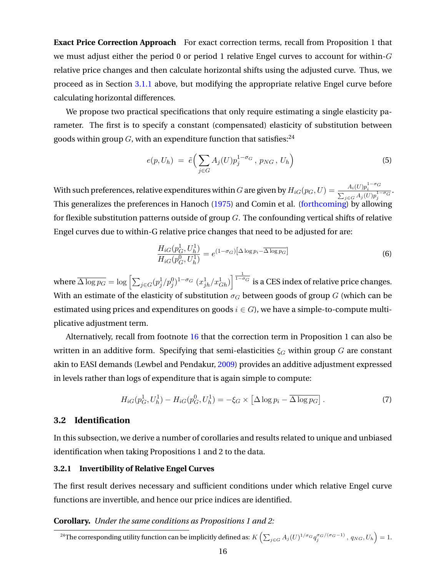<span id="page-16-0"></span>**Exact Price Correction Approach** For exact correction terms, recall from Proposition 1 that we must adjust either the period 0 or period 1 relative Engel curves to account for within- $G$ relative price changes and then calculate horizontal shifts using the adjusted curve. Thus, we proceed as in Section [3.1.1](#page-14-0) above, but modifying the appropriate relative Engel curve before calculating horizontal differences.

We propose two practical specifications that only require estimating a single elasticity parameter. The first is to specify a constant (compensated) elasticity of substitution between goods within group  $G$ , with an expenditure function that satisfies: $^{24}$ 

$$
e(p, U_h) = \tilde{e}\Big(\sum_{j \in G} A_j(U) p_j^{1-\sigma_G}, p_{NG}, U_h\Big) \tag{5}
$$

With such preferences, relative expenditures within  $G$  are given by  $H_{iG}(p_G,U)=\frac{A_i(U)p_i^{1-\sigma_G}}{\sum_{j\in G}A_j(U)p_j^{1-\sigma_G}}.$ This generalizes the preferences in Hanoch [\(1975\)](#page-33-0) and Comin et al. [\(forthcoming\)](#page-32-0) by allowing for flexible substitution patterns outside of group  $G$ . The confounding vertical shifts of relative Engel curves due to within-G relative price changes that need to be adjusted for are:

$$
\frac{H_{iG}(p_G^1, U_h^1)}{H_{iG}(p_G^0, U_h^1)} = e^{(1-\sigma_G)\left[\Delta \log p_i - \overline{\Delta \log p_G}\right]}
$$
\n(6)

where  $\overline{\Delta \log p_G} = \log \left[ \sum_{j \in G} (p_j^1/p_j^0)^{1-\sigma_G} \ (x_{jh}^1/x_{Gh}^1) \right]^{\frac{1}{1-\sigma_G}}$  is a CES index of relative price changes. With an estimate of the elasticity of substitution  $\sigma_G$  between goods of group G (which can be estimated using prices and expenditures on goods  $i \in G$ , we have a simple-to-compute multiplicative adjustment term.

Alternatively, recall from footnote [16](#page-11-0) that the correction term in Proposition 1 can also be written in an additive form. Specifying that semi-elasticities  $\xi_G$  within group G are constant akin to EASI demands (Lewbel and Pendakur, [2009\)](#page-33-0) provides an additive adjustment expressed in levels rather than logs of expenditure that is again simple to compute:

$$
H_{iG}(p_G^1, U_h^1) - H_{iG}(p_G^0, U_h^1) = -\xi_G \times \left[\Delta \log p_i - \overline{\Delta \log p_G}\right].\tag{7}
$$

# **3.2 Identification**

In this subsection, we derive a number of corollaries and results related to unique and unbiased identification when taking Propositions 1 and 2 to the data.

# **3.2.1 Invertibility of Relative Engel Curves**

The first result derives necessary and sufficient conditions under which relative Engel curve functions are invertible, and hence our price indices are identified.

# **Corollary.** *Under the same conditions as Propositions 1 and 2:*

 $^{24}$ The corresponding utility function can be implicitly defined as:  $K\left(\sum_{j\in G}A_j(U)^{1/\sigma_G}q_j^{\sigma_G/(\sigma_G-1)},\,q_{NG},U_h\right)=1.$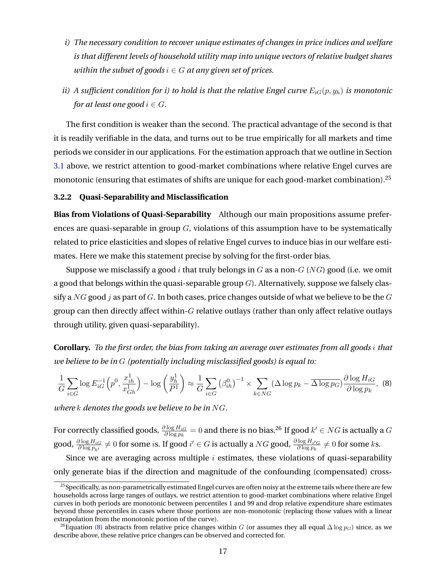- <span id="page-17-0"></span>*i) The necessary condition to recover unique estimates of changes in price indices and welfare is that different levels of household utility map into unique vectors of relative budget shares within the subset of goods*  $i \in G$  *at any given set of prices.*
- *ii) A* sufficient condition for *i*) to hold is that the relative Engel curve  $E_{iG}(p, y_h)$  is monotonic *for at least one good*  $i \in G$ *.*

The first condition is weaker than the second. The practical advantage of the second is that it is readily verifiable in the data, and turns out to be true empirically for all markets and time periods we consider in our applications. For the estimation approach that we outline in Section [3.1](#page-13-0) above, we restrict attention to good-market combinations where relative Engel curves are monotonic (ensuring that estimates of shifts are unique for each good-market combination).<sup>25</sup>

#### **3.2.2 Quasi-Separability and Misclassification**

**Bias from Violations of Quasi-Separability** Although our main propositions assume preferences are quasi-separable in group  $G$ , violations of this assumption have to be systematically related to price elasticities and slopes of relative Engel curves to induce bias in our welfare estimates. Here we make this statement precise by solving for the first-order bias.

Suppose we misclassify a good i that truly belongs in G as a non- $G$  (NG) good (i.e. we omit a good that belongs within the quasi-separable group  $G$ ). Alternatively, suppose we falsely classify a  $NG$  good j as part of G. In both cases, price changes outside of what we believe to be the G group can then directly affect within- $G$  relative outlays (rather than only affect relative outlays through utility, given quasi-separability).

**Corollary.** *To the first order, the bias from taking an average over estimates from all goods* i *that we believe to be in* G *(potentially including misclassified goods) is equal to:*

$$
\frac{1}{G} \sum_{i \in G} \log E_{iG}^{-1} \left( p^0, \frac{x_{ih}^1}{x_{Gh}^1} \right) - \log \left( \frac{y_h^1}{P^1} \right) \approx \frac{1}{G} \sum_{i \in G} \left( \beta_{ih}^0 \right)^{-1} \times \sum_{k \in NG} (\Delta \log p_k - \overline{\Delta \log p_G}) \frac{\partial \log H_{iG}}{\partial \log p_k}, \tag{8}
$$

*where* k *denotes the goods we believe to be in* NG*.*

For correctly classified goods,  $\frac{\partial \log H_{iG}}{\partial \log p_k}=0$  and there is no bias. $^{26}$  If good  $k'\in NG$  is actually a  $G$ good,  $\frac{\partial \log H_{iG}}{\partial \log p_{k'}}\neq 0$  for some  $i$ s. If good  $i'\in G$  is actually a  $NG$  good,  $\frac{\partial \log H_{i'G}}{\partial \log p_k}\neq 0$  for some  $k$ s.

Since we are averaging across multiple  $i$  estimates, these violations of quasi-separability only generate bias if the direction and magnitude of the confounding (compensated) cross-

 $25$ Specifically, as non-parametrically estimated Engel curves are often noisy at the extreme tails where there are few households across large ranges of outlays, we restrict attention to good-market combinations where relative Engel curves in both periods are monotonic between percentiles 1 and 99 and drop relative expenditure share estimates beyond those percentiles in cases where those portions are non-monotonic (replacing those values with a linear extrapolation from the monotonic portion of the curve).

<sup>&</sup>lt;sup>26</sup>Equation (8) abstracts from relative price changes within G (or assumes they all equal  $\Delta \log p_G$ ) since, as we describe above, these relative price changes can be observed and corrected for.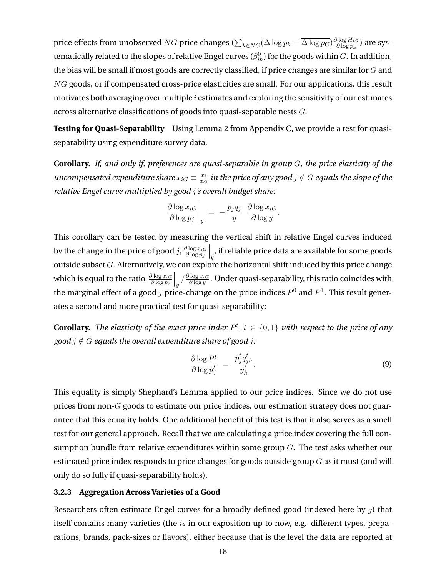<span id="page-18-0"></span>price effects from unobserved  $NG$  price changes ( $\sum_{k\in NG}(\Delta\log p_k - \overline{\Delta\log p_G})\frac{\partial\log H_{iG}}{\partial\log p_k}$  $\frac{\partial \log H_{iG}}{\partial \log p_k}$ ) are systematically related to the slopes of relative Engel curves  $(\beta_{ih}^0)$  for the goods within  $G.$  In addition, the bias will be small if most goods are correctly classified, if price changes are similar for  $G$  and NG goods, or if compensated cross-price elasticities are small. For our applications, this result motivates both averaging over multiple  $i$  estimates and exploring the sensitivity of our estimates across alternative classifications of goods into quasi-separable nests G.

**Testing for Quasi-Separability** Using Lemma 2 from Appendix C, we provide a test for quasiseparability using expenditure survey data.

**Corollary.** *If, and only if, preferences are quasi-separable in group* G*, the price elasticity of the uncompensated expenditure share*  $x_{iG} \equiv \frac{x_i}{x_G}$  $\frac{x_i}{x_G}$  in the price of any good  $j \notin G$  equals the slope of the *relative Engel curve multiplied by good* j*'s overall budget share:*

$$
\left. \frac{\partial \log x_{iG}}{\partial \log p_j} \right|_y = -\frac{p_j q_j}{y} \left. \frac{\partial \log x_{iG}}{\partial \log y} \right|.
$$

This corollary can be tested by measuring the vertical shift in relative Engel curves induced by the change in the price of good j,  $\frac{\partial \log x_{iG}}{\partial \log y_{iG}}$  $\partial \log p_j$  $\big|_y$  , if reliable price data are available for some goods outside subset  $G$ . Alternatively, we can explore the horizontal shift induced by this price change which is equal to the ratio  $\frac{\partial \log x_{iG}}{\partial \log p_j}$  $\int_{y}/\frac{\partial \log x_{iG}}{\partial \log y}$ . Under quasi-separability, this ratio coincides with the marginal effect of a good j price-change on the price indices  $P^0$  and  $P^1$ . This result generates a second and more practical test for quasi-separability:

**Corollary.** The elasticity of the exact price index  $P^t$ ,  $t \in \{0,1\}$  with respect to the price of any *good*  $i \notin G$  *equals the overall expenditure share of good*  $i$ :

$$
\frac{\partial \log P^t}{\partial \log p_j^t} = \frac{p_j^t q_{jh}^t}{y_h^t}.
$$
\n(9)

This equality is simply Shephard's Lemma applied to our price indices. Since we do not use prices from non-G goods to estimate our price indices, our estimation strategy does not guarantee that this equality holds. One additional benefit of this test is that it also serves as a smell test for our general approach. Recall that we are calculating a price index covering the full consumption bundle from relative expenditures within some group  $G$ . The test asks whether our estimated price index responds to price changes for goods outside group  $G$  as it must (and will only do so fully if quasi-separability holds).

#### **3.2.3 Aggregation Across Varieties of a Good**

Researchers often estimate Engel curves for a broadly-defined good (indexed here by  $q$ ) that itself contains many varieties (the is in our exposition up to now, e.g. different types, preparations, brands, pack-sizes or flavors), either because that is the level the data are reported at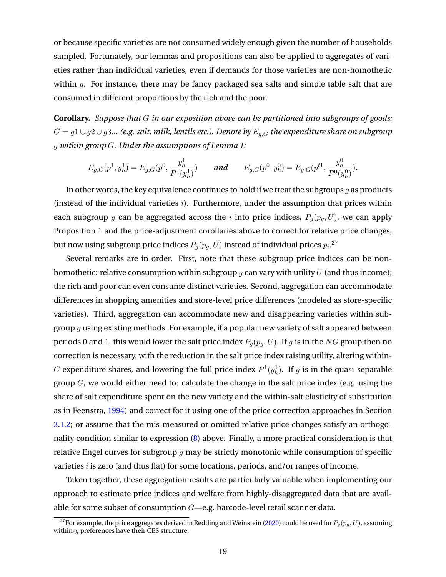or because specific varieties are not consumed widely enough given the number of households sampled. Fortunately, our lemmas and propositions can also be applied to aggregates of varieties rather than individual varieties, even if demands for those varieties are non-homothetic within  $g$ . For instance, there may be fancy packaged sea salts and simple table salt that are consumed in different proportions by the rich and the poor.

**Corollary.** *Suppose that* G *in our exposition above can be partitioned into subgroups of goods:*  $G = g1 \cup g2 \cup g3...$  (e.g. salt, milk, lentils etc.). Denote by  $E_{g,G}$  the expenditure share on subgroup g *within group* G*. Under the assumptions of Lemma 1:*

$$
E_{g,G}(p^1, y_h^1) = E_{g,G}(p^0, \frac{y_h^1}{P^1(y_h^1)}) \quad \text{and} \quad E_{g,G}(p^0, y_h^0) = E_{g,G}(p^{t1}, \frac{y_h^0}{P^0(y_h^0)}).
$$

In other words, the key equivalence continues to hold if we treat the subgroups  $q$  as products (instead of the individual varieties  $i$ ). Furthermore, under the assumption that prices within each subgroup g can be aggregated across the i into price indices,  $P_q(p_q, U)$ , we can apply Proposition 1 and the price-adjustment corollaries above to correct for relative price changes, but now using subgroup price indices  $P_g(p_g,U)$  instead of individual prices  $p_i.^{\mathbf{27}}$ 

Several remarks are in order. First, note that these subgroup price indices can be nonhomothetic: relative consumption within subgroup  $g$  can vary with utility  $U$  (and thus income); the rich and poor can even consume distinct varieties. Second, aggregation can accommodate differences in shopping amenities and store-level price differences (modeled as store-specific varieties). Third, aggregation can accommodate new and disappearing varieties within subgroup  $g$  using existing methods. For example, if a popular new variety of salt appeared between periods 0 and 1, this would lower the salt price index  $P_q(p_q, U)$ . If g is in the NG group then no correction is necessary, with the reduction in the salt price index raising utility, altering within-G expenditure shares, and lowering the full price index  $P^1(y_h^1)$ . If g is in the quasi-separable group  $G$ , we would either need to: calculate the change in the salt price index (e.g. using the share of salt expenditure spent on the new variety and the within-salt elasticity of substitution as in Feenstra, [1994\)](#page-32-0) and correct for it using one of the price correction approaches in Section [3.1.2;](#page-15-0) or assume that the mis-measured or omitted relative price changes satisfy an orthogonality condition similar to expression [\(8\)](#page-17-0) above. Finally, a more practical consideration is that relative Engel curves for subgroup  $g$  may be strictly monotonic while consumption of specific varieties  $i$  is zero (and thus flat) for some locations, periods, and/or ranges of income.

Taken together, these aggregation results are particularly valuable when implementing our approach to estimate price indices and welfare from highly-disaggregated data that are available for some subset of consumption  $G$ —e.g. barcode-level retail scanner data.

<sup>&</sup>lt;sup>27</sup>For example, the price aggregates derived in Redding and Weinstein [\(2020\)](#page-33-0) could be used for  $P_g(p_g, U)$ , assuming within- $q$  preferences have their CES structure.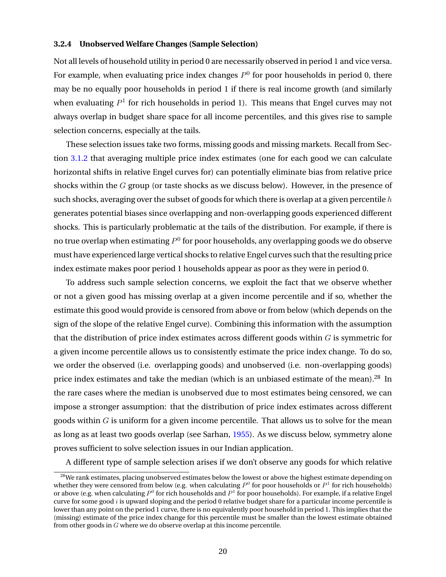#### <span id="page-20-0"></span>**3.2.4 Unobserved Welfare Changes (Sample Selection)**

Not all levels of household utility in period 0 are necessarily observed in period 1 and vice versa. For example, when evaluating price index changes  $P^0$  for poor households in period 0, there may be no equally poor households in period 1 if there is real income growth (and similarly when evaluating  $P^1$  for rich households in period 1). This means that Engel curves may not always overlap in budget share space for all income percentiles, and this gives rise to sample selection concerns, especially at the tails.

These selection issues take two forms, missing goods and missing markets. Recall from Section [3.1.2](#page-15-0) that averaging multiple price index estimates (one for each good we can calculate horizontal shifts in relative Engel curves for) can potentially eliminate bias from relative price shocks within the  $G$  group (or taste shocks as we discuss below). However, in the presence of such shocks, averaging over the subset of goods for which there is overlap at a given percentile  $h$ generates potential biases since overlapping and non-overlapping goods experienced different shocks. This is particularly problematic at the tails of the distribution. For example, if there is no true overlap when estimating  $P^0$  for poor households, any overlapping goods we do observe must have experienced large vertical shocks to relative Engel curves such that the resulting price index estimate makes poor period 1 households appear as poor as they were in period 0.

To address such sample selection concerns, we exploit the fact that we observe whether or not a given good has missing overlap at a given income percentile and if so, whether the estimate this good would provide is censored from above or from below (which depends on the sign of the slope of the relative Engel curve). Combining this information with the assumption that the distribution of price index estimates across different goods within  $G$  is symmetric for a given income percentile allows us to consistently estimate the price index change. To do so, we order the observed (i.e. overlapping goods) and unobserved (i.e. non-overlapping goods) price index estimates and take the median (which is an unbiased estimate of the mean).<sup>28</sup> In the rare cases where the median is unobserved due to most estimates being censored, we can impose a stronger assumption: that the distribution of price index estimates across different goods within  $G$  is uniform for a given income percentile. That allows us to solve for the mean as long as at least two goods overlap (see Sarhan, [1955\)](#page-33-0). As we discuss below, symmetry alone proves sufficient to solve selection issues in our Indian application.

A different type of sample selection arises if we don't observe any goods for which relative

<sup>&</sup>lt;sup>28</sup>We rank estimates, placing unobserved estimates below the lowest or above the highest estimate depending on whether they were censored from below (e.g. when calculating  $P^0$  for poor households or  $P^1$  for rich households) or above (e.g. when calculating  $P^0$  for rich households and  $P^1$  for poor households). For example, if a relative Engel curve for some good  $i$  is upward sloping and the period 0 relative budget share for a particular income percentile is lower than any point on the period 1 curve, there is no equivalently poor household in period 1. This implies that the (missing) estimate of the price index change for this percentile must be smaller than the lowest estimate obtained from other goods in G where we do observe overlap at this income percentile.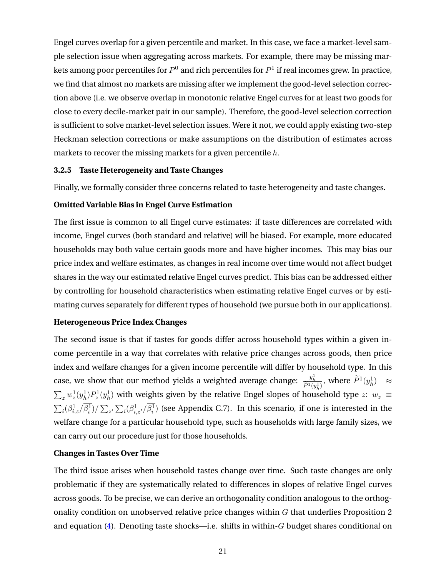<span id="page-21-0"></span>Engel curves overlap for a given percentile and market. In this case, we face a market-level sample selection issue when aggregating across markets. For example, there may be missing markets among poor percentiles for  $P^0$  and rich percentiles for  $P^1$  if real incomes grew. In practice, we find that almost no markets are missing after we implement the good-level selection correction above (i.e. we observe overlap in monotonic relative Engel curves for at least two goods for close to every decile-market pair in our sample). Therefore, the good-level selection correction is sufficient to solve market-level selection issues. Were it not, we could apply existing two-step Heckman selection corrections or make assumptions on the distribution of estimates across markets to recover the missing markets for a given percentile h.

#### **3.2.5 Taste Heterogeneity and Taste Changes**

Finally, we formally consider three concerns related to taste heterogeneity and taste changes.

# **Omitted Variable Bias in Engel Curve Estimation**

The first issue is common to all Engel curve estimates: if taste differences are correlated with income, Engel curves (both standard and relative) will be biased. For example, more educated households may both value certain goods more and have higher incomes. This may bias our price index and welfare estimates, as changes in real income over time would not affect budget shares in the way our estimated relative Engel curves predict. This bias can be addressed either by controlling for household characteristics when estimating relative Engel curves or by estimating curves separately for different types of household (we pursue both in our applications).

# **Heterogeneous Price Index Changes**

The second issue is that if tastes for goods differ across household types within a given income percentile in a way that correlates with relative price changes across goods, then price index and welfare changes for a given income percentile will differ by household type. In this case, we show that our method yields a weighted average change:  $\frac{y_h^1}{\tilde{P}^1(y_h^1)}$ , where  $\tilde{P}^1(y_h^1) \approx$  $\sum_z w_z^1(y_h^1) P_z^1(y_h^1)$  with weights given by the relative Engel slopes of household type z:  $w_z \equiv$  $\sum_i(\beta_{i,z}^1/\overline{\beta_i^1})/\sum_{z'}\sum_i(\beta_{i,z'}^1/\overline{\beta_i^1})$  (see Appendix C.7). In this scenario, if one is interested in the welfare change for a particular household type, such as households with large family sizes, we can carry out our procedure just for those households.

#### **Changes in Tastes Over Time**

The third issue arises when household tastes change over time. Such taste changes are only problematic if they are systematically related to differences in slopes of relative Engel curves across goods. To be precise, we can derive an orthogonality condition analogous to the orthogonality condition on unobserved relative price changes within  $G$  that underlies Proposition 2 and equation  $(4)$ . Denoting taste shocks—i.e. shifts in within-G budget shares conditional on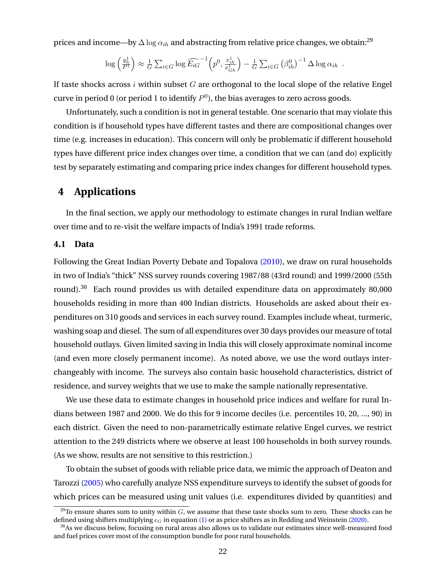<span id="page-22-0"></span>prices and income—by  $\Delta \log \alpha_{ih}$  and abstracting from relative price changes, we obtain:<sup>29</sup>

$$
\log\left(\frac{y_h^1}{P^1}\right) \approx \frac{1}{G} \sum_{i \in G} \log \widehat{E_{iG}}^{-1} \left(p^0, \frac{x_{ih}^1}{x_{Gh}^1}\right) - \frac{1}{G} \sum_{i \in G} \left(\beta_{ih}^0\right)^{-1} \Delta \log \alpha_{ih}.
$$

If taste shocks across  $i$  within subset  $G$  are orthogonal to the local slope of the relative Engel curve in period 0 (or period 1 to identify  $P^0$ ), the bias averages to zero across goods.

Unfortunately, such a condition is not in general testable. One scenario that may violate this condition is if household types have different tastes and there are compositional changes over time (e.g. increases in education). This concern will only be problematic if different household types have different price index changes over time, a condition that we can (and do) explicitly test by separately estimating and comparing price index changes for different household types.

# **4 Applications**

In the final section, we apply our methodology to estimate changes in rural Indian welfare over time and to re-visit the welfare impacts of India's 1991 trade reforms.

#### **4.1 Data**

Following the Great Indian Poverty Debate and Topalova [\(2010\)](#page-33-0), we draw on rural households in two of India's "thick" NSS survey rounds covering 1987/88 (43rd round) and 1999/2000 (55th round).<sup>30</sup> Each round provides us with detailed expenditure data on approximately 80,000 households residing in more than 400 Indian districts. Households are asked about their expenditures on 310 goods and services in each survey round. Examples include wheat, turmeric, washing soap and diesel. The sum of all expenditures over 30 days provides our measure of total household outlays. Given limited saving in India this will closely approximate nominal income (and even more closely permanent income). As noted above, we use the word outlays interchangeably with income. The surveys also contain basic household characteristics, district of residence, and survey weights that we use to make the sample nationally representative.

We use these data to estimate changes in household price indices and welfare for rural Indians between 1987 and 2000. We do this for 9 income deciles (i.e. percentiles 10, 20, ..., 90) in each district. Given the need to non-parametrically estimate relative Engel curves, we restrict attention to the 249 districts where we observe at least 100 households in both survey rounds. (As we show, results are not sensitive to this restriction.)

To obtain the subset of goods with reliable price data, we mimic the approach of Deaton and Tarozzi [\(2005\)](#page-32-0) who carefully analyze NSS expenditure surveys to identify the subset of goods for which prices can be measured using unit values (i.e. expenditures divided by quantities) and

<sup>&</sup>lt;sup>29</sup>To ensure shares sum to unity within  $G$ , we assume that these taste shocks sum to zero. These shocks can be defined using shifters multiplying  $e_G$  in equation [\(1\)](#page-7-0) or as price shifters as in Redding and Weinstein [\(2020\)](#page-33-0).

 $30$ As we discuss below, focusing on rural areas also allows us to validate our estimates since well-measured food and fuel prices cover most of the consumption bundle for poor rural households.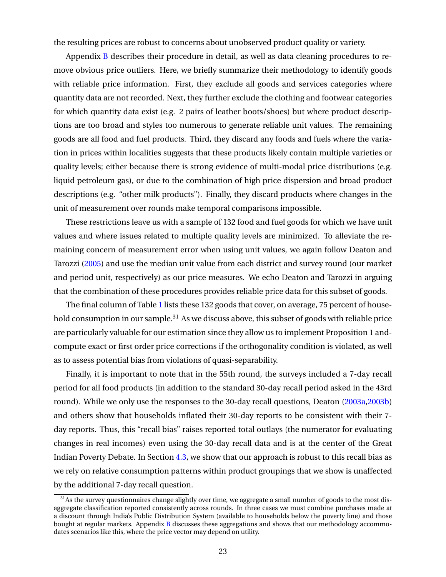the resulting prices are robust to concerns about unobserved product quality or variety.

Appendix [B](#page-57-0) describes their procedure in detail, as well as data cleaning procedures to remove obvious price outliers. Here, we briefly summarize their methodology to identify goods with reliable price information. First, they exclude all goods and services categories where quantity data are not recorded. Next, they further exclude the clothing and footwear categories for which quantity data exist (e.g. 2 pairs of leather boots/shoes) but where product descriptions are too broad and styles too numerous to generate reliable unit values. The remaining goods are all food and fuel products. Third, they discard any foods and fuels where the variation in prices within localities suggests that these products likely contain multiple varieties or quality levels; either because there is strong evidence of multi-modal price distributions (e.g. liquid petroleum gas), or due to the combination of high price dispersion and broad product descriptions (e.g. "other milk products"). Finally, they discard products where changes in the unit of measurement over rounds make temporal comparisons impossible.

These restrictions leave us with a sample of 132 food and fuel goods for which we have unit values and where issues related to multiple quality levels are minimized. To alleviate the remaining concern of measurement error when using unit values, we again follow Deaton and Tarozzi [\(2005\)](#page-32-0) and use the median unit value from each district and survey round (our market and period unit, respectively) as our price measures. We echo Deaton and Tarozzi in arguing that the combination of these procedures provides reliable price data for this subset of goods.

The final column of Table [1](#page-41-0) lists these 132 goods that cover, on average, 75 percent of household consumption in our sample.<sup>31</sup> As we discuss above, this subset of goods with reliable price are particularly valuable for our estimation since they allow us to implement Proposition 1 andcompute exact or first order price corrections if the orthogonality condition is violated, as well as to assess potential bias from violations of quasi-separability.

Finally, it is important to note that in the 55th round, the surveys included a 7-day recall period for all food products (in addition to the standard 30-day recall period asked in the 43rd round). While we only use the responses to the 30-day recall questions, Deaton [\(2003a,2003b\)](#page-32-0) and others show that households inflated their 30-day reports to be consistent with their 7 day reports. Thus, this "recall bias" raises reported total outlays (the numerator for evaluating changes in real incomes) even using the 30-day recall data and is at the center of the Great Indian Poverty Debate. In Section [4.3,](#page-24-0) we show that our approach is robust to this recall bias as we rely on relative consumption patterns within product groupings that we show is unaffected by the additional 7-day recall question.

 $31$ As the survey questionnaires change slightly over time, we aggregate a small number of goods to the most disaggregate classification reported consistently across rounds. In three cases we must combine purchases made at a discount through India's Public Distribution System (available to households below the poverty line) and those bought at regular markets. Appendix [B](#page-57-0) discusses these aggregations and shows that our methodology accommodates scenarios like this, where the price vector may depend on utility.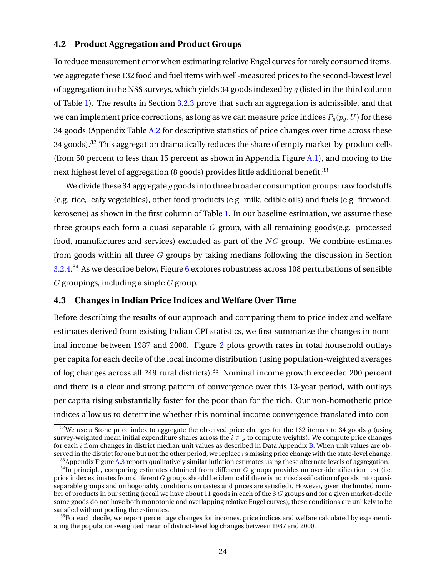# <span id="page-24-0"></span>**4.2 Product Aggregation and Product Groups**

To reduce measurement error when estimating relative Engel curves for rarely consumed items, we aggregate these 132 food and fuel items with well-measured prices to the second-lowest level of aggregation in the NSS surveys, which yields 34 goods indexed by  $q$  (listed in the third column of Table [1\)](#page-41-0). The results in Section [3.2.3](#page-18-0) prove that such an aggregation is admissible, and that we can implement price corrections, as long as we can measure price indices  $P_q(p_q, U)$  for these 34 goods (Appendix Table [A.2](#page-56-0) for descriptive statistics of price changes over time across these 34 goods).<sup>32</sup> This aggregation dramatically reduces the share of empty market-by-product cells (from 50 percent to less than 15 percent as shown in Appendix Figure [A.1\)](#page-43-0), and moving to the next highest level of aggregation (8 goods) provides little additional benefit.<sup>33</sup>

We divide these 34 aggregate  $q$  goods into three broader consumption groups: raw foodstuffs (e.g. rice, leafy vegetables), other food products (e.g. milk, edible oils) and fuels (e.g. firewood, kerosene) as shown in the first column of Table [1.](#page-41-0) In our baseline estimation, we assume these three groups each form a quasi-separable  $G$  group, with all remaining goods(e.g. processed food, manufactures and services) excluded as part of the  $NG$  group. We combine estimates from goods within all three  $G$  groups by taking medians following the discussion in Section [3.2.4.](#page-20-0)<sup>34</sup> As we describe below, Figure [6](#page-39-0) explores robustness across 108 perturbations of sensible  $G$  groupings, including a single  $G$  group.

## **4.3 Changes in Indian Price Indices and Welfare Over Time**

Before describing the results of our approach and comparing them to price index and welfare estimates derived from existing Indian CPI statistics, we first summarize the changes in nominal income between 1987 and 2000. Figure [2](#page-35-0) plots growth rates in total household outlays per capita for each decile of the local income distribution (using population-weighted averages of log changes across all 249 rural districts).<sup>35</sup> Nominal income growth exceeded 200 percent and there is a clear and strong pattern of convergence over this 13-year period, with outlays per capita rising substantially faster for the poor than for the rich. Our non-homothetic price indices allow us to determine whether this nominal income convergence translated into con-

<sup>&</sup>lt;sup>32</sup>We use a Stone price index to aggregate the observed price changes for the 132 items i to 34 goods g (using survey-weighted mean initial expenditure shares across the  $i \in q$  to compute weights). We compute price changes for each i from changes in district median unit values as described in Data Appendix [B.](#page-57-0) When unit values are observed in the district for one but not the other period, we replace i's missing price change with the state-level change.

 $33$ Appendix Figure [A.3](#page-45-0) reports qualitatively similar inflation estimates using these alternate levels of aggregation.

 $34$ In principle, comparing estimates obtained from different G groups provides an over-identification test (i.e. price index estimates from different  $G$  groups should be identical if there is no misclassification of goods into quasiseparable groups and orthogonality conditions on tastes and prices are satisfied). However, given the limited number of products in our setting (recall we have about 11 goods in each of the 3 G groups and for a given market-decile some goods do not have both monotonic and overlapping relative Engel curves), these conditions are unlikely to be satisfied without pooling the estimates.

 $35$  For each decile, we report percentage changes for incomes, price indices and welfare calculated by exponentiating the population-weighted mean of district-level log changes between 1987 and 2000.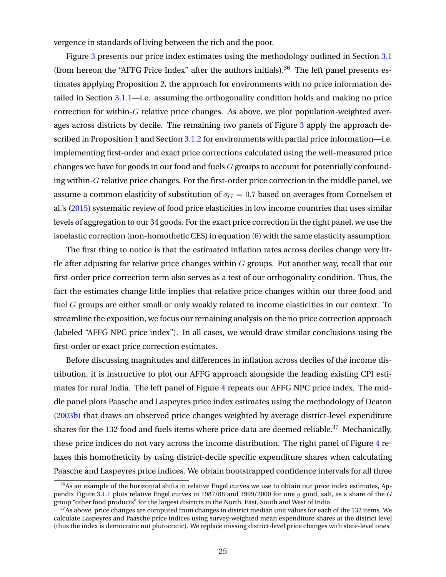vergence in standards of living between the rich and the poor.

Figure [3](#page-36-0) presents our price index estimates using the methodology outlined in Section [3.1](#page-13-0) (from hereon the "AFFG Price Index" after the authors initials). $36$  The left panel presents estimates applying Proposition 2, the approach for environments with no price information detailed in Section [3.1.1—](#page-14-0)i.e. assuming the orthogonality condition holds and making no price correction for within-G relative price changes. As above, we plot population-weighted averages across districts by decile. The remaining two panels of Figure [3](#page-36-0) apply the approach described in Proposition 1 and Section [3.1.2](#page-15-0) for environments with partial price information—i.e. implementing first-order and exact price corrections calculated using the well-measured price changes we have for goods in our food and fuels  $G$  groups to account for potentially confounding within-G relative price changes. For the first-order price correction in the middle panel, we assume a common elasticity of substitution of  $\sigma_G = 0.7$  based on averages from Cornelsen et al.'s [\(2015\)](#page-32-0) systematic review of food price elasticities in low income countries that uses similar levels of aggregation to our 34 goods. For the exact price correction in the right panel, we use the isoelastic correction (non-homothetic CES) in equation [\(6\)](#page-16-0) with the same elasticity assumption.

The first thing to notice is that the estimated inflation rates across deciles change very little after adjusting for relative price changes within  $G$  groups. Put another way, recall that our first-order price correction term also serves as a test of our orthogonality condition. Thus, the fact the estimates change little implies that relative price changes within our three food and fuel G groups are either small or only weakly related to income elasticities in our context. To streamline the exposition, we focus our remaining analysis on the no price correction approach (labeled "AFFG NPC price index"). In all cases, we would draw similar conclusions using the first-order or exact price correction estimates.

Before discussing magnitudes and differences in inflation across deciles of the income distribution, it is instructive to plot our AFFG approach alongside the leading existing CPI estimates for rural India. The left panel of Figure [4](#page-37-0) repeats our AFFG NPC price index. The middle panel plots Paasche and Laspeyres price index estimates using the methodology of Deaton [\(2003b\)](#page-32-0) that draws on observed price changes weighted by average district-level expenditure shares for the 132 food and fuels items where price data are deemed reliable.<sup>37</sup> Mechanically, these price indices do not vary across the income distribution. The right panel of Figure [4](#page-37-0) relaxes this homotheticity by using district-decile specific expenditure shares when calculating Paasche and Laspeyres price indices. We obtain bootstrapped confidence intervals for all three

<sup>&</sup>lt;sup>36</sup>As an example of the horizontal shifts in relative Engel curves we use to obtain our price index estimates, Ap-pendix Figure [3.1.1](#page-14-0) plots relative Engel curves in 1987/88 and 1999/2000 for one q good, salt, as a share of the  $G$ group "other food products" for the largest districts in the North, East, South and West of India.

<sup>&</sup>lt;sup>37</sup>As above, price changes are computed from changes in district median unit values for each of the 132 items. We calculate Laspeyres and Paasche price indices using survey-weighted mean expenditure shares at the district level (thus the index is democratic not plutocratic). We replace missing district-level price changes with state-level ones.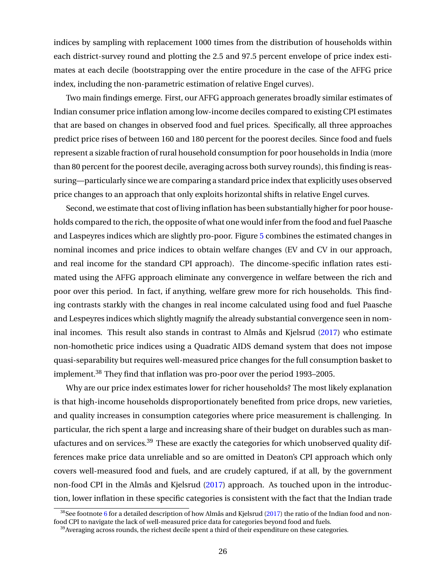indices by sampling with replacement 1000 times from the distribution of households within each district-survey round and plotting the 2.5 and 97.5 percent envelope of price index estimates at each decile (bootstrapping over the entire procedure in the case of the AFFG price index, including the non-parametric estimation of relative Engel curves).

Two main findings emerge. First, our AFFG approach generates broadly similar estimates of Indian consumer price inflation among low-income deciles compared to existing CPI estimates that are based on changes in observed food and fuel prices. Specifically, all three approaches predict price rises of between 160 and 180 percent for the poorest deciles. Since food and fuels represent a sizable fraction of rural household consumption for poor households in India (more than 80 percent for the poorest decile, averaging across both survey rounds), this finding is reassuring—particularly since we are comparing a standard price index that explicitly uses observed price changes to an approach that only exploits horizontal shifts in relative Engel curves.

Second, we estimate that cost of living inflation has been substantially higher for poor households compared to the rich, the opposite of what one would infer from the food and fuel Paasche and Laspeyres indices which are slightly pro-poor. Figure [5](#page-38-0) combines the estimated changes in nominal incomes and price indices to obtain welfare changes (EV and CV in our approach, and real income for the standard CPI approach). The dincome-specific inflation rates estimated using the AFFG approach eliminate any convergence in welfare between the rich and poor over this period. In fact, if anything, welfare grew more for rich households. This finding contrasts starkly with the changes in real income calculated using food and fuel Paasche and Lespeyres indices which slightly magnify the already substantial convergence seen in nominal incomes. This result also stands in contrast to Almås and Kjelsrud [\(2017\)](#page-31-0) who estimate non-homothetic price indices using a Quadratic AIDS demand system that does not impose quasi-separability but requires well-measured price changes for the full consumption basket to implement.<sup>38</sup> They find that inflation was pro-poor over the period 1993–2005.

Why are our price index estimates lower for richer households? The most likely explanation is that high-income households disproportionately benefited from price drops, new varieties, and quality increases in consumption categories where price measurement is challenging. In particular, the rich spent a large and increasing share of their budget on durables such as manufactures and on services.<sup>39</sup> These are exactly the categories for which unobserved quality differences make price data unreliable and so are omitted in Deaton's CPI approach which only covers well-measured food and fuels, and are crudely captured, if at all, by the government non-food CPI in the Almås and Kjelsrud [\(2017\)](#page-31-0) approach. As touched upon in the introduction, lower inflation in these specific categories is consistent with the fact that the Indian trade

 $38$ See footnote [6](#page-1-0) for a detailed description of how Almås and Kjelsrud [\(2017\)](#page-31-0) the ratio of the Indian food and nonfood CPI to navigate the lack of well-measured price data for categories beyond food and fuels.

 $39$ Averaging across rounds, the richest decile spent a third of their expenditure on these categories.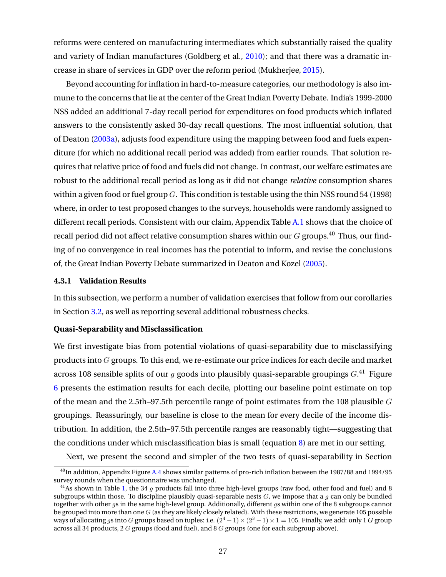reforms were centered on manufacturing intermediates which substantially raised the quality and variety of Indian manufactures (Goldberg et al., [2010\)](#page-32-0); and that there was a dramatic increase in share of services in GDP over the reform period (Mukherjee, [2015\)](#page-33-0).

Beyond accounting for inflation in hard-to-measure categories, our methodology is also immune to the concerns that lie at the center of the Great Indian Poverty Debate. India's 1999-2000 NSS added an additional 7-day recall period for expenditures on food products which inflated answers to the consistently asked 30-day recall questions. The most influential solution, that of Deaton [\(2003a\)](#page-32-0), adjusts food expenditure using the mapping between food and fuels expenditure (for which no additional recall period was added) from earlier rounds. That solution requires that relative price of food and fuels did not change. In contrast, our welfare estimates are robust to the additional recall period as long as it did not change *relative* consumption shares within a given food or fuel group  $G$ . This condition is testable using the thin NSS round 54 (1998) where, in order to test proposed changes to the surveys, households were randomly assigned to different recall periods. Consistent with our claim, Appendix Table [A.1](#page-55-0) shows that the choice of recall period did not affect relative consumption shares within our  $G$  groups.<sup>40</sup> Thus, our finding of no convergence in real incomes has the potential to inform, and revise the conclusions of, the Great Indian Poverty Debate summarized in Deaton and Kozel [\(2005\)](#page-32-0).

#### **4.3.1 Validation Results**

In this subsection, we perform a number of validation exercises that follow from our corollaries in Section [3.2,](#page-16-0) as well as reporting several additional robustness checks.

# **Quasi-Separability and Misclassification**

We first investigate bias from potential violations of quasi-separability due to misclassifying products into  $G$  groups. To this end, we re-estimate our price indices for each decile and market across 108 sensible splits of our g goods into plausibly quasi-separable groupings  $G^{(4)}$  Figure [6](#page-39-0) presents the estimation results for each decile, plotting our baseline point estimate on top of the mean and the 2.5th–97.5th percentile range of point estimates from the 108 plausible  $G$ groupings. Reassuringly, our baseline is close to the mean for every decile of the income distribution. In addition, the 2.5th–97.5th percentile ranges are reasonably tight—suggesting that the conditions under which misclassification bias is small (equation  $\delta$ ) are met in our setting.

Next, we present the second and simpler of the two tests of quasi-separability in Section

<sup>&</sup>lt;sup>40</sup>In addition, Appendix Figure [A.4](#page-46-0) shows similar patterns of pro-rich inflation between the 1987/88 and 1994/95 survey rounds when the questionnaire was unchanged.

<sup>&</sup>lt;sup>41</sup>As shown in Table [1,](#page-41-0) the 34 q products fall into three high-level groups (raw food, other food and fuel) and 8 subgroups within those. To discipline plausibly quasi-separable nests  $G$ , we impose that a q can only be bundled together with other *qs* in the same high-level group. Additionally, different *qs* within one of the 8 subgroups cannot be grouped into more than one  $G$  (as they are likely closely related). With these restrictions, we generate 105 possible ways of allocating gs into G groups based on tuples: i.e.  $(2^4 - 1) \times (2^3 - 1) \times 1 = 105$ . Finally, we add: only 1 G group across all 34 products, 2 G groups (food and fuel), and 8 G groups (one for each subgroup above).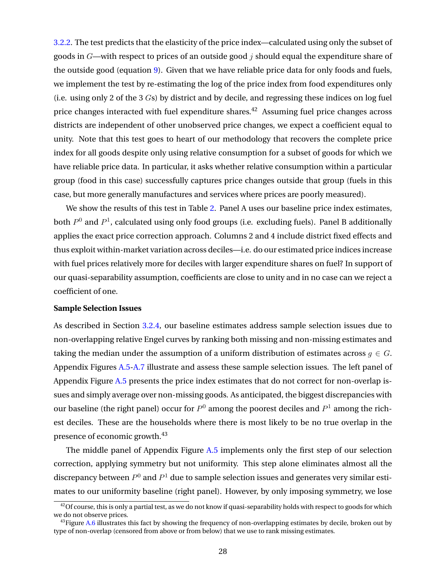[3.2.2.](#page-17-0) The test predicts that the elasticity of the price index—calculated using only the subset of goods in  $G$ —with respect to prices of an outside good j should equal the expenditure share of the outside good (equation [9\)](#page-18-0). Given that we have reliable price data for only foods and fuels, we implement the test by re-estimating the log of the price index from food expenditures only (i.e. using only 2 of the 3 Gs) by district and by decile, and regressing these indices on log fuel price changes interacted with fuel expenditure shares.<sup>42</sup> Assuming fuel price changes across districts are independent of other unobserved price changes, we expect a coefficient equal to unity. Note that this test goes to heart of our methodology that recovers the complete price index for all goods despite only using relative consumption for a subset of goods for which we have reliable price data. In particular, it asks whether relative consumption within a particular group (food in this case) successfully captures price changes outside that group (fuels in this case, but more generally manufactures and services where prices are poorly measured).

We show the results of this test in Table [2.](#page-42-0) Panel A uses our baseline price index estimates, both  $P^0$  and  $P^1$ , calculated using only food groups (i.e. excluding fuels). Panel B additionally applies the exact price correction approach. Columns 2 and 4 include district fixed effects and thus exploit within-market variation across deciles—i.e. do our estimated price indices increase with fuel prices relatively more for deciles with larger expenditure shares on fuel? In support of our quasi-separability assumption, coefficients are close to unity and in no case can we reject a coefficient of one.

#### **Sample Selection Issues**

As described in Section [3.2.4,](#page-20-0) our baseline estimates address sample selection issues due to non-overlapping relative Engel curves by ranking both missing and non-missing estimates and taking the median under the assumption of a uniform distribution of estimates across  $q \in G$ . Appendix Figures [A.5-](#page-47-0)[A.7](#page-49-0) illustrate and assess these sample selection issues. The left panel of Appendix Figure [A.5](#page-47-0) presents the price index estimates that do not correct for non-overlap issues and simply average over non-missing goods. As anticipated, the biggest discrepancies with our baseline (the right panel) occur for  $P^0$  among the poorest deciles and  $P^1$  among the richest deciles. These are the households where there is most likely to be no true overlap in the presence of economic growth.<sup>43</sup>

The middle panel of Appendix Figure [A.5](#page-47-0) implements only the first step of our selection correction, applying symmetry but not uniformity. This step alone eliminates almost all the discrepancy between  $P^0$  and  $P^1$  due to sample selection issues and generates very similar estimates to our uniformity baseline (right panel). However, by only imposing symmetry, we lose

 $^{42}$ Of course, this is only a partial test, as we do not know if quasi-separability holds with respect to goods for which we do not observe prices.

 $^{43}$ Figure [A.6](#page-48-0) illustrates this fact by showing the frequency of non-overlapping estimates by decile, broken out by type of non-overlap (censored from above or from below) that we use to rank missing estimates.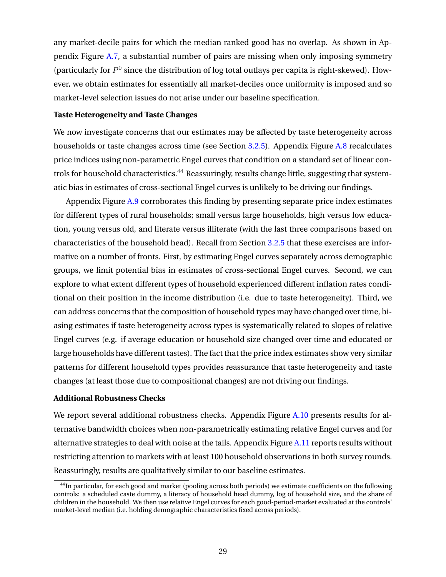any market-decile pairs for which the median ranked good has no overlap. As shown in Appendix Figure [A.7,](#page-49-0) a substantial number of pairs are missing when only imposing symmetry (particularly for  $P^0$  since the distribution of log total outlays per capita is right-skewed). However, we obtain estimates for essentially all market-deciles once uniformity is imposed and so market-level selection issues do not arise under our baseline specification.

#### **Taste Heterogeneity and Taste Changes**

We now investigate concerns that our estimates may be affected by taste heterogeneity across households or taste changes across time (see Section [3.2.5\)](#page-21-0). Appendix Figure [A.8](#page-50-0) recalculates price indices using non-parametric Engel curves that condition on a standard set of linear controls for household characteristics.<sup>44</sup> Reassuringly, results change little, suggesting that systematic bias in estimates of cross-sectional Engel curves is unlikely to be driving our findings.

Appendix Figure [A.9](#page-51-0) corroborates this finding by presenting separate price index estimates for different types of rural households; small versus large households, high versus low education, young versus old, and literate versus illiterate (with the last three comparisons based on characteristics of the household head). Recall from Section [3.2.5](#page-21-0) that these exercises are informative on a number of fronts. First, by estimating Engel curves separately across demographic groups, we limit potential bias in estimates of cross-sectional Engel curves. Second, we can explore to what extent different types of household experienced different inflation rates conditional on their position in the income distribution (i.e. due to taste heterogeneity). Third, we can address concerns that the composition of household types may have changed over time, biasing estimates if taste heterogeneity across types is systematically related to slopes of relative Engel curves (e.g. if average education or household size changed over time and educated or large households have different tastes). The fact that the price index estimates show very similar patterns for different household types provides reassurance that taste heterogeneity and taste changes (at least those due to compositional changes) are not driving our findings.

#### **Additional Robustness Checks**

We report several additional robustness checks. Appendix Figure [A.10](#page-52-0) presents results for alternative bandwidth choices when non-parametrically estimating relative Engel curves and for alternative strategies to deal with noise at the tails. Appendix Figure [A.11](#page-53-0) reports results without restricting attention to markets with at least 100 household observations in both survey rounds. Reassuringly, results are qualitatively similar to our baseline estimates.

<sup>&</sup>lt;sup>44</sup>In particular, for each good and market (pooling across both periods) we estimate coefficients on the following controls: a scheduled caste dummy, a literacy of household head dummy, log of household size, and the share of children in the household. We then use relative Engel curves for each good-period-market evaluated at the controls' market-level median (i.e. holding demographic characteristics fixed across periods).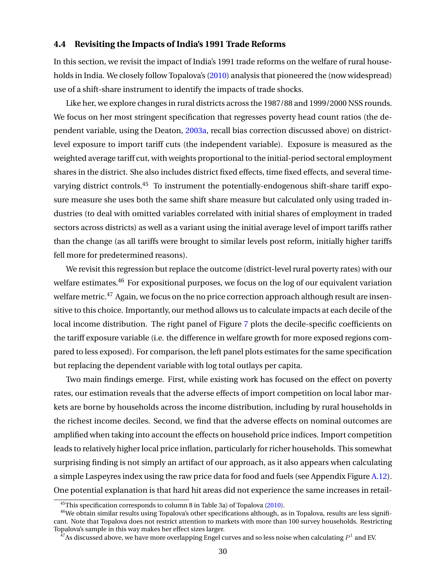# **4.4 Revisiting the Impacts of India's 1991 Trade Reforms**

In this section, we revisit the impact of India's 1991 trade reforms on the welfare of rural households in India. We closely follow Topalova's [\(2010\)](#page-33-0) analysis that pioneered the (now widespread) use of a shift-share instrument to identify the impacts of trade shocks.

Like her, we explore changes in rural districts across the 1987/88 and 1999/2000 NSS rounds. We focus on her most stringent specification that regresses poverty head count ratios (the dependent variable, using the Deaton, [2003a,](#page-32-0) recall bias correction discussed above) on districtlevel exposure to import tariff cuts (the independent variable). Exposure is measured as the weighted average tariff cut, with weights proportional to the initial-period sectoral employment shares in the district. She also includes district fixed effects, time fixed effects, and several timevarying district controls.<sup>45</sup> To instrument the potentially-endogenous shift-share tariff exposure measure she uses both the same shift share measure but calculated only using traded industries (to deal with omitted variables correlated with initial shares of employment in traded sectors across districts) as well as a variant using the initial average level of import tariffs rather than the change (as all tariffs were brought to similar levels post reform, initially higher tariffs fell more for predetermined reasons).

We revisit this regression but replace the outcome (district-level rural poverty rates) with our welfare estimates.<sup>46</sup> For expositional purposes, we focus on the log of our equivalent variation welfare metric.<sup>47</sup> Again, we focus on the no price correction approach although result are insensitive to this choice. Importantly, our method allows us to calculate impacts at each decile of the local income distribution. The right panel of Figure [7](#page-40-0) plots the decile-specific coefficients on the tariff exposure variable (i.e. the difference in welfare growth for more exposed regions compared to less exposed). For comparison, the left panel plots estimates for the same specification but replacing the dependent variable with log total outlays per capita.

Two main findings emerge. First, while existing work has focused on the effect on poverty rates, our estimation reveals that the adverse effects of import competition on local labor markets are borne by households across the income distribution, including by rural households in the richest income deciles. Second, we find that the adverse effects on nominal outcomes are amplified when taking into account the effects on household price indices. Import competition leads to relatively higher local price inflation, particularly for richer households. This somewhat surprising finding is not simply an artifact of our approach, as it also appears when calculating a simple Laspeyres index using the raw price data for food and fuels (see Appendix Figure [A.12\)](#page-54-0). One potential explanation is that hard hit areas did not experience the same increases in retail-

<sup>45</sup>This specification corresponds to column 8 in Table 3a) of Topalova [\(2010\)](#page-33-0).

<sup>&</sup>lt;sup>46</sup>We obtain similar results using Topalova's other specifications although, as in Topalova, results are less significant. Note that Topalova does not restrict attention to markets with more than 100 survey households. Restricting Topalova's sample in this way makes her effect sizes larger.

 $^{47}\mathrm{As}$  discussed above, we have more overlapping Engel curves and so less noise when calculating  $P^1$  and EV.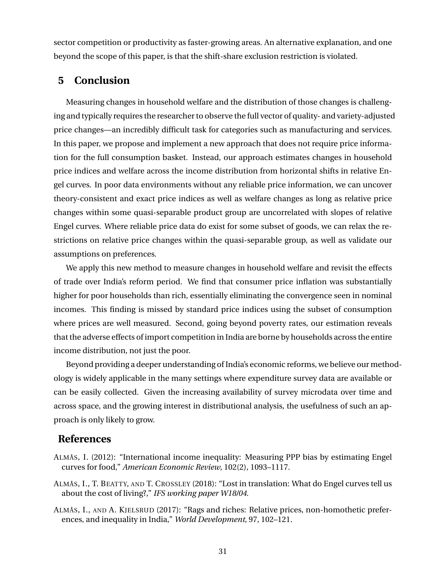<span id="page-31-0"></span>sector competition or productivity as faster-growing areas. An alternative explanation, and one beyond the scope of this paper, is that the shift-share exclusion restriction is violated.

# **5 Conclusion**

Measuring changes in household welfare and the distribution of those changes is challenging and typically requires the researcher to observe the full vector of quality- and variety-adjusted price changes—an incredibly difficult task for categories such as manufacturing and services. In this paper, we propose and implement a new approach that does not require price information for the full consumption basket. Instead, our approach estimates changes in household price indices and welfare across the income distribution from horizontal shifts in relative Engel curves. In poor data environments without any reliable price information, we can uncover theory-consistent and exact price indices as well as welfare changes as long as relative price changes within some quasi-separable product group are uncorrelated with slopes of relative Engel curves. Where reliable price data do exist for some subset of goods, we can relax the restrictions on relative price changes within the quasi-separable group, as well as validate our assumptions on preferences.

We apply this new method to measure changes in household welfare and revisit the effects of trade over India's reform period. We find that consumer price inflation was substantially higher for poor households than rich, essentially eliminating the convergence seen in nominal incomes. This finding is missed by standard price indices using the subset of consumption where prices are well measured. Second, going beyond poverty rates, our estimation reveals that the adverse effects of import competition in India are borne by households across the entire income distribution, not just the poor.

Beyond providing a deeper understanding of India's economic reforms, we believe our methodology is widely applicable in the many settings where expenditure survey data are available or can be easily collected. Given the increasing availability of survey microdata over time and across space, and the growing interest in distributional analysis, the usefulness of such an approach is only likely to grow.

# **References**

- ALMÅS, I. (2012): "International income inequality: Measuring PPP bias by estimating Engel curves for food," *American Economic Review*, 102(2), 1093–1117.
- ALMÅS, I., T. BEATTY, AND T. CROSSLEY (2018): "Lost in translation: What do Engel curves tell us about the cost of living?," *IFS working paper W18/04*.
- ALMÅS, I., AND A. KJELSRUD (2017): "Rags and riches: Relative prices, non-homothetic preferences, and inequality in India," *World Development*, 97, 102–121.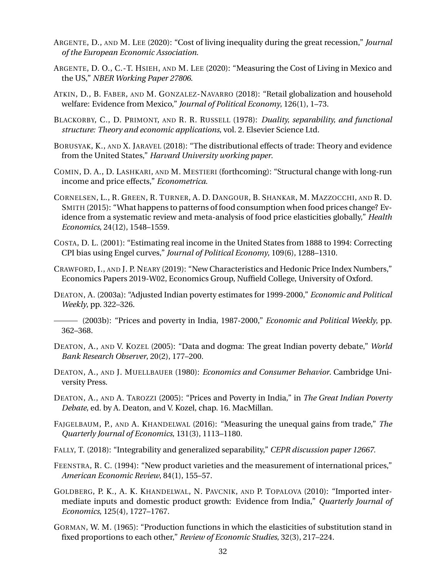- <span id="page-32-0"></span>ARGENTE, D., AND M. LEE (2020): "Cost of living inequality during the great recession," *Journal of the European Economic Association*.
- ARGENTE, D. O., C.-T. HSIEH, AND M. LEE (2020): "Measuring the Cost of Living in Mexico and the US," *NBER Working Paper 27806*.
- ATKIN, D., B. FABER, AND M. GONZALEZ-NAVARRO (2018): "Retail globalization and household welfare: Evidence from Mexico," *Journal of Political Economy*, 126(1), 1–73.
- BLACKORBY, C., D. PRIMONT, AND R. R. RUSSELL (1978): *Duality, separability, and functional structure: Theory and economic applications*, vol. 2. Elsevier Science Ltd.
- BORUSYAK, K., AND X. JARAVEL (2018): "The distributional effects of trade: Theory and evidence from the United States," *Harvard University working paper*.
- COMIN, D. A., D. LASHKARI, AND M. MESTIERI (forthcoming): "Structural change with long-run income and price effects," *Econometrica*.
- CORNELSEN, L., R. GREEN, R. TURNER, A. D. DANGOUR, B. SHANKAR, M. MAZZOCCHI, AND R. D. SMITH (2015): "What happens to patterns of food consumption when food prices change? Evidence from a systematic review and meta-analysis of food price elasticities globally," *Health Economics*, 24(12), 1548–1559.
- COSTA, D. L. (2001): "Estimating real income in the United States from 1888 to 1994: Correcting CPI bias using Engel curves," *Journal of Political Economy*, 109(6), 1288–1310.
- CRAWFORD, I., AND J. P. NEARY (2019): "New Characteristics and Hedonic Price Index Numbers," Economics Papers 2019-W02, Economics Group, Nuffield College, University of Oxford.
- DEATON, A. (2003a): "Adjusted Indian poverty estimates for 1999-2000," *Economic and Political Weekly*, pp. 322–326.
- (2003b): "Prices and poverty in India, 1987-2000," *Economic and Political Weekly*, pp. 362–368.
- DEATON, A., AND V. KOZEL (2005): "Data and dogma: The great Indian poverty debate," *World Bank Research Observer*, 20(2), 177–200.
- DEATON, A., AND J. MUELLBAUER (1980): *Economics and Consumer Behavior*. Cambridge University Press.
- DEATON, A., AND A. TAROZZI (2005): "Prices and Poverty in India," in *The Great Indian Poverty Debate*, ed. by A. Deaton, and V. Kozel, chap. 16. MacMillan.
- FAJGELBAUM, P., AND A. KHANDELWAL (2016): "Measuring the unequal gains from trade," *The Quarterly Journal of Economics*, 131(3), 1113–1180.
- FALLY, T. (2018): "Integrability and generalized separability," *CEPR discussion paper 12667*.
- FEENSTRA, R. C. (1994): "New product varieties and the measurement of international prices," *American Economic Review*, 84(1), 155–57.
- GOLDBERG, P. K., A. K. KHANDELWAL, N. PAVCNIK, AND P. TOPALOVA (2010): "Imported intermediate inputs and domestic product growth: Evidence from India," *Quarterly Journal of Economics*, 125(4), 1727–1767.
- GORMAN, W. M. (1965): "Production functions in which the elasticities of substitution stand in fixed proportions to each other," *Review of Economic Studies*, 32(3), 217–224.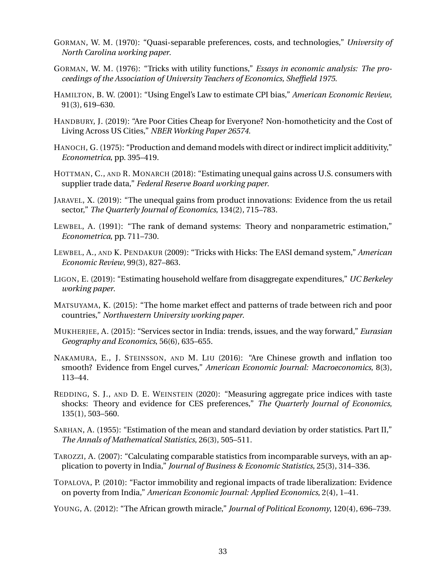- <span id="page-33-0"></span>GORMAN, W. M. (1970): "Quasi-separable preferences, costs, and technologies," *University of North Carolina working paper*.
- GORMAN, W. M. (1976): "Tricks with utility functions," *Essays in economic analysis: The proceedings of the Association of University Teachers of Economics, Sheffield 1975*.
- HAMILTON, B. W. (2001): "Using Engel's Law to estimate CPI bias," *American Economic Review*, 91(3), 619–630.
- HANDBURY, J. (2019): "Are Poor Cities Cheap for Everyone? Non-homotheticity and the Cost of Living Across US Cities," *NBER Working Paper 26574*.
- HANOCH, G. (1975): "Production and demand models with direct or indirect implicit additivity," *Econometrica*, pp. 395–419.
- HOTTMAN, C., AND R. MONARCH (2018): "Estimating unequal gains across U.S. consumers with supplier trade data," *Federal Reserve Board working paper*.
- JARAVEL, X. (2019): "The unequal gains from product innovations: Evidence from the us retail sector," *The Quarterly Journal of Economics*, 134(2), 715–783.
- LEWBEL, A. (1991): "The rank of demand systems: Theory and nonparametric estimation," *Econometrica*, pp. 711–730.
- LEWBEL, A., AND K. PENDAKUR (2009): "Tricks with Hicks: The EASI demand system," *American Economic Review*, 99(3), 827–863.
- LIGON, E. (2019): "Estimating household welfare from disaggregate expenditures," *UC Berkeley working paper*.
- MATSUYAMA, K. (2015): "The home market effect and patterns of trade between rich and poor countries," *Northwestern University working paper*.
- MUKHERJEE, A. (2015): "Services sector in India: trends, issues, and the way forward," *Eurasian Geography and Economics*, 56(6), 635–655.
- NAKAMURA, E., J. STEINSSON, AND M. LIU (2016): "Are Chinese growth and inflation too smooth? Evidence from Engel curves," *American Economic Journal: Macroeconomics*, 8(3), 113–44.
- REDDING, S. J., AND D. E. WEINSTEIN (2020): "Measuring aggregate price indices with taste shocks: Theory and evidence for CES preferences," *The Quarterly Journal of Economics*, 135(1), 503–560.
- SARHAN, A. (1955): "Estimation of the mean and standard deviation by order statistics. Part II," *The Annals of Mathematical Statistics*, 26(3), 505–511.
- TAROZZI, A. (2007): "Calculating comparable statistics from incomparable surveys, with an application to poverty in India," *Journal of Business & Economic Statistics*, 25(3), 314–336.
- TOPALOVA, P. (2010): "Factor immobility and regional impacts of trade liberalization: Evidence on poverty from India," *American Economic Journal: Applied Economics*, 2(4), 1–41.
- YOUNG, A. (2012): "The African growth miracle," *Journal of Political Economy*, 120(4), 696–739.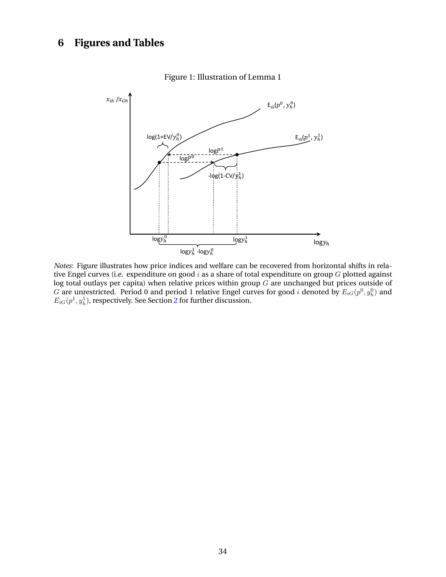# <span id="page-34-0"></span>**6 Figures and Tables**



# Figure 1: Illustration of Lemma 1

*Notes*: Figure illustrates how price indices and welfare can be recovered from horizontal shifts in relative Engel curves (i.e. expenditure on good  $i$  as a share of total expenditure on group  $G$  plotted against log total outlays per capita) when relative prices within group  $G$  are unchanged but prices outside of G are unrestricted. Period 0 and period 1 relative Engel curves for good *i* denoted by  $E_{iG}(p^0, y^0_h)$  and  $E_{iG}(p^1,y^1_h)$ , respectively. See Section [2](#page-6-0) for further discussion.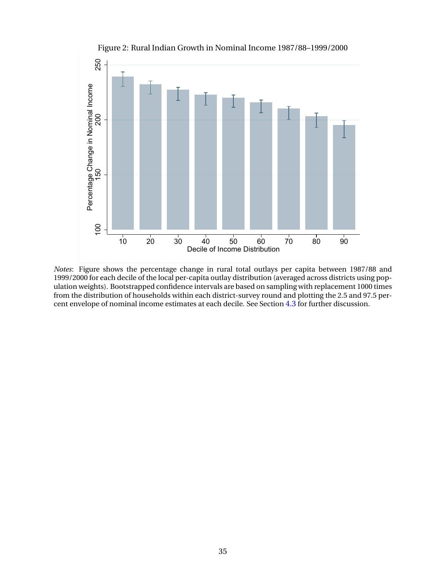<span id="page-35-0"></span>

Figure 2: Rural Indian Growth in Nominal Income 1987/88–1999/2000

*Notes*: Figure shows the percentage change in rural total outlays per capita between 1987/88 and 1999/2000 for each decile of the local per-capita outlay distribution (averaged across districts using population weights). Bootstrapped confidence intervals are based on sampling with replacement 1000 times from the distribution of households within each district-survey round and plotting the 2.5 and 97.5 percent envelope of nominal income estimates at each decile. See Section [4.3](#page-24-0) for further discussion.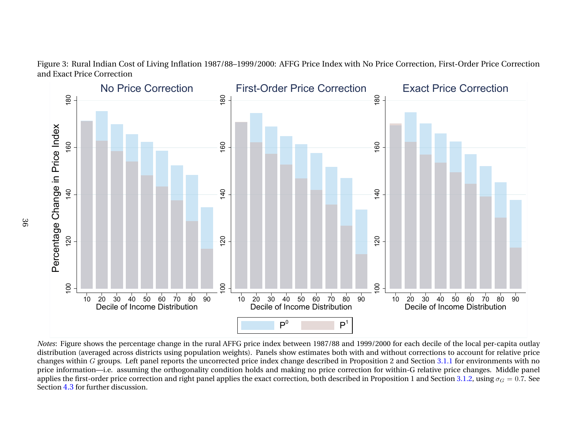

Figure 3: Rural Indian Cost of Living Inflation 1987/88–1999/2000: AFFG Price Index with No Price Correction, First-Order Price Correctionand Exact Price Correction

0 20 30 40 50 60 70 80 90<br>Decile of Income Distribution<br>hows the percentage change in the ruceraged across districts using populat<br>*G* groups. Left panel reports the uncon—i.e. assuming the orthogonality<br>-order price corre 0 20 30 40 50 60 70 80 90<br>Decile of Income Distribution<br> $P^0$   $P^1$ <br>price index between 1987/88 and 19<br>ts). Panels show estimates both with<br>price index change described in Prop<br>a holds and making no price correction<br>the e 0 20 30 40 50 60 70 80 90<br>Decile of Income Distribution<br>or each decile of the local per-capita<br>out corrections to account for relative<br>and Section 3.1.1 for environments w<br>hin-G relative price changes. Middle<br>tion 1 and S P<br>
Detween 1987/88 a<br>
now estimates both<br>
nange described in<br>
naking no price co<br>
rection, both descri *Notes*: Figure shows the percentage change in the rural AFFG price index between 1987/88 and 1999/2000 for each decile of the local per-capita outlay distribution (averaged across districts using population weights). Pan distribution (averaged across districts using population weights). Panels show estimates both with and without corrections to account for relative pricechanges within G groups. Left panel reports the uncorrected price index change described in Proposition 2 and Section [3.1.1](#page-14-0) for environments with no<br>with information, i.e., comming the exthenemelity condition holds and mo price information—i.e. assuming the orthogonality condition holds and making no price correction for within-G relative price changes. Middle panelapplies the first-order price correction and right panel applies the exact correction, both described in Proposition 1 and Section [3.1.2,](#page-15-0) using  $\sigma_G = 0.7$ . See Section [4.3](#page-24-0) for further discussion.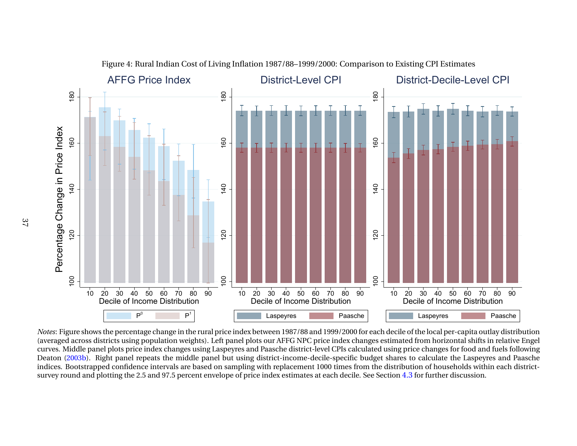

Figure 4: Rural Indian Cost of Living Inflation 1987/88–1999/2000: Comparison to Existing CPI Estimates

0 20 30 40 50 60 70 80 90<br>Decile of Income Distribution<br>ws the percentage change in the rura<br>s districts using population weights).<br>Danel plots price index changes using<br>Right panel repeats the middle parapped confidence P<br>age change in the<br>population we<br>epeats the mid<br>ce intervals are<br>5 and 97.5 percents 0 20 30 40 50 60 70 80 90<br>Decile of Income Distribution<br>Laspeyres Paasche<br>dex between 1987/88 and 1999/2000 fc<br>I plots our AFFG NPC price index cha<br>s and Paasche district-level CPIs calcu<br>sing district-income-decile-specif s<br>
7/88 and 1999/2000 fc<br>
3 NPC price index channels in the same decile-specific behind the ement 1000 times from<br>
the material and decile.<br>
8 Parameters at each decile.<br>
8 Parameters at each decile. 0 20 30 40 50 60 70 80 90<br>
Decile of Income Distribution<br>
Laspeyres Paasche<br>
cile of the local per-capita outlay distr<br>
mated from horizontal shifts in relative<br>
mated from horizontal shifts in relative<br>
mates to calculate s<br>
Der-capita outlay distries<br>
in the passive of the Laspeyres and Fisher and Fisher<br>
Passive of the Laspeyres and Fisher and Fisher<br>
Passive of the particle of the passive of the particle of the particle of the particle o curves. Middle panel plots price index changes using Laspeyres and Paasche district-level CPIs calculated using price changes for food and fuels following<br>Deaton [\(2003b\)](#page-32-0). Right panel repeats the middle panel but using dist indices. Bootstrapped confidence intervals are based on sampling with replacement 1000 times from the distribution of households within each districtsurvey round and plotting the 2.5 and 97.5 percent envelope of price index estimates at each decile. See Section  $4.3$  for further discussion.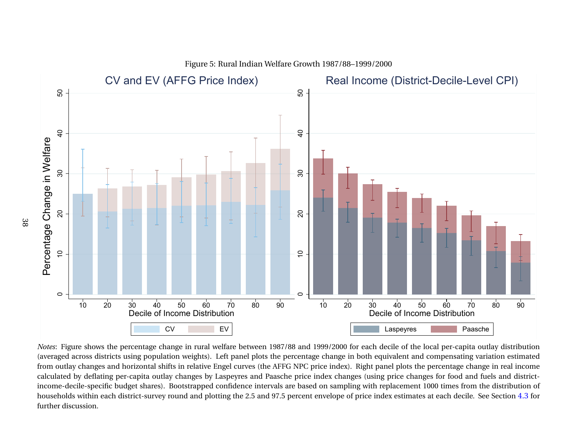

Figure 5: Rural Indian Welfare Growth 1987/88–1999/2000

20 30 40 50 60 70 80 90<br>Decile of Income Distribution<br>CV EV<br>shows the percentage change in rural welfare between 1987<br>oss districts using population weights). Left panel plots the<br>hanges and horizontal shifts in relative E V
EV
EV
nge in rural welfa<br>
ion weights). Left<br>
its in relative Enge<br>
y changes by Lasp<br>
Bootstrapped concound and plotting<br>
ound and plotting 20 30 40 50 60 70 80 90<br>Decile of Income Distribution<br>Laspeyres Paasche<br>99/2000 for each decile of the local per-capita outlay distribution<br>change in both equivalent and compensating variation estime<br>lex changes (using pri s<br>
he local per-capita out<br>
and compensating variative<br>
the percentage change<br>
anges for food and fue<br>
ant 1000 times from the<br>
ates at each decile. See *Notes*: Figure shows the percentage change in rural welfare between 1987/88 and 1999/2000 for each decile of the local per-capita outlay distribution (averaged across districts using population weights). Left panel plots (averaged across districts using population weights). Left panel plots the percentage change in both equivalent and compensating variation estimated from outlay changes and horizontal shifts in relative Engel curves (the AFFG NPC price index). Right panel plots the percentage change in real income calculated by deflating per-capita outlay changes by Laspeyres and Paasche price index changes (using price changes for food and fuels and districtincome-decile-specific budget shares). Bootstrapped confidence intervals are based on sampling with replacement 1000 times from the distribution of households within each district-survey round and plotting the 2.5 and 97.5 percent envelope of price index estimates at each decile. See Section [4.3](#page-24-0) for further discussion.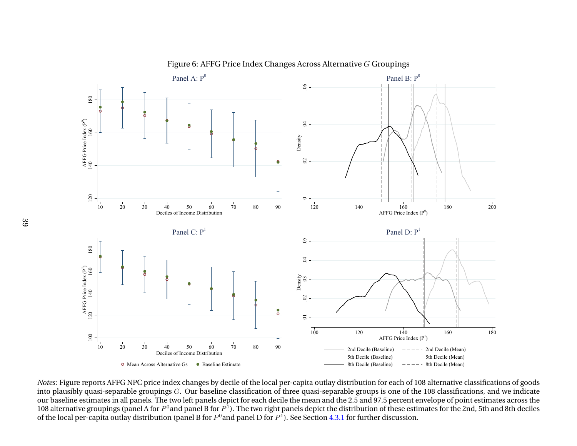

Figure 6: AFFG Price Index Changes Across Alternative  $G$  Groupings

 20 30 40 50 60 70 80 90  $\mathbf b$  Baseline Estimate<br>
hanges by decile<br>
Our baseline clas<br>
eft panels depict<br>
panel B for  $P^1$ ). The B for  $P^0$  and p <sup>140</sup> 160 180<br> **120** AFFG Price Index (P<sup>1</sup>)<br> **160** 180<br> **140** 160 180<br> **140** 160 180<br> **160** 180<br> **160** 180<br> **160** 180<br> **160** 180<br> **160** 180<br> **160** 180<br> **160** 160<br> **160** 160<br> **160** 160<br> **160** 160<br> **160** 160<br> **160** 108<br> **1** and Decile (Mean)<br>
2nd Decile (Mean)<br>
2nd Decile (Mean)<br>
2nd Decile (Mean)<br>
2nd Decile (Mean)<br>
2nd Decile (Mean)<br>
2nd Decile (Mean)<br>
2nd Decile (Mean)<br>
2nd Decile (Mean)<br>
2nd Decile (Mean)<br>
2nd Decile (Mean)<br>
2nd Decile (M Fig. 3. The Decile (Mean)<br>
Fig. 2. The Decile (Mean)<br>
Fig. 2. The Decile (Mean)<br>
Sach of 108 alternative<br>
opercent envelope of pointing these estimates for the 2<br>
cussion. 9 ----- 8th Decile (Mean)<br>19th Of 108 alternative<br>19th Decile (Mean)<br>19th Decides (Decrement envelope of point<br>19th Decise estimates for the 2<br>19th Crussion. *Notes*: Figure reports AFFG NPC price index changes by decile of the local per-capita outlay distribution for each of 108 alternative classifications of goods into plausibly quasi-separable groupings *G*. Our baseline cl into plausibly quasi-separable groupings  $G.$  Our baseline classification of three quasi-separable groups is one of the 108 classifications, and we indicate our baseline estimates in all panels. The two left panels depict for each decile the mean and the 2.5 and 97.5 percent envelope of point estimates across the108 alternative groupings (panel A for  $P^0$ and panel B for  $P^1$ ). The two right panels depict the distribution of these estimates for the 2nd, 5th and 8th deciles of the local per-capita outlay distribution (panel B for  $P^0$ and panel D for  $P^1$ ). See Section [4.3.1](#page-27-0) for further discussion.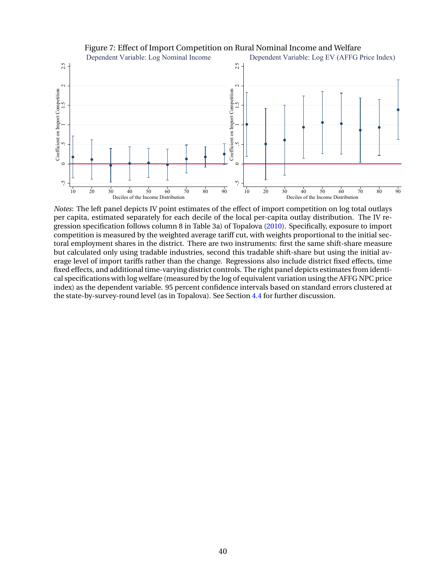## <span id="page-40-0"></span>-.5 <sup>0</sup> .5 <sup>1</sup> 1.5 <sup>2</sup> 2.5 Coefficient on Import Competition 10 20 30 40 50 60 70 80 90  $\frac{1}{20}$   $\frac{40}{50}$   $\frac{50}{60}$   $\frac{70}{70}$   $\frac{80}{90}$   $\frac{90}{10}$   $\frac{10}{20}$   $\frac{30}{20}$   $\frac{40}{40}$ <br>Deciles of the Income Distribution Dependent Variable: Log Nominal Income Dependent Variable: Log EV (AFFG Price Index)  $\begin{array}{c|c|c|c|c|c} \hline \text{c}}{\text{c}} & \text{c}} & \text{c}} & \text{d} & \text{e} & \text{d} & \text{e} \\ \hline \text{c}} & \text{d} & \text{e} & \text{e} & \text{e} & \text{e} & \text{e} \\ \hline \text{d}} & \text{e} & \text{e} & \text{e} & \text{e} & \text{e} & \text{e} \\ \hline \text{e} & \text{e} & \text{e} & \text{e} & \text{e} & \text{e} & \text{e} \\ \hline \text{f} & \text{f} & \text{$ 10 20 30 40 50 60 70 80 90 Deciles of the Income Distribution

#### Figure 7: Effect of Import Competition on Rural Nominal Income and Welfare

*Notes*: The left panel depicts IV point estimates of the effect of import competition on log total outlays per capita, estimated separately for each decile of the local per-capita outlay distribution. The IV regression specification follows column 8 in Table 3a) of Topalova [\(2010\)](#page-33-0). Specifically, exposure to import competition is measured by the weighted average tariff cut, with weights proportional to the initial sectoral employment shares in the district. There are two instruments: first the same shift-share measure but calculated only using tradable industries, second this tradable shift-share but using the initial average level of import tariffs rather than the change. Regressions also include district fixed effects, time fixed effects, and additional time-varying district controls. The right panel depicts estimates from identical specifications with log welfare (measured by the log of equivalent variation using the AFFG NPC price index) as the dependent variable. 95 percent confidence intervals based on standard errors clustered at the state-by-survey-round level (as in Topalova). See Section [4.4](#page-30-0) for further discussion.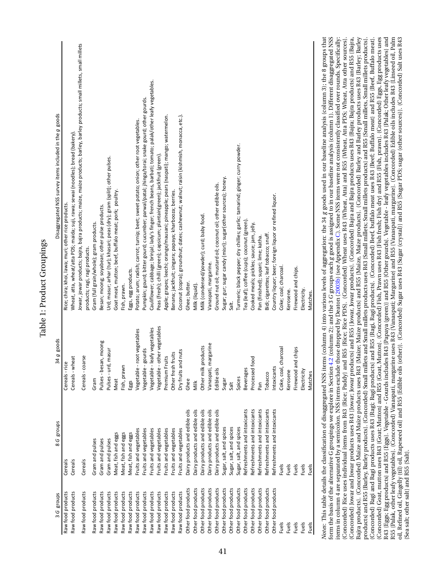<span id="page-41-0"></span>

| 3 G groups                             | groups<br>8 G                                                         | 34g goods                    | Disaggregated NSS survey items included in the g goods                                                                                                                                                                                                                                                                                                                                                                                                                                                                                                                                                                                                                                                                                                                                                                                                                                                                                                                                                                                                                                                                                                                                                                                                                                                                                                                                                                                                                                                                                                                                                                                                                                                                                                                                                                                                                                                                                                                                                                                                                                                                                                                                                                                                 |
|----------------------------------------|-----------------------------------------------------------------------|------------------------------|--------------------------------------------------------------------------------------------------------------------------------------------------------------------------------------------------------------------------------------------------------------------------------------------------------------------------------------------------------------------------------------------------------------------------------------------------------------------------------------------------------------------------------------------------------------------------------------------------------------------------------------------------------------------------------------------------------------------------------------------------------------------------------------------------------------------------------------------------------------------------------------------------------------------------------------------------------------------------------------------------------------------------------------------------------------------------------------------------------------------------------------------------------------------------------------------------------------------------------------------------------------------------------------------------------------------------------------------------------------------------------------------------------------------------------------------------------------------------------------------------------------------------------------------------------------------------------------------------------------------------------------------------------------------------------------------------------------------------------------------------------------------------------------------------------------------------------------------------------------------------------------------------------------------------------------------------------------------------------------------------------------------------------------------------------------------------------------------------------------------------------------------------------------------------------------------------------------------------------------------------------|
| Raw food products                      | Cereals                                                               | Cereals - rice               | Rice; chira; khoi, lawa; muri; other rice products.                                                                                                                                                                                                                                                                                                                                                                                                                                                                                                                                                                                                                                                                                                                                                                                                                                                                                                                                                                                                                                                                                                                                                                                                                                                                                                                                                                                                                                                                                                                                                                                                                                                                                                                                                                                                                                                                                                                                                                                                                                                                                                                                                                                                    |
| Raw food products                      | Cereals                                                               | Cereals - wheat              | Wheat, atta, wheat/atta PDS; maida; suji, rawa; sewai (noodles); bread (bakery).                                                                                                                                                                                                                                                                                                                                                                                                                                                                                                                                                                                                                                                                                                                                                                                                                                                                                                                                                                                                                                                                                                                                                                                                                                                                                                                                                                                                                                                                                                                                                                                                                                                                                                                                                                                                                                                                                                                                                                                                                                                                                                                                                                       |
| Raw food products                      | Cereals                                                               | Cereals - coarse             | lowar, jowar products; bajra, bajra products; maize, maize products; barley, barley products; small millets, small millets<br>products; ragi, ragi products.                                                                                                                                                                                                                                                                                                                                                                                                                                                                                                                                                                                                                                                                                                                                                                                                                                                                                                                                                                                                                                                                                                                                                                                                                                                                                                                                                                                                                                                                                                                                                                                                                                                                                                                                                                                                                                                                                                                                                                                                                                                                                           |
| Raw food products                      | Gram and pulses                                                       | Gram                         | Gram (full grain/whole); gram products.                                                                                                                                                                                                                                                                                                                                                                                                                                                                                                                                                                                                                                                                                                                                                                                                                                                                                                                                                                                                                                                                                                                                                                                                                                                                                                                                                                                                                                                                                                                                                                                                                                                                                                                                                                                                                                                                                                                                                                                                                                                                                                                                                                                                                |
| Raw food products                      | Gram and pulses                                                       | Pulses - besan, moong        | Besan; moong; soyabean; other pulse products.                                                                                                                                                                                                                                                                                                                                                                                                                                                                                                                                                                                                                                                                                                                                                                                                                                                                                                                                                                                                                                                                                                                                                                                                                                                                                                                                                                                                                                                                                                                                                                                                                                                                                                                                                                                                                                                                                                                                                                                                                                                                                                                                                                                                          |
| Raw food products                      | Gram and pulses                                                       | masur<br>Pulses - urd,       | Urd; masur; arhar (tur); khasari; peas (dry); gram (split); other pulses.                                                                                                                                                                                                                                                                                                                                                                                                                                                                                                                                                                                                                                                                                                                                                                                                                                                                                                                                                                                                                                                                                                                                                                                                                                                                                                                                                                                                                                                                                                                                                                                                                                                                                                                                                                                                                                                                                                                                                                                                                                                                                                                                                                              |
| Raw food products                      | Meat, fish and eggs                                                   | Meat                         | Goat meat, mutton; beef, buffalo meat; pork; poultry.                                                                                                                                                                                                                                                                                                                                                                                                                                                                                                                                                                                                                                                                                                                                                                                                                                                                                                                                                                                                                                                                                                                                                                                                                                                                                                                                                                                                                                                                                                                                                                                                                                                                                                                                                                                                                                                                                                                                                                                                                                                                                                                                                                                                  |
| Raw food products                      | Meat, fish and eggs                                                   | Fish, prawn                  | Fish, prawn.                                                                                                                                                                                                                                                                                                                                                                                                                                                                                                                                                                                                                                                                                                                                                                                                                                                                                                                                                                                                                                                                                                                                                                                                                                                                                                                                                                                                                                                                                                                                                                                                                                                                                                                                                                                                                                                                                                                                                                                                                                                                                                                                                                                                                                           |
| Raw food products                      | Meat, fish and eggs                                                   | Eggs                         | Eggs, egg products.                                                                                                                                                                                                                                                                                                                                                                                                                                                                                                                                                                                                                                                                                                                                                                                                                                                                                                                                                                                                                                                                                                                                                                                                                                                                                                                                                                                                                                                                                                                                                                                                                                                                                                                                                                                                                                                                                                                                                                                                                                                                                                                                                                                                                                    |
| Raw food products                      | Fruits and vegetables                                                 | Vegetable - root vegetables  | Potato; arum; radish; carrot; turnip; beet; sweet potato; onion; other root vegetables.                                                                                                                                                                                                                                                                                                                                                                                                                                                                                                                                                                                                                                                                                                                                                                                                                                                                                                                                                                                                                                                                                                                                                                                                                                                                                                                                                                                                                                                                                                                                                                                                                                                                                                                                                                                                                                                                                                                                                                                                                                                                                                                                                                |
| Raw food products                      | Fruits and vegetables                                                 | gourds<br>Vegetable -        | Pumpkin; gourd; bitter gourd; cucumber; parwal/patal; jhinga/torai; snake gourd; other gourds.                                                                                                                                                                                                                                                                                                                                                                                                                                                                                                                                                                                                                                                                                                                                                                                                                                                                                                                                                                                                                                                                                                                                                                                                                                                                                                                                                                                                                                                                                                                                                                                                                                                                                                                                                                                                                                                                                                                                                                                                                                                                                                                                                         |
| Raw food products                      | Fruits and vegetables                                                 | Vegetable - leafy vegetables | Cauliflower; cabbage; brinjal; lady's finger; french beans, barbati; tomato; palak/other leafy vegetables.                                                                                                                                                                                                                                                                                                                                                                                                                                                                                                                                                                                                                                                                                                                                                                                                                                                                                                                                                                                                                                                                                                                                                                                                                                                                                                                                                                                                                                                                                                                                                                                                                                                                                                                                                                                                                                                                                                                                                                                                                                                                                                                                             |
| Raw food products                      | Fruits and vegetables                                                 | Vegetable - other vegetables | Peas (fresh); chilli (green); capsicum; plantain(green); jackfruit (green).                                                                                                                                                                                                                                                                                                                                                                                                                                                                                                                                                                                                                                                                                                                                                                                                                                                                                                                                                                                                                                                                                                                                                                                                                                                                                                                                                                                                                                                                                                                                                                                                                                                                                                                                                                                                                                                                                                                                                                                                                                                                                                                                                                            |
| Raw food products                      | Fruits and vegetables                                                 | Premium Fruits               | Apple; grapes; leechi; orange/mausani; pineapple; pears (naspati); mango; watermelon.                                                                                                                                                                                                                                                                                                                                                                                                                                                                                                                                                                                                                                                                                                                                                                                                                                                                                                                                                                                                                                                                                                                                                                                                                                                                                                                                                                                                                                                                                                                                                                                                                                                                                                                                                                                                                                                                                                                                                                                                                                                                                                                                                                  |
| Raw food products                      | Fruits and vegetables                                                 | Other fresh fruits           | Banana; jackfruit; singara; papaya; kharbooza; berries.                                                                                                                                                                                                                                                                                                                                                                                                                                                                                                                                                                                                                                                                                                                                                                                                                                                                                                                                                                                                                                                                                                                                                                                                                                                                                                                                                                                                                                                                                                                                                                                                                                                                                                                                                                                                                                                                                                                                                                                                                                                                                                                                                                                                |
| Raw food products                      | Fruits and vegetables                                                 | Dry fruits and nuts          | Coconut (copra); groundnut; dates; cashewnut; walnut; raisin (kishmish, monacca, etc.).                                                                                                                                                                                                                                                                                                                                                                                                                                                                                                                                                                                                                                                                                                                                                                                                                                                                                                                                                                                                                                                                                                                                                                                                                                                                                                                                                                                                                                                                                                                                                                                                                                                                                                                                                                                                                                                                                                                                                                                                                                                                                                                                                                |
| Other food products                    | Dairy products and edible oils                                        | Ghee                         | Ghee; butter.                                                                                                                                                                                                                                                                                                                                                                                                                                                                                                                                                                                                                                                                                                                                                                                                                                                                                                                                                                                                                                                                                                                                                                                                                                                                                                                                                                                                                                                                                                                                                                                                                                                                                                                                                                                                                                                                                                                                                                                                                                                                                                                                                                                                                                          |
| Other food products                    | Dairy products and edible oils                                        | Milk                         | Milk (liquid).                                                                                                                                                                                                                                                                                                                                                                                                                                                                                                                                                                                                                                                                                                                                                                                                                                                                                                                                                                                                                                                                                                                                                                                                                                                                                                                                                                                                                                                                                                                                                                                                                                                                                                                                                                                                                                                                                                                                                                                                                                                                                                                                                                                                                                         |
| Other food products                    | Dairy products and edible oils                                        | Other milk products          | Milk (condensed/powder); curd; baby food.                                                                                                                                                                                                                                                                                                                                                                                                                                                                                                                                                                                                                                                                                                                                                                                                                                                                                                                                                                                                                                                                                                                                                                                                                                                                                                                                                                                                                                                                                                                                                                                                                                                                                                                                                                                                                                                                                                                                                                                                                                                                                                                                                                                                              |
| Other food products                    | Dairy products and edible oils                                        | Vanaspati, margarine         | Vanaspati, margarine.                                                                                                                                                                                                                                                                                                                                                                                                                                                                                                                                                                                                                                                                                                                                                                                                                                                                                                                                                                                                                                                                                                                                                                                                                                                                                                                                                                                                                                                                                                                                                                                                                                                                                                                                                                                                                                                                                                                                                                                                                                                                                                                                                                                                                                  |
| Other food products                    | Dairy products and edible oils                                        | Edible oils                  | Ground nut oil; mustard oil; coconut oil; other edible oils.                                                                                                                                                                                                                                                                                                                                                                                                                                                                                                                                                                                                                                                                                                                                                                                                                                                                                                                                                                                                                                                                                                                                                                                                                                                                                                                                                                                                                                                                                                                                                                                                                                                                                                                                                                                                                                                                                                                                                                                                                                                                                                                                                                                           |
| Other food products                    | Sugar, salt, and spices                                               | Sugar                        | Sugar; gur; sugar candy (misri); sugar(other sources); honey.                                                                                                                                                                                                                                                                                                                                                                                                                                                                                                                                                                                                                                                                                                                                                                                                                                                                                                                                                                                                                                                                                                                                                                                                                                                                                                                                                                                                                                                                                                                                                                                                                                                                                                                                                                                                                                                                                                                                                                                                                                                                                                                                                                                          |
| Other food products                    | Sugar, salt, and spices                                               | Sait                         | Salt.                                                                                                                                                                                                                                                                                                                                                                                                                                                                                                                                                                                                                                                                                                                                                                                                                                                                                                                                                                                                                                                                                                                                                                                                                                                                                                                                                                                                                                                                                                                                                                                                                                                                                                                                                                                                                                                                                                                                                                                                                                                                                                                                                                                                                                                  |
| Other food products                    | Sugar, salt, and spices                                               | Spices                       | Turmeric; black pepper; dry chillies; garlic; tamarind; ginger; curry powder.                                                                                                                                                                                                                                                                                                                                                                                                                                                                                                                                                                                                                                                                                                                                                                                                                                                                                                                                                                                                                                                                                                                                                                                                                                                                                                                                                                                                                                                                                                                                                                                                                                                                                                                                                                                                                                                                                                                                                                                                                                                                                                                                                                          |
| Other food products                    | Refreshments and intoxicants                                          | <b>Beverages</b>             | Tea (leaf); coffee (cups); coconut (green).                                                                                                                                                                                                                                                                                                                                                                                                                                                                                                                                                                                                                                                                                                                                                                                                                                                                                                                                                                                                                                                                                                                                                                                                                                                                                                                                                                                                                                                                                                                                                                                                                                                                                                                                                                                                                                                                                                                                                                                                                                                                                                                                                                                                            |
| Other food products                    | Refreshments and intoxicants                                          | Processed food               | Cooked meals; pickles; sauce; jam, jelly.                                                                                                                                                                                                                                                                                                                                                                                                                                                                                                                                                                                                                                                                                                                                                                                                                                                                                                                                                                                                                                                                                                                                                                                                                                                                                                                                                                                                                                                                                                                                                                                                                                                                                                                                                                                                                                                                                                                                                                                                                                                                                                                                                                                                              |
| Other food products                    | Refreshments and intoxicants                                          | Pan                          | Pan (finished); supari; lime; katha.                                                                                                                                                                                                                                                                                                                                                                                                                                                                                                                                                                                                                                                                                                                                                                                                                                                                                                                                                                                                                                                                                                                                                                                                                                                                                                                                                                                                                                                                                                                                                                                                                                                                                                                                                                                                                                                                                                                                                                                                                                                                                                                                                                                                                   |
| Other food products                    | Refreshments and intoxicants                                          | Tobacco                      | Bidi; cigarettes; leaf tobacco; snuff.                                                                                                                                                                                                                                                                                                                                                                                                                                                                                                                                                                                                                                                                                                                                                                                                                                                                                                                                                                                                                                                                                                                                                                                                                                                                                                                                                                                                                                                                                                                                                                                                                                                                                                                                                                                                                                                                                                                                                                                                                                                                                                                                                                                                                 |
| Other food products                    | Refreshments and intoxicants                                          | Intoxicants                  | Country liquor; beer; foreign liquor or refined liquor.                                                                                                                                                                                                                                                                                                                                                                                                                                                                                                                                                                                                                                                                                                                                                                                                                                                                                                                                                                                                                                                                                                                                                                                                                                                                                                                                                                                                                                                                                                                                                                                                                                                                                                                                                                                                                                                                                                                                                                                                                                                                                                                                                                                                |
| <b>Fuels</b>                           | <b>Fuels</b>                                                          | Coke, coal, charcoal         | Coke; coal; charcoal.                                                                                                                                                                                                                                                                                                                                                                                                                                                                                                                                                                                                                                                                                                                                                                                                                                                                                                                                                                                                                                                                                                                                                                                                                                                                                                                                                                                                                                                                                                                                                                                                                                                                                                                                                                                                                                                                                                                                                                                                                                                                                                                                                                                                                                  |
| <b>Fuels</b>                           | <b>Fuels</b>                                                          | Kerosene                     | Kerosene.                                                                                                                                                                                                                                                                                                                                                                                                                                                                                                                                                                                                                                                                                                                                                                                                                                                                                                                                                                                                                                                                                                                                                                                                                                                                                                                                                                                                                                                                                                                                                                                                                                                                                                                                                                                                                                                                                                                                                                                                                                                                                                                                                                                                                                              |
| <b>Fuels</b>                           | <b>Fuels</b>                                                          | Firewood and chips           | Firewood and chips.                                                                                                                                                                                                                                                                                                                                                                                                                                                                                                                                                                                                                                                                                                                                                                                                                                                                                                                                                                                                                                                                                                                                                                                                                                                                                                                                                                                                                                                                                                                                                                                                                                                                                                                                                                                                                                                                                                                                                                                                                                                                                                                                                                                                                                    |
| <b>Fuels</b>                           | <b>Fuels</b>                                                          | Electricity                  | Electricity.                                                                                                                                                                                                                                                                                                                                                                                                                                                                                                                                                                                                                                                                                                                                                                                                                                                                                                                                                                                                                                                                                                                                                                                                                                                                                                                                                                                                                                                                                                                                                                                                                                                                                                                                                                                                                                                                                                                                                                                                                                                                                                                                                                                                                                           |
| Fuels                                  | Fuels                                                                 | Matches                      | Matches.                                                                                                                                                                                                                                                                                                                                                                                                                                                                                                                                                                                                                                                                                                                                                                                                                                                                                                                                                                                                                                                                                                                                                                                                                                                                                                                                                                                                                                                                                                                                                                                                                                                                                                                                                                                                                                                                                                                                                                                                                                                                                                                                                                                                                                               |
| (Sea salt; other salt) and R55 {Salt}. | form the basis of the alternative G groupings we explore in Section 4 |                              | <i>Notes</i> : This table details the classification of disaggregated NSS items (column 4) into various levels of aggregation: the 34 g goods used in our baseline analysis (column 3); the 8 groups that<br>form the basis of the alte<br>Bajra products). (Concorded) Maize and Maize products uses R43 (Maize; Maize products) Maize, Maize, Maize, Maize, products). (Concorded) Barley and Barley products uses R43 (Barley; Barley<br>items in column 4 are separated by a semicolon. NSS items exclude those dropped by Deaton (2003b) (see Appendix C). Some NSS items were not consistently classified over rounds. Specifically:<br>(Concorded) Goat, mutton uses R43 (Goat, Mutton) and R55 (Goat, Mutton). (Concorded) Fish, Prawn uses R43 (Fish fresh; Fish dry) and R55 (Fish, prawn). (Concorded) Eggs, Egg products uses<br>R43 {Eggs; Egg products} and R55 {Eggs}. Vegetable - Gourds includes R43 {Papaya (green)} and R55 {Other gourds}. Vegetable - leafy vegetables includes R43 {Palak; Other leafy vegetables} and<br>R55 {Palak, other leafy vegetables}. (Concorded) Vanaspati, margarine uses R43 {Vanaspati, Margarine} and R55 {Vanaspati, margarine}. (Concorded) Edible oils includes R43 {Linseed oil, Palm<br>oil, Refined oil, Gingelly (til) oil, Rapeseed oil) and R55 (Edible oils (other)). (Concorded) Sugar uses R43 (Sugar (crystal)) and R55 (Sugar PDS; sugar (other sources)). (Concorded) Salt uses R43<br>(Concorded) Rice uses individual items from R43 {Rice; Paddy} and R55 {Rice; Rice PDS}. (Concorded) Wheat uses R43 {Wheat, Atta} and R55 {Wheat, Atta PDS; Wheat, Atta other sources}.<br>(Concorded) Jowar and Jowar products uses R43 (Jowar) Jowar products) and R55 (Jowar, Jowar products). (Concorded) Bajra and Bajra products uses R43 (Bajra; Bajra products) and R55 (Bajra,<br>(Concorded) Ragi and Ragi products uses R43 (Ragi; Ragi products) and R55 (Ragi, Ragi products). (Concorded) Beef, buffalo meat uses R43 (Beef; Buffalo meat) and R55 (Beef, Buffalo meat).<br>products) and R55 {Barley, Barley products}. (Concorded) Small millets and Small millets products uses R43 {Small millets; Small millets products} and R55 {Small millets, Small millets products}. |

# Table 1: Product Groupings Table 1: Product Groupings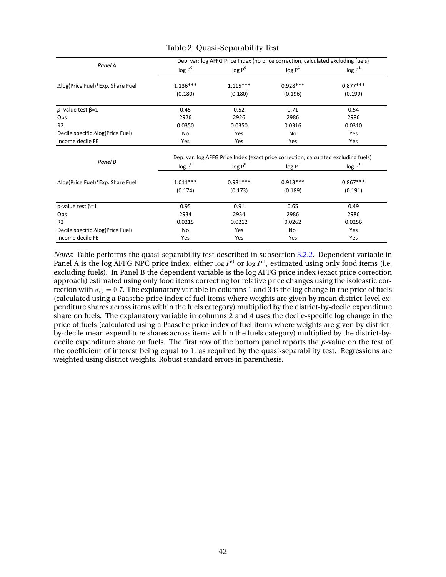|                                  | Dep. var: log AFFG Price Index (no price correction, calculated excluding fuels)    |            |                    |                    |  |  |
|----------------------------------|-------------------------------------------------------------------------------------|------------|--------------------|--------------------|--|--|
| Panel A                          | $log P^0$<br>log P <sup>0</sup>                                                     |            | log P <sup>1</sup> | log P <sup>1</sup> |  |  |
| ∆log(Price Fuel)*Exp. Share Fuel | $1.136***$                                                                          | $1.115***$ | $0.928***$         | $0.877***$         |  |  |
|                                  | (0.180)                                                                             | (0.180)    | (0.196)            | (0.199)            |  |  |
| p-value test $\beta$ =1          | 0.45                                                                                | 0.52       | 0.71               | 0.54               |  |  |
| Obs                              | 2926                                                                                | 2926       | 2986               | 2986               |  |  |
| R <sub>2</sub>                   | 0.0350                                                                              | 0.0350     | 0.0316             | 0.0310             |  |  |
| Decile specific ∆log(Price Fuel) | No                                                                                  | Yes        | No                 | Yes                |  |  |
| Income decile FE                 | Yes                                                                                 | Yes        | Yes                | Yes                |  |  |
| Panel B                          | Dep. var: log AFFG Price Index (exact price correction, calculated excluding fuels) |            |                    |                    |  |  |
|                                  | $log P^0$                                                                           | $log P^0$  | log P <sup>1</sup> | log P <sup>1</sup> |  |  |
| ∆log(Price Fuel)*Exp. Share Fuel | $1.011***$                                                                          | $0.981***$ | $0.913***$         | $0.867***$         |  |  |
|                                  | (0.174)                                                                             | (0.173)    | (0.189)            | (0.191)            |  |  |
| p-value test $\beta = 1$         | 0.95                                                                                | 0.91       | 0.65               | 0.49               |  |  |
| Obs                              | 2934                                                                                | 2934       | 2986               | 2986               |  |  |
| R <sub>2</sub>                   | 0.0215                                                                              | 0.0212     | 0.0262             | 0.0256             |  |  |
| Decile specific ∆log(Price Fuel) | No                                                                                  | Yes        | No                 | Yes                |  |  |
| Income decile FE                 | Yes                                                                                 | Yes        | Yes                | Yes                |  |  |

#### Table 2: Quasi-Separability Test

*Notes*: Table performs the quasi-separability test described in subsection [3.2.2.](#page-17-0) Dependent variable in Panel A is the log AFFG NPC price index, either  $\log P^0$  or  $\log P^1$ , estimated using only food items (i.e. excluding fuels). In Panel B the dependent variable is the log AFFG price index (exact price correction approach) estimated using only food items correcting for relative price changes using the isoleastic correction with  $\sigma_G = 0.7$ . The explanatory variable in columns 1 and 3 is the log change in the price of fuels (calculated using a Paasche price index of fuel items where weights are given by mean district-level expenditure shares across items within the fuels category) multiplied by the district-by-decile expenditure share on fuels. The explanatory variable in columns 2 and 4 uses the decile-specific log change in the price of fuels (calculated using a Paasche price index of fuel items where weights are given by districtby-decile mean expenditure shares across items within the fuels category) multiplied by the district-bydecile expenditure share on fuels. The first row of the bottom panel reports the *p-*value on the test of the coefficient of interest being equal to 1, as required by the quasi-separability test. Regressions are weighted using district weights. Robust standard errors in parenthesis.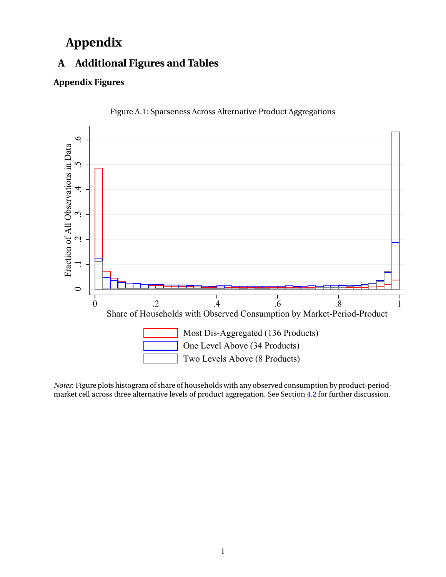## **Appendix**

## **A Additional Figures and Tables**

#### **Appendix Figures**





*Notes*: Figure plots histogram of share of households with any observed consumption by product-periodmarket cell across three alternative levels of product aggregation. See Section [4.2](#page-24-0) for further discussion.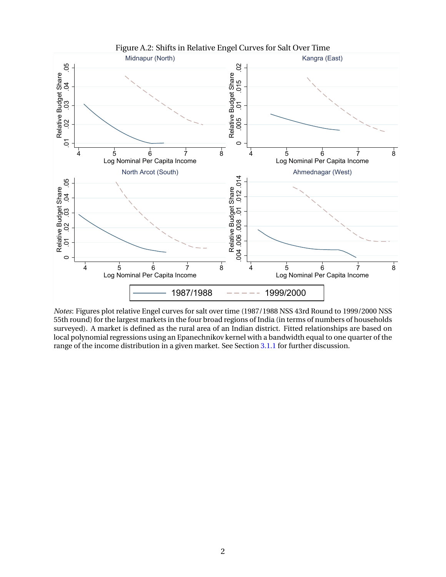

*Notes*: Figures plot relative Engel curves for salt over time (1987/1988 NSS 43rd Round to 1999/2000 NSS 55th round) for the largest markets in the four broad regions of India (in terms of numbers of households surveyed). A market is defined as the rural area of an Indian district. Fitted relationships are based on local polynomial regressions using an Epanechnikov kernel with a bandwidth equal to one quarter of the range of the income distribution in a given market. See Section [3.1.1](#page-14-0) for further discussion.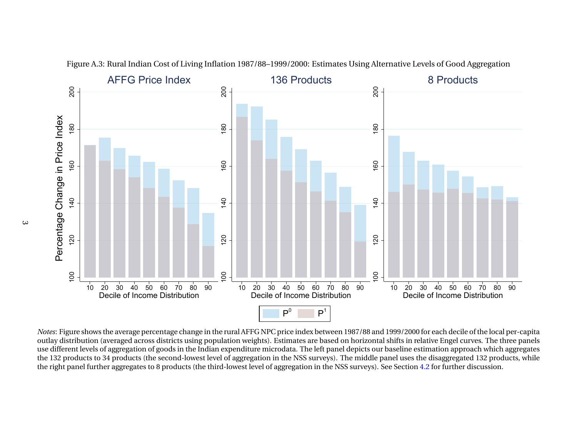

Figure A.3: Rural Indian Cost of Living Inflation 1987/88–1999/2000: Estimates Using Alternative Levels of Good Aggregation

0 20 30 40 50 60 70 80 90<br>Decile of Income Distribution<br>ows the average percentage change in<br>on (averaged across districts using po<br>els of aggregation of goods in the Indi<br>s to 34 products (the second-lowest le<br>urther aggr 0 20 30 40 50 60 70 80 90<br>Decile of Income Distribution<br> $P^0$   $P^1$ <br>AFFG NPC price index between 1987/8<br>weights). Estimates are based on horiditure microdata. The left panel depic<br>gregation in the NSS surveys). The mist l 0 20 30 40 50 60 70 80 90<br>Decile of Income Distribution<br>99/2000 for each decile of the local per<br>ifts in relative Engel curves. The three<br>seline estimation approach which agg<br>el uses the disaggregated 132 product<br>Section 4 the 132 products to 34 products (the second-lowest level of aggregation in the NSS surveys). The middle panel uses the disaggregated 132 products, whileP<br>re index be<br>mates are b<br>tta. The left<br>e NSS survegation in *Notes:* Figure shows the average percentage change in the rural AFFG NPC price index between 1987/88 and 1999/2000 for each decile of the local per-capitation in years of signification of goods in the Indian expendition e outlay distribution (averaged across districts using population weights). Estimates are based on horizontal shifts in relative Engel curves. The three panels use different levels of aggregation of goods in the Indian expenditure microdata. The left panel depicts our baseline estimation approach which aggregatesthe right panel further aggregates to 8 products (the third-lowest level of aggregation in the NSS surveys). See Section [4.2](#page-24-0) for further discussion.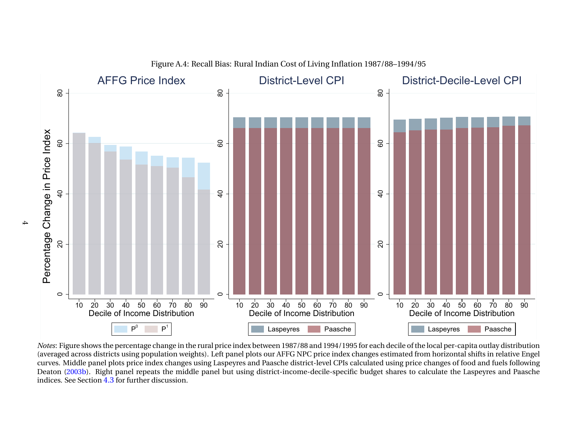

Figure A.4: Recall Bias: Rural Indian Cost of Living Inflation 1987/88–1994/95

0 20 30 40 50 60 70 80 90<br>Decile of Income Distribution<br> $P^0 \t P^1$ <br>shows the percentage change in the rur<br>ross districts using population weights)<br>lle panel plots price index changes usin<br>3b). Right panel repeats the midd P<br>
Intage chang<br>
g populat<br>
ce index<br>
repeats t<br>
ther disc Notes: Figure shows the percentage change in the rural price index between 1987/88 and 1994/1995 for each decile of the local per-capita outlay distribution 0 20 30 40 50 60 70 80 90<br>Decile of Income Distribution<br>Laspeyres<br>dex between 1987/88 and 1994/1995 for<br>el plots our AFFG NPC price index chan<br>es and Paasche district-level CPIs calcu<br>sing district-income-decile-specific b s Paasche<br>
1/88 and 1994/199<br>
NPC price index<br>
strict-level CPIs<br>
me-decile-specifies 0 20 30 40 50 60 70 80 90<br>Decile of Income Distribution<br>Laspeyres<br>Le of the local per-capita outlay distributed from horizontal shifts in relative Eng price changes of food and fuels follow<br>es to calculate the Laspeyres an s Paasche<br>capita outlay dist<br>tal shifts in relatif<br>f food and fuels f<br>e Laspeyres and *Notes*: Figure shows the percentage change in the rural price index between 1987/88 and 1994/1995 for each decile of the local per-capita outlay distribution<br>(averaged across districts using population weights). Left pane Deaton [\(2003b\)](#page-32-0). Right panel repeats the middle panel but using district-income-decile-specific budget shares to calculate the Laspeyres and Paascheindices. See Section [4.3](#page-24-0) for further discussion.

 $\overline{+}$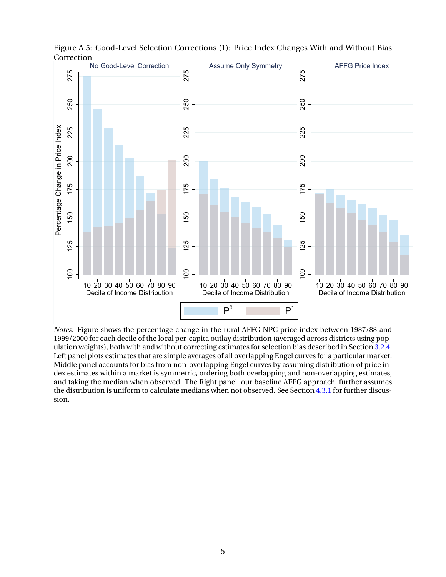

<span id="page-47-0"></span>Figure A.5: Good-Level Selection Corrections (1): Price Index Changes With and Without Bias Correction<br>No Good-Level Correction

*Notes*: Figure shows the percentage change in the rural AFFG NPC price index between 1987/88 and 1999/2000 for each decile of the local per-capita outlay distribution (averaged across districts using population weights), both with and without correcting estimates for selection bias described in Section [3.2.4.](#page-20-0) Left panel plots estimates that are simple averages of all overlapping Engel curves for a particular market. Middle panel accounts for bias from non-overlapping Engel curves by assuming distribution of price index estimates within a market is symmetric, ordering both overlapping and non-overlapping estimates, and taking the median when observed. The Right panel, our baseline AFFG approach, further assumes the distribution is uniform to calculate medians when not observed. See Section [4.3.1](#page-27-0) for further discussion.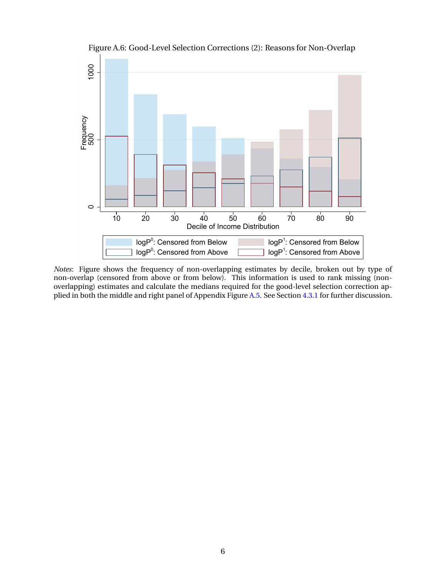

Figure A.6: Good-Level Selection Corrections (2): Reasons for Non-Overlap

*Notes*: Figure shows the frequency of non-overlapping estimates by decile, broken out by type of non-overlap (censored from above or from below). This information is used to rank missing (nonoverlapping) estimates and calculate the medians required for the good-level selection correction applied in both the middle and right panel of Appendix Figure [A.5.](#page-47-0) See Section [4.3.1](#page-27-0) for further discussion.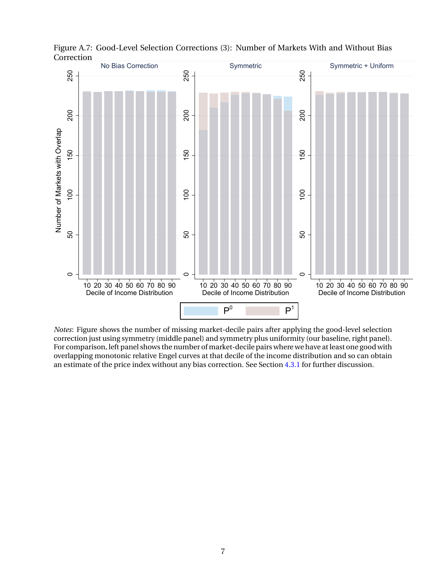

Figure A.7: Good-Level Selection Corrections (3): Number of Markets With and Without Bias **Correction** 

*Notes*: Figure shows the number of missing market-decile pairs after applying the good-level selection correction just using symmetry (middle panel) and symmetry plus uniformity (our baseline, right panel). For comparison, left panel shows the number of market-decile pairs where we have at least one good with overlapping monotonic relative Engel curves at that decile of the income distribution and so can obtain an estimate of the price index without any bias correction. See Section [4.3.1](#page-27-0) for further discussion.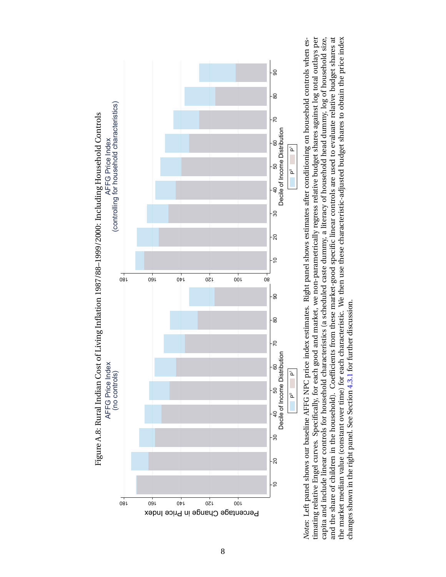

10 20 30<br>
10 20 30 Decile of Income Distribution<br>
14 shows our baseline AFFG NPC price index estimates. Rig<br>
15 Fingel curves. Specifically, for each good and market, we<br>
16 linear controls for household characteristics ( NPC problem<br>for each dd cl<br>hold cl<br>e) for t<br>n 4.3.1 10 20 30 40 50 60 70 80 90 Decile of Income Distribution P<br>
itioning<br>
udget s<br>
sed to<br>
1 budget<br>
1 budget *Notes*: Left panel shows our baseline AFFG NPC price index estimates. Right panel shows estimates after conditioning on household controls when es-<br>timating relative Engel curves. Specifically, for each good and market, w the market median value (constant over time) for each characteristic. We then use these characteristic-adjusted budget shares to obtain the price index changes shown in the right panel. See Section [4.3.1](#page-27-0) for further discussion.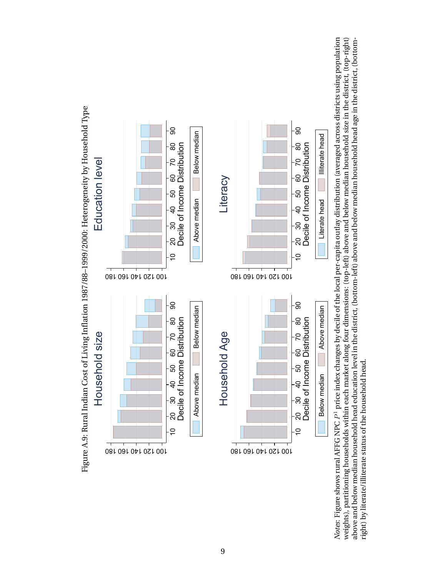

10 20 30 40 50 60 70 80 90<br>
Decile of Income Distribution<br>
Decile of Income Distribution<br>
<u>Below median</u><br>
NPC  $P^1$  price index changes by decile of t<br>
distribution and the district of the household head.<br>
of the househol Decile of Income Distribution<br>
Below median<br>
Below median<br>
P<sup>1</sup> price index changes by decil<br>
thin each market along four dim<br>
head education level in the district<br>
e household head. Below median **Above median**<br>
<sup>21</sup> price index changes by decile of<br>
thin each market along four dimen<br>
ead education level in the district,<br>
2 household head. 10 20 30 40 50 60 70 80 90<br>
Decile of Income Distribution<br>
Decile of Income Distribution<br>
<u>Interate head</u><br>
capita outlay distribution (averaged acros<br>
the abrow and below median household head<br>
above and below median house Decile of Income Distribution<br>
Literate head<br>
a unday distribution (averaged<br>
a ouday distribution (averaged<br>
ove and below median household l<br>
e and below median household l Literate head **Illiterate head and below median household** act and below median household head below median household head below median household head below median household head below median household head below median ho *Notes*: Figure shows rural AFFG NPC  $\vec{P}$ weights), partitioning households within each market along four dimensions: (top-left) above and below median household size in the district, (top-right) price index changes by decile of the local per-capita outlay distribution (averaged across districts using population weights), partitioning households within each market along four dimensions: (top-left) above and below median household size in the district, (top-right) above and below median household head education level in the district, (bottom-left) above and below median household head age in the district, (bottomright) by literate/illiterate status of the household head.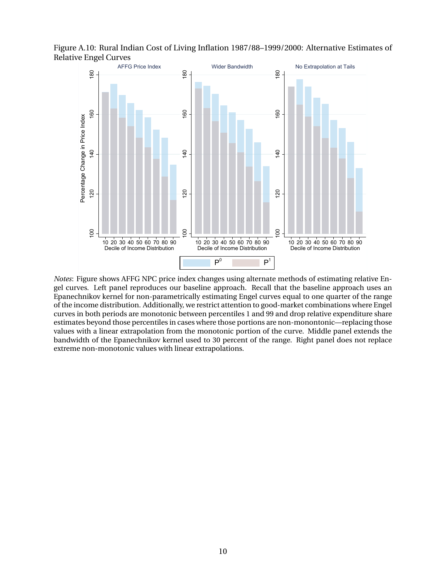

Figure A.10: Rural Indian Cost of Living Inflation 1987/88–1999/2000: Alternative Estimates of Relative Engel Curves

*Notes*: Figure shows AFFG NPC price index changes using alternate methods of estimating relative Engel curves. Left panel reproduces our baseline approach. Recall that the baseline approach uses an Epanechnikov kernel for non-parametrically estimating Engel curves equal to one quarter of the range of the income distribution. Additionally, we restrict attention to good-market combinations where Engel curves in both periods are monotonic between percentiles 1 and 99 and drop relative expenditure share estimates beyond those percentiles in cases where those portions are non-monontonic—replacing those values with a linear extrapolation from the monotonic portion of the curve. Middle panel extends the bandwidth of the Epanechnikov kernel used to 30 percent of the range. Right panel does not replace extreme non-monotonic values with linear extrapolations.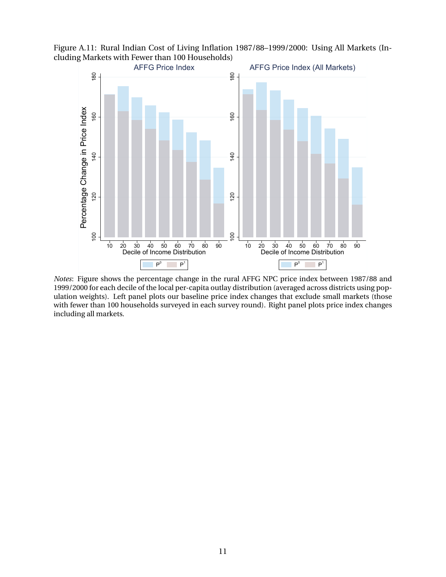Figure A.11: Rural Indian Cost of Living Inflation 1987/88–1999/2000: Using All Markets (Including Markets with Fewer than 100 Households)



*Notes*: Figure shows the percentage change in the rural AFFG NPC price index between 1987/88 and 1999/2000 for each decile of the local per-capita outlay distribution (averaged across districts using population weights). Left panel plots our baseline price index changes that exclude small markets (those with fewer than 100 households surveyed in each survey round). Right panel plots price index changes including all markets.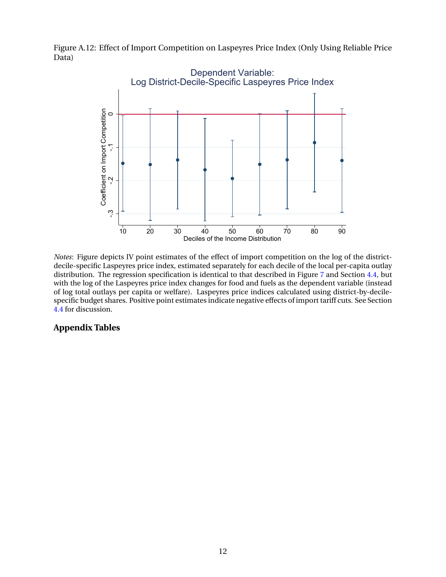Figure A.12: Effect of Import Competition on Laspeyres Price Index (Only Using Reliable Price Data)



*Notes*: Figure depicts IV point estimates of the effect of import competition on the log of the districtdecile-specific Laspeyres price index, estimated separately for each decile of the local per-capita outlay distribution. The regression specification is identical to that described in Figure [7](#page-40-0) and Section [4.4,](#page-30-0) but with the log of the Laspeyres price index changes for food and fuels as the dependent variable (instead of log total outlays per capita or welfare). Laspeyres price indices calculated using district-by-decilespecific budget shares. Positive point estimates indicate negative effects of import tariff cuts. See Section [4.4](#page-30-0) for discussion.

#### **Appendix Tables**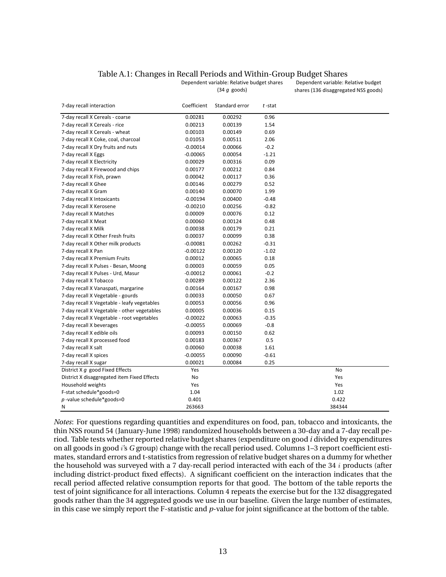#### Table A.1: Changes in Recall Periods and Within-Group Budget Shares

| 7-day recall interaction                    | Coefficient | Standard error | t-stat  |        |
|---------------------------------------------|-------------|----------------|---------|--------|
| 7-day recall X Cereals - coarse             | 0.00281     | 0.00292        | 0.96    |        |
| 7-day recall X Cereals - rice               | 0.00213     | 0.00139        | 1.54    |        |
| 7-day recall X Cereals - wheat              | 0.00103     | 0.00149        | 0.69    |        |
| 7-day recall X Coke, coal, charcoal         | 0.01053     | 0.00511        | 2.06    |        |
| 7-day recall X Dry fruits and nuts          | $-0.00014$  | 0.00066        | $-0.2$  |        |
| 7-day recall X Eggs                         | $-0.00065$  | 0.00054        | $-1.21$ |        |
| 7-day recall X Electricity                  | 0.00029     | 0.00316        | 0.09    |        |
| 7-day recall X Firewood and chips           | 0.00177     | 0.00212        | 0.84    |        |
| 7-day recall X Fish, prawn                  | 0.00042     | 0.00117        | 0.36    |        |
| 7-day recall X Ghee                         | 0.00146     | 0.00279        | 0.52    |        |
| 7-day recall X Gram                         | 0.00140     | 0.00070        | 1.99    |        |
| 7-day recall X Intoxicants                  | $-0.00194$  | 0.00400        | $-0.48$ |        |
| 7-day recall X Kerosene                     | $-0.00210$  | 0.00256        | $-0.82$ |        |
| 7-day recall X Matches                      | 0.00009     | 0.00076        | 0.12    |        |
| 7-day recall X Meat                         | 0.00060     | 0.00124        | 0.48    |        |
| 7-day recall X Milk                         | 0.00038     | 0.00179        | 0.21    |        |
| 7-day recall X Other Fresh fruits           | 0.00037     | 0.00099        | 0.38    |        |
| 7-day recall X Other milk products          | $-0.00081$  | 0.00262        | $-0.31$ |        |
| 7-day recall X Pan                          | $-0.00122$  | 0.00120        | $-1.02$ |        |
| 7-day recall X Premium Fruits               | 0.00012     | 0.00065        | 0.18    |        |
| 7-day recall X Pulses - Besan, Moong        | 0.00003     | 0.00059        | 0.05    |        |
| 7-day recall X Pulses - Urd, Masur          | $-0.00012$  | 0.00061        | $-0.2$  |        |
| 7-day recall X Tobacco                      | 0.00289     | 0.00122        | 2.36    |        |
| 7-day recall X Vanaspati, margarine         | 0.00164     | 0.00167        | 0.98    |        |
| 7-day recall X Vegetable - gourds           | 0.00033     | 0.00050        | 0.67    |        |
| 7-day recall X Vegetable - leafy vegetables | 0.00053     | 0.00056        | 0.96    |        |
| 7-day recall X Vegetable - other vegetables | 0.00005     | 0.00036        | 0.15    |        |
| 7-day recall X Vegetable - root vegetables  | $-0.00022$  | 0.00063        | $-0.35$ |        |
| 7-day recall X beverages                    | $-0.00055$  | 0.00069        | $-0.8$  |        |
| 7-day recall X edible oils                  | 0.00093     | 0.00150        | 0.62    |        |
| 7-day recall X processed food               | 0.00183     | 0.00367        | 0.5     |        |
| 7-day recall X salt                         | 0.00060     | 0.00038        | 1.61    |        |
| 7-day recall X spices                       | $-0.00055$  | 0.00090        | $-0.61$ |        |
| 7-day recall X sugar                        | 0.00021     | 0.00084        | 0.25    |        |
| District X q good Fixed Effects             | Yes         |                |         | No     |
| District X disaggregated item Fixed Effects | No          |                |         | Yes    |
| Household weights                           | Yes         |                |         | Yes    |
| F-stat schedule*goods=0                     | 1.04        |                |         | 1.02   |
| $p$ -value schedule*goods=0                 | 0.401       |                |         | 0.422  |
| N                                           | 263663      |                |         | 384344 |

Dependent variable: Relative budget shares (34 *g* goods)

Dependent variable: Relative budget shares (136 disaggregated NSS goods)

*Notes*: For questions regarding quantities and expenditures on food, pan, tobacco and intoxicants, the thin NSS round 54 (January-June 1998) randomized households between a 30-day and a 7-day recall period. Table tests whether reported relative budget shares (expenditure on good *i* divided by expenditures on all goods in good i's *G* group) change with the recall period used. Columns 1–3 report coefficient estimates, standard errors and t-statistics from regression of relative budget shares on a dummy for whether the household was surveyed with a 7 day-recall period interacted with each of the 34  $i$  products (after including district-product fixed effects). A significant coefficient on the interaction indicates that the recall period affected relative consumption reports for that good. The bottom of the table reports the test of joint significance for all interactions. Column 4 repeats the exercise but for the 132 disaggregated goods rather than the 34 aggregated goods we use in our baseline. Given the large number of estimates, in this case we simply report the F-statistic and *p*-value for joint significance at the bottom of the table.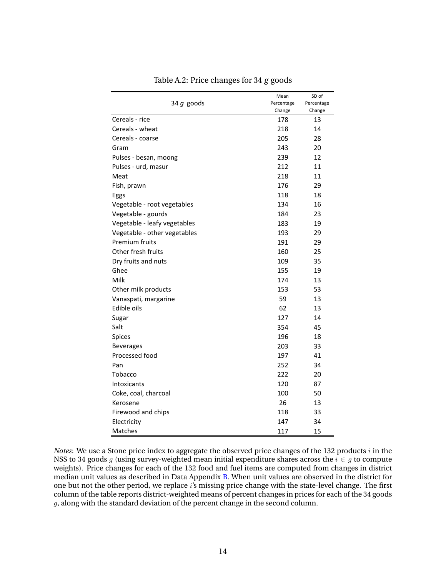|                              | Mean       | SD of      |
|------------------------------|------------|------------|
| 34 $g$ goods                 | Percentage | Percentage |
|                              | Change     | Change     |
| Cereals - rice               | 178        | 13         |
| Cereals - wheat              | 218        | 14         |
| Cereals - coarse             | 205        | 28         |
| Gram                         | 243        | 20         |
| Pulses - besan, moong        | 239        | 12         |
| Pulses - urd, masur          | 212        | 11         |
| Meat                         | 218        | 11         |
| Fish, prawn                  | 176        | 29         |
| Eggs                         | 118        | 18         |
| Vegetable - root vegetables  | 134        | 16         |
| Vegetable - gourds           | 184        | 23         |
| Vegetable - leafy vegetables | 183        | 19         |
| Vegetable - other vegetables | 193        | 29         |
| Premium fruits               | 191        | 29         |
| Other fresh fruits           | 160        | 25         |
| Dry fruits and nuts          | 109        | 35         |
| Ghee                         | 155        | 19         |
| Milk                         | 174        | 13         |
| Other milk products          | 153        | 53         |
| Vanaspati, margarine         | 59         | 13         |
| Edible oils                  | 62         | 13         |
| Sugar                        | 127        | 14         |
| Salt                         | 354        | 45         |
| Spices                       | 196        | 18         |
| <b>Beverages</b>             | 203        | 33         |
| Processed food               | 197        | 41         |
| Pan                          | 252        | 34         |
| Tobacco                      | 222        | 20         |
| <b>Intoxicants</b>           | 120        | 87         |
| Coke, coal, charcoal         | 100        | 50         |
| Kerosene                     | 26         | 13         |
| Firewood and chips           | 118        | 33         |
| Electricity                  | 147        | 34         |
| Matches                      | 117        | 15         |

Table A.2: Price changes for 34 *g* goods

*Notes*: We use a Stone price index to aggregate the observed price changes of the 132 products i in the NSS to 34 goods g (using survey-weighted mean initial expenditure shares across the  $i \in g$  to compute weights). Price changes for each of the 132 food and fuel items are computed from changes in district median unit values as described in Data Appendix [B.](#page-57-0) When unit values are observed in the district for one but not the other period, we replace i's missing price change with the state-level change. The first column of the table reports district-weighted means of percent changes in prices for each of the 34 goods g, along with the standard deviation of the percent change in the second column.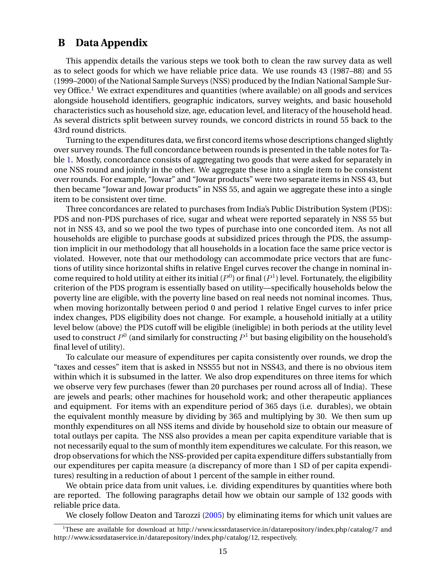#### <span id="page-57-0"></span>**B Data Appendix**

This appendix details the various steps we took both to clean the raw survey data as well as to select goods for which we have reliable price data. We use rounds 43 (1987–88) and 55 (1999–2000) of the National Sample Surveys (NSS) produced by the Indian National Sample Survey Office.<sup>1</sup> We extract expenditures and quantities (where available) on all goods and services alongside household identifiers, geographic indicators, survey weights, and basic household characteristics such as household size, age, education level, and literacy of the household head. As several districts split between survey rounds, we concord districts in round 55 back to the 43rd round districts.

Turning to the expenditures data, we first concord items whose descriptions changed slightly over survey rounds. The full concordance between rounds is presented in the table notes for Table [1.](#page-41-0) Mostly, concordance consists of aggregating two goods that were asked for separately in one NSS round and jointly in the other. We aggregate these into a single item to be consistent over rounds. For example, "Jowar" and "Jowar products" were two separate items in NSS 43, but then became "Jowar and Jowar products" in NSS 55, and again we aggregate these into a single item to be consistent over time.

Three concordances are related to purchases from India's Public Distribution System (PDS): PDS and non-PDS purchases of rice, sugar and wheat were reported separately in NSS 55 but not in NSS 43, and so we pool the two types of purchase into one concorded item. As not all households are eligible to purchase goods at subsidized prices through the PDS, the assumption implicit in our methodology that all households in a location face the same price vector is violated. However, note that our methodology can accommodate price vectors that are functions of utility since horizontal shifts in relative Engel curves recover the change in nominal income required to hold utility at either its initial ( $P^0$ ) or final ( $P^1$ ) level. Fortunately, the eligibility criterion of the PDS program is essentially based on utility—specifically households below the poverty line are eligible, with the poverty line based on real needs not nominal incomes. Thus, when moving horizontally between period 0 and period 1 relative Engel curves to infer price index changes, PDS eligibility does not change. For example, a household initially at a utility level below (above) the PDS cutoff will be eligible (ineligible) in both periods at the utility level used to construct  $P^0$  (and similarly for constructing  $P^1$  but basing eligibility on the household's final level of utility).

To calculate our measure of expenditures per capita consistently over rounds, we drop the "taxes and cesses" item that is asked in NSS55 but not in NSS43, and there is no obvious item within which it is subsumed in the latter. We also drop expenditures on three items for which we observe very few purchases (fewer than 20 purchases per round across all of India). These are jewels and pearls; other machines for household work; and other therapeutic appliances and equipment. For items with an expenditure period of 365 days (i.e. durables), we obtain the equivalent monthly measure by dividing by 365 and multiplying by 30. We then sum up monthly expenditures on all NSS items and divide by household size to obtain our measure of total outlays per capita. The NSS also provides a mean per capita expenditure variable that is not necessarily equal to the sum of monthly item expenditures we calculate. For this reason, we drop observations for which the NSS-provided per capita expenditure differs substantially from our expenditures per capita measure (a discrepancy of more than 1 SD of per capita expenditures) resulting in a reduction of about 1 percent of the sample in either round.

We obtain price data from unit values, i.e. dividing expenditures by quantities where both are reported. The following paragraphs detail how we obtain our sample of 132 goods with reliable price data.

We closely follow Deaton and Tarozzi [\(2005\)](#page-32-0) by eliminating items for which unit values are

<sup>&</sup>lt;sup>1</sup>These are available for download at http://www.icssrdataservice.in/datarepository/index.php/catalog/7 and http://www.icssrdataservice.in/datarepository/index.php/catalog/12, respectively.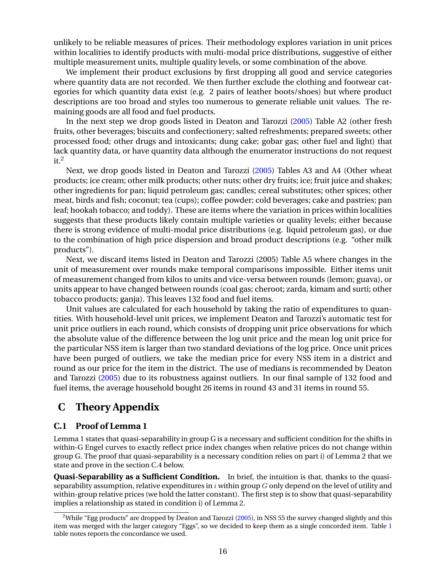<span id="page-58-0"></span>unlikely to be reliable measures of prices. Their methodology explores variation in unit prices within localities to identify products with multi-modal price distributions, suggestive of either multiple measurement units, multiple quality levels, or some combination of the above.

We implement their product exclusions by first dropping all good and service categories where quantity data are not recorded. We then further exclude the clothing and footwear categories for which quantity data exist (e.g. 2 pairs of leather boots/shoes) but where product descriptions are too broad and styles too numerous to generate reliable unit values. The remaining goods are all food and fuel products.

In the next step we drop goods listed in Deaton and Tarozzi [\(2005\)](#page-32-0) Table A2 (other fresh fruits, other beverages; biscuits and confectionery; salted refreshments; prepared sweets; other processed food; other drugs and intoxicants; dung cake; gobar gas; other fuel and light) that lack quantity data, or have quantity data although the enumerator instructions do not request  $it<sup>2</sup>$ 

Next, we drop goods listed in Deaton and Tarozzi [\(2005\)](#page-32-0) Tables A3 and A4 (Other wheat products; ice cream; other milk products; other nuts; other dry fruits; ice; fruit juice and shakes; other ingredients for pan; liquid petroleum gas; candles; cereal substitutes; other spices; other meat, birds and fish; coconut; tea (cups); coffee powder; cold beverages; cake and pastries; pan leaf; hookah tobacco; and toddy). These are items where the variation in prices within localities suggests that these products likely contain multiple varieties or quality levels; either because there is strong evidence of multi-modal price distributions (e.g. liquid petroleum gas), or due to the combination of high price dispersion and broad product descriptions (e.g. "other milk products").

Next, we discard items listed in Deaton and Tarozzi (2005) Table A5 where changes in the unit of measurement over rounds make temporal comparisons impossible. Either items unit of measurement changed from kilos to units and vice-versa between rounds (lemon; guava), or units appear to have changed between rounds (coal gas; cheroot; zarda, kimam and surti; other tobacco products; ganja). This leaves 132 food and fuel items.

Unit values are calculated for each household by taking the ratio of expenditures to quantities. With household-level unit prices, we implement Deaton and Tarozzi's automatic test for unit price outliers in each round, which consists of dropping unit price observations for which the absolute value of the difference between the log unit price and the mean log unit price for the particular NSS item is larger than two standard deviations of the log price. Once unit prices have been purged of outliers, we take the median price for every NSS item in a district and round as our price for the item in the district. The use of medians is recommended by Deaton and Tarozzi [\(2005\)](#page-32-0) due to its robustness against outliers. In our final sample of 132 food and fuel items, the average household bought 26 items in round 43 and 31 items in round 55.

### **C Theory Appendix**

#### **C.1 Proof of Lemma 1**

Lemma 1 states that quasi-separability in group G is a necessary and sufficient condition for the shifts in within-G Engel curves to exactly reflect price index changes when relative prices do not change within group G. The proof that quasi-separability is a necessary condition relies on part i) of Lemma 2 that we state and prove in the section C.4 below.

**Quasi-Separability as a Sufficient Condition.** In brief, the intuition is that, thanks to the quasiseparability assumption, relative expenditures in  $i$  within group G only depend on the level of utility and within-group relative prices (we hold the latter constant). The first step is to show that quasi-separability implies a relationship as stated in condition i) of Lemma 2.

<sup>&</sup>lt;sup>2</sup>While "Egg products" are dropped by Deaton and Tarozzi [\(2005\)](#page-32-0), in NSS 55 the survey changed slightly and this item was merged with the larger category "Eggs", so we decided to keep them as a single concorded item. Table [1](#page-41-0) table notes reports the concordance we used.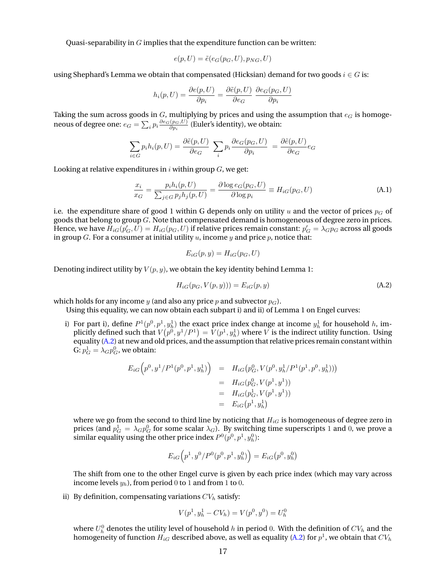<span id="page-59-0"></span>Quasi-separability in  $G$  implies that the expenditure function can be written:

$$
e(p, U) = \tilde{e}(e_G(p_G, U), p_{NG}, U)
$$

using Shephard's Lemma we obtain that compensated (Hicksian) demand for two goods  $i \in G$  is:

$$
h_i(p, U) = \frac{\partial e(p, U)}{\partial p_i} = \frac{\partial \tilde{e}(p, U)}{\partial e_G} \frac{\partial e_G(p_G, U)}{\partial p_i}
$$

Taking the sum across goods in  $G$ , multiplying by prices and using the assumption that  $e_G$  is homogeneous of degree one:  $e_G = \sum_i p_i \frac{\partial e_G(p_G, U)}{\partial p_i}$  $\frac{(p_G, U)}{\partial p_i}$  (Euler's identity), we obtain:

$$
\sum_{i \in G} p_i h_i(p, U) = \frac{\partial \tilde{e}(p, U)}{\partial e_G} \sum_i p_i \frac{\partial e_G(p_G, U)}{\partial p_i} = \frac{\partial \tilde{e}(p, U)}{\partial e_G} e_G
$$

Looking at relative expenditures in  $i$  within group  $G$ , we get:

$$
\frac{x_i}{x_G} = \frac{p_i h_i(p, U)}{\sum_{j \in G} p_j h_j(p, U)} = \frac{\partial \log e_G(p_G, U)}{\partial \log p_i} \equiv H_{iG}(p_G, U)
$$
\n(A.1)

i.e. the expenditure share of good 1 within G depends only on utility u and the vector of prices  $p<sub>G</sub>$  of goods that belong to group G. Note that compensated demand is homogeneous of degree zero in prices. Hence, we have  $H_{iG}(p'_G,U)=H_{iG}(p_G,U)$  if relative prices remain constant:  $p'_G=\lambda_G p_G$  across all goods in group G. For a consumer at initial utility  $u$ , income  $y$  and price  $p$ , notice that:

$$
E_{iG}(p, y) = H_{iG}(p_G, U)
$$

Denoting indirect utility by  $V(p, y)$ , we obtain the key identity behind Lemma 1:

$$
H_{iG}(p_G, V(p, y))) = E_{iG}(p, y)
$$
\n(A.2)

which holds for any income y (and also any price p and subvector  $p_G$ ).

Using this equality, we can now obtain each subpart i) and ii) of Lemma 1 on Engel curves:

i) For part i), define  $P^1(p^0, p^1, y^1_h)$  the exact price index change at income  $y^1_h$  for household h, implicitly defined such that  $V\big(p^0, y^1/P^1\big) = V(p^1, y^1_h)$  where  $V$  is the indirect utility function. Using equality (A.2) at new and old prices, and the assumption that relative prices remain constant within G:  $p_G^1 = \lambda_G p_G^0$ , we obtain:

$$
E_{iG}\left(p^{0}, y^{1}/P^{1}(p^{0}, p^{1}, y_{h}^{1})\right) = H_{iG}\left(p_{G}^{0}, V(p^{0}, y_{h}^{1}/P^{1}(p^{1}, p^{0}, y_{h}^{1}))\right)
$$
  

$$
= H_{iG}(p_{G}^{0}, V(p^{1}, y^{1}))
$$
  

$$
= H_{iG}(p_{G}^{1}, V(p^{1}, y^{1}))
$$
  

$$
= E_{iG}(p^{1}, y_{h}^{1})
$$

where we go from the second to third line by noticing that  $H_{iG}$  is homogeneous of degree zero in prices (and  $p_G^1 = \lambda_G p_G^0$  for some scalar  $\lambda_G$ ). By switching time superscripts 1 and 0, we prove a similar equality using the other price index  $P^0(p^0,p^1,y^0_h)$ :

$$
E_{iG}(p^{1},y^{0}/P^{0}(p^{0},p^{1},y_{h}^{0})) = E_{iG}(p^{0},y_{h}^{0})
$$

The shift from one to the other Engel curve is given by each price index (which may vary across income levels  $y_h$ ), from period 0 to 1 and from 1 to 0.

ii) By definition, compensating variations  $CV<sub>h</sub>$  satisfy:

$$
V(p1, yh1 - CVh) = V(p0, y0) = Uh0
$$

where  $U_h^0$  denotes the utility level of household  $h$  in period  $0.$  With the definition of  $CV_h$  and the homogeneity of function  $H_{iG}$  described above, as well as equality (A.2) for  $p^1$ , we obtain that  $CV_h$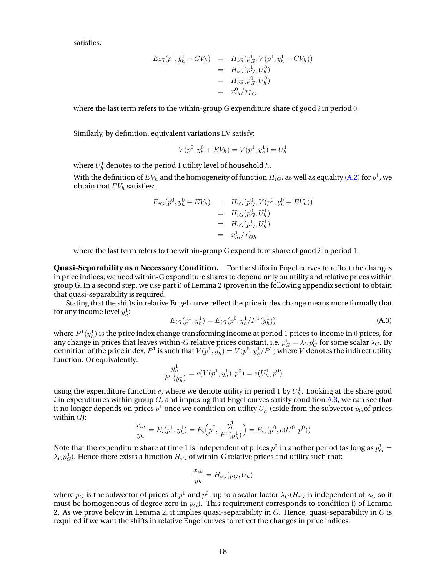satisfies:

$$
E_{iG}(p^{1}, y_{h}^{1} - CV_{h}) = H_{iG}(p_{G}^{1}, V(p^{1}, y_{h}^{1} - CV_{h}))
$$
  
=  $H_{iG}(p_{G}^{1}, U_{h}^{0})$   
=  $H_{iG}(p_{G}^{0}, U_{h}^{0})$   
=  $x_{ih}^{0}/x_{hG}^{1}$ 

where the last term refers to the within-group G expenditure share of good  $i$  in period 0.

Similarly, by definition, equivalent variations EV satisfy:

$$
V(p^{0}, y_{h}^{0} + EV_{h}) = V(p^{1}, y_{h}^{1}) = U_{h}^{1}
$$

where  $U^1_h$  denotes to the period 1 utility level of household  $h.$ 

With the definition of  $EV_{h}$  and the homogeneity of function  $H_{iG}$ , as well as equality [\(A.2\)](#page-59-0) for  $p^{1}$ , we obtain that  $EV<sub>b</sub>$  satisfies:

$$
E_{iG}(p^{0}, y_{h}^{0} + EV_{h}) = H_{iG}(p_{G}^{0}, V(p^{0}, y_{h}^{0} + EV_{h}))
$$
  
=  $H_{iG}(p_{G}^{0}, U_{h}^{1})$   
=  $H_{iG}(p_{G}^{1}, U_{h}^{1})$   
=  $x_{hi}^{1}/x_{Gh}^{1}$ 

where the last term refers to the within-group G expenditure share of good  $i$  in period 1.

**Quasi-Separability as a Necessary Condition.** For the shifts in Engel curves to reflect the changes in price indices, we need within-G expenditure shares to depend only on utility and relative prices within group G. In a second step, we use part i) of Lemma 2 (proven in the following appendix section) to obtain that quasi-separability is required.

Stating that the shifts in relative Engel curve reflect the price index change means more formally that for any income level  $y_h^1$ :

$$
E_{iG}(p^1, y_h^1) = E_{iG}(p^0, y_h^1/P^1(y_h^1))
$$
\n(A.3)

where  $P^1(y^1_h)$  is the price index change transforming income at period  $1$  prices to income in  $0$  prices, for any change in prices that leaves within- $G$  relative prices constant, i.e.  $p_G^1=\lambda_G p_G^0$  for some scalar  $\lambda_G$ . By definition of the price index,  $P^1$  is such that  $V(p^1,y^1_h)=V(p^0,y^1_h/P^1)$  where  $V$  denotes the indirect utility function. Or equivalently:

$$
\frac{y_h^1}{P^1(y_h^1)} = e(V(p^1,y_h^1),p^0) = e(U_h^1,p^0)
$$

using the expenditure function  $e$ , where we denote utility in period 1 by  $U^1_h$ . Looking at the share good  $i$  in expenditures within group  $G$ , and imposing that Engel curves satisfy condition A.3, we can see that it no longer depends on prices  $p^1$  once we condition on utility  $U^1_h$  (aside from the subvector  $p_G$ of prices within  $G$ ):

$$
\frac{x_{ih}}{y_h} = E_i(p^1, y_h^1) = E_i\left(p^0, \frac{y_h^1}{P^1(y_h^1)}\right) = E_G(p^0, e(U^0, p^0))
$$

Note that the expenditure share at time  $1$  is independent of prices  $p^0$  in another period (as long as  $p_G^1 = \emptyset$  $\lambda_{G}p_{G}^{0}.$  Hence there exists a function  $H_{iG}$  of within-G relative prices and utility such that:

$$
\frac{x_{ih}}{y_h} = H_{iG}(p_G, U_h)
$$

where  $p_G$  is the subvector of prices of  $p^1$  and  $p^0$ , up to a scalar factor  $\lambda_G (H_{iG}$  is independent of  $\lambda_G$  so it must be homogeneous of degree zero in  $p_G$ ). This requirement corresponds to condition i) of Lemma 2. As we prove below in Lemma 2, it implies quasi-separability in  $G$ . Hence, quasi-separability in  $G$  is required if we want the shifts in relative Engel curves to reflect the changes in price indices.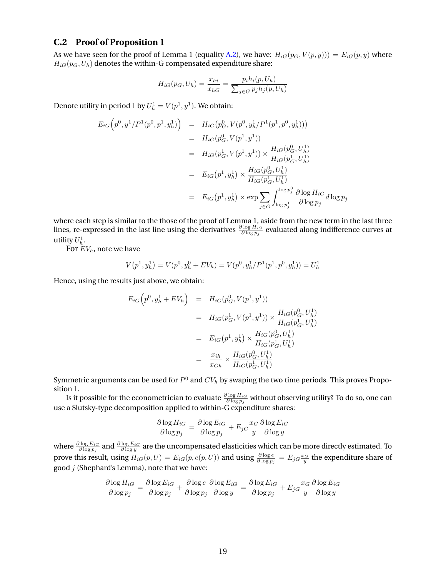#### **C.2 Proof of Proposition 1**

As we have seen for the proof of Lemma 1 (equality [A.2\)](#page-59-0), we have:  $H_{iG}(p_G, V(p, y)) = E_{iG}(p, y)$  where  $H_{iG}(p_G, U_h)$  denotes the within-G compensated expenditure share:

$$
H_{iG}(p_G, U_h) = \frac{x_{hi}}{x_{hG}} = \frac{p_i h_i(p, U_h)}{\sum_{j \in G} p_j h_j(p, U_h)}
$$

Denote utility in period 1 by  $U_h^1=V(p^1,y^1)$ . We obtain:

$$
E_{iG}\left(p^{0}, y^{1}/P^{1}(p^{0}, p^{1}, y_{h}^{1})\right) = H_{iG}\left(p_{G}^{0}, V(p^{0}, y_{h}^{1}/P^{1}(p^{1}, p^{0}, y_{h}^{1}))\right)
$$
  
\n
$$
= H_{iG}(p_{G}^{0}, V(p^{1}, y^{1}))
$$
  
\n
$$
= H_{iG}(p_{G}^{1}, V(p^{1}, y^{1})) \times \frac{H_{iG}(p_{G}^{0}, U_{h}^{1})}{H_{iG}(p_{G}^{1}, U_{h}^{1})}
$$
  
\n
$$
= E_{iG}(p^{1}, y_{h}^{1}) \times \frac{H_{iG}(p_{G}^{0}, U_{h}^{1})}{H_{iG}(p_{G}^{1}, U_{h}^{1})}
$$
  
\n
$$
= E_{iG}(p^{1}, y_{h}^{1}) \times \exp \sum_{j \in G} \int_{\log p_{j}^{1}}^{\log p_{j}^{0}} \frac{\partial \log H_{iG}}{\partial \log p_{j}} d\log p_{j}
$$

where each step is similar to the those of the proof of Lemma 1, aside from the new term in the last three lines, re-expressed in the last line using the derivatives  $\frac{\partial \log H_{iG}}{\partial \log p_j}$  evaluated along indifference curves at utility  $U_h^1$ .

For  $EV<sub>h</sub>$ , note we have

$$
V(p1, yh1) = V(p0, yh0 + EVh) = V(p0, yh1/P1(p1, p0, yh1)) = Uh1
$$

Hence, using the results just above, we obtain:

$$
E_{iG}\left(p^{0}, y_{h}^{1} + EV_{h}\right) = H_{iG}(p_{G}^{0}, V(p^{1}, y^{1}))
$$
  
\n
$$
= H_{iG}(p_{G}^{1}, V(p^{1}, y^{1})) \times \frac{H_{iG}(p_{G}^{0}, U_{h}^{1})}{H_{iG}(p_{G}^{1}, U_{h}^{1})}
$$
  
\n
$$
= E_{iG}(p^{1}, y_{h}^{1}) \times \frac{H_{iG}(p_{G}^{0}, U_{h}^{1})}{H_{iG}(p_{G}^{1}, U_{h}^{1})}
$$
  
\n
$$
= \frac{x_{ih}}{x_{Gh}} \times \frac{H_{iG}(p_{G}^{0}, U_{h}^{1})}{H_{iG}(p_{G}^{1}, U_{h}^{1})}
$$

Symmetric arguments can be used for  $P^0$  and  $CV_h$  by swaping the two time periods. This proves Proposition 1.

Is it possible for the econometrician to evaluate  $\frac{\partial \log H_{iG}}{\partial \log p_j}$  without observing utility? To do so, one can use a Slutsky-type decomposition applied to within-G expenditure shares:

$$
\frac{\partial \log H_{iG}}{\partial \log p_j} = \frac{\partial \log E_{iG}}{\partial \log p_j} + E_{jG} \frac{x_G}{y} \frac{\partial \log E_{iG}}{\partial \log y}
$$

where  $\frac{\partial \log E_{iG}}{\partial \log p_j}$  and  $\frac{\partial \log E_{iG}}{\partial \log y}$  are the uncompensated elasticities which can be more directly estimated. To prove this result, using  $H_{iG}(p,U) = E_{iG}(p,e(p,U))$  and using  $\frac{\partial \log e}{\partial \log p_j} = E_{jG} \frac{x_G}{y}$  the expenditure share of good  $j$  (Shephard's Lemma), note that we have:

$$
\frac{\partial \log H_{iG}}{\partial \log p_j} = \frac{\partial \log E_{iG}}{\partial \log p_j} + \frac{\partial \log e}{\partial \log p_j} \frac{\partial \log E_{iG}}{\partial \log y} = \frac{\partial \log E_{iG}}{\partial \log p_j} + E_{jG} \frac{x_G}{y} \frac{\partial \log E_{iG}}{\partial \log y}
$$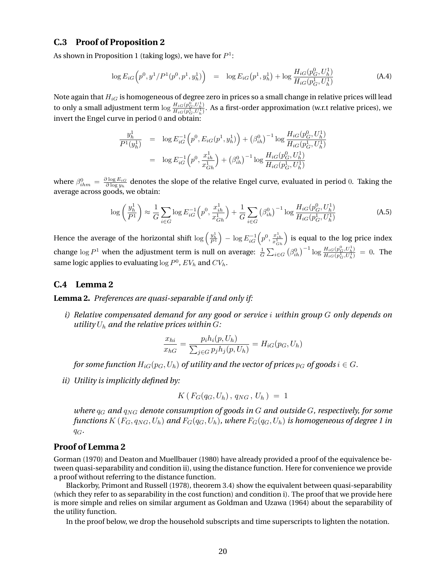#### <span id="page-62-0"></span>**C.3 Proof of Proposition 2**

As shown in Proposition 1 (taking logs), we have for  $P^1$ :

$$
\log E_{iG}\left(p^{0}, y^{1}/P^{1}(p^{0}, p^{1}, y_{h}^{1})\right) = \log E_{iG}\left(p^{1}, y_{h}^{1}\right) + \log \frac{H_{iG}(p_{G}^{0}, U_{h}^{1})}{H_{iG}(p_{G}^{1}, U_{h}^{1})}
$$
(A.4)

Note again that  $H_{iG}$  is homogeneous of degree zero in prices so a small change in relative prices will lead to only a small adjustment term  $\log \frac{H_{iG}(p_G^0,U_h^1)}{H_{iG}(p_G^1,U_h^1)}$ . As a first-order approximation (w.r.t relative prices), we invert the Engel curve in period 0 and obtain:

$$
\frac{y_h^1}{P^1(y_h^1)} = \log E_{iG}^{-1} (p^0, E_{iG}(p^1, y_h^1)) + (\beta_{ih}^0)^{-1} \log \frac{H_{iG}(p_G^0, U_h^1)}{H_{iG}(p_G^1, U_h^1)}
$$
  
\n
$$
= \log E_{iG}^{-1} (p^0, \frac{x_{ih}^1}{x_{Gh}^1}) + (\beta_{ih}^0)^{-1} \log \frac{H_{iG}(p_G^0, U_h^1)}{H_{iG}(p_G^1, U_h^1)}
$$

where  $\beta_{ihm}^0 = \frac{\partial \log E_{iG}}{\partial \log y_h}$  denotes the slope of the relative Engel curve, evaluated in period 0. Taking the average across goods, we obtain:

$$
\log\left(\frac{y_h^1}{P^1}\right) \approx \frac{1}{G} \sum_{i \in G} \log E_{iG}^{-1} \left(p^0, \frac{x_{ih}^1}{x_{Gh}^1}\right) + \frac{1}{G} \sum_{i \in G} \left(\beta_{ih}^0\right)^{-1} \log \frac{H_{iG}(p_G^0, U_h^1)}{H_{iG}(p_G^1, U_h^1)}
$$
(A.5)

Hence the average of the horizontal shift  $\log\left(\frac{y_h^1}{P^1}\right)-\log E_{iG}^{-1}\Big(p^0,\frac{x_{ih}^1}{x_{Gh}^1}\Big)$  is equal to the log price index change  $\log P^1$  when the adjustment term is null on average:  $\frac{1}{G} \sum_{i \in G} (\beta_{ih}^0)^{-1} \log \frac{H_{iG}(p_G^0, U_h^1)}{H_{iG}(p_G^1, U_h^1)} = 0$ . The same logic applies to evaluating  $\log P^0$ ,  $EV_h$  and  $CV_h$ .

#### **C.4 Lemma 2**

**Lemma 2.** *Preferences are quasi-separable if and only if:*

*i) Relative compensated demand for any good or service* i *within group* G *only depends on utility*  $U_h$  *and the relative prices within*  $G$ *:* 

$$
\frac{x_{hi}}{x_{hG}} = \frac{p_i h_i(p, U_h)}{\sum_{j \in G} p_j h_j(p, U_h)} = H_{iG}(p_G, U_h)
$$

*for some function*  $H_{iG}(p_G, U_h)$  *of utility and the vector of prices*  $p_G$  *of goods*  $i \in G$ *.* 

*ii) Utility is implicitly defined by:*

$$
K(F_G(q_G, U_h),\, q_{NG}\,,\, U_h\,) \;=\; 1
$$

*where* q<sup>G</sup> *and* qNG *denote consumption of goods in* G *and outside* G*, respectively, for some functions*  $K(F_G, q_{NG}, U_h)$  *and*  $F_G(q_G, U_h)$ *, where*  $F_G(q_G, U_h)$  *is homogeneous of degree 1 in* qG*.*

#### **Proof of Lemma 2**

Gorman (1970) and Deaton and Muellbauer (1980) have already provided a proof of the equivalence between quasi-separability and condition ii), using the distance function. Here for convenience we provide a proof without referring to the distance function.

Blackorby, Primont and Russell (1978), theorem 3.4) show the equivalent between quasi-separability (which they refer to as separability in the cost function) and condition i). The proof that we provide here is more simple and relies on similar argument as Goldman and Uzawa (1964) about the separability of the utility function.

In the proof below, we drop the household subscripts and time superscripts to lighten the notation.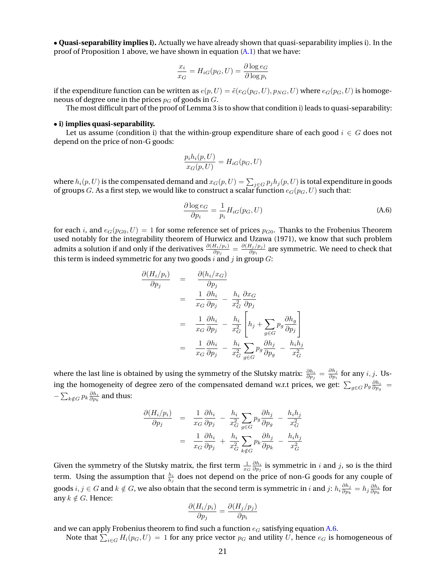• **Quasi-separability implies i).** Actually we have already shown that quasi-separability implies i). In the proof of Proposition 1 above, we have shown in equation  $(A, I)$  that we have:

$$
\frac{x_i}{x_G} = H_{iG}(p_G, U) = \frac{\partial \log e_G}{\partial \log p_i}
$$

if the expenditure function can be written as  $e(p, U) = \tilde{e}(e_G(p_G, U), p_{NG}, U)$  where  $e_G(p_G, U)$  is homogeneous of degree one in the prices  $p<sub>G</sub>$  of goods in  $G$ .

The most difficult part of the proof of Lemma 3 is to show that condition i) leads to quasi-separability:

#### • **i) implies quasi-separability.**

Let us assume (condition i) that the within-group expenditure share of each good  $i \in G$  does not depend on the price of non-G goods:

$$
\frac{p_i h_i(p, U)}{x_G(p, U)} = H_{iG}(p_G, U)
$$

where  $h_i(p,U)$  is the compensated demand and  $x_G(p,U)=\sum_{j\in G}p_jh_j(p,U)$  is total expenditure in goods of groups G. As a first step, we would like to construct a scalar function  $e_G(p_G, U)$  such that:

$$
\frac{\partial \log e_G}{\partial p_i} = \frac{1}{p_i} H_{iG}(p_G, U)
$$
\n(A.6)

for each i, and  $e_G(p_{G0}, U) = 1$  for some reference set of prices  $p_{G0}$ . Thanks to the Frobenius Theorem used notably for the integrability theorem of Hurwicz and Uzawa (1971), we know that such problem admits a solution if and only if the derivatives  $\frac{\partial (H_i/p_i)}{\partial p_j} = \frac{\partial (H_j/p_j)}{\partial p_i}$  $\frac{\sigma_j/p_j\sigma_j}{\partial p_i}$  are symmetric. We need to check that this term is indeed symmetric for any two goods  $i$  and  $j$  in group  $G$ :

$$
\frac{\partial (H_i/p_i)}{\partial p_j} = \frac{\partial (h_i/x_G)}{\partial p_j} \n= \frac{1}{x_G} \frac{\partial h_i}{\partial p_j} - \frac{h_i}{x_G^2} \frac{\partial x_G}{\partial p_j} \n= \frac{1}{x_G} \frac{\partial h_i}{\partial p_j} - \frac{h_i}{x_G^2} \left[ h_j + \sum_{g \in G} p_g \frac{\partial h_g}{\partial p_j} \right] \n= \frac{1}{x_G} \frac{\partial h_i}{\partial p_j} - \frac{h_i}{x_G^2} \sum_{g \in G} p_g \frac{\partial h_j}{\partial p_g} - \frac{h_i h_j}{x_G^2}
$$

where the last line is obtained by using the symmetry of the Slutsky matrix:  $\frac{\partial h_i}{\partial p_j}=\frac{\partial h_j}{\partial p_i}$  $\frac{\partial n_j}{\partial p_i}$  for any  $i, j$ . Using the homogeneity of degree zero of the compensated demand w.r.t prices, we get:  $\sum_{g\in G}p_g\frac{\partial h_i}{\partial p_g}=$  $-\sum_{k\notin G} p_k\frac{\partial h_i}{\partial p_k}$  and thus:

$$
\frac{\partial (H_i/p_i)}{\partial p_j} = \frac{1}{x_G} \frac{\partial h_i}{\partial p_j} - \frac{h_i}{x_G^2} \sum_{g \in G} p_g \frac{\partial h_j}{\partial p_g} - \frac{h_i h_j}{x_G^2}
$$
\n
$$
= \frac{1}{x_G} \frac{\partial h_i}{\partial p_j} + \frac{h_i}{x_G^2} \sum_{k \notin G} p_k \frac{\partial h_j}{\partial p_k} - \frac{h_i h_j}{x_G^2}
$$

Given the symmetry of the Slutsky matrix, the first term  $\frac{1}{x_G} \frac{\partial h_i}{\partial p_j}$  is symmetric in *i* and *j*, so is the third term. Using the assumption that  $\frac{h_i}{h_j}$  does not depend on the price of non-G goods for any couple of goods  $i,j\in G$  and  $k\notin G$ , we also obtain that the second term is symmetric in  $i$  and  $j$ :  $h_i\frac{\partial h_j}{\partial n_k}$  $\frac{\partial h_j}{\partial p_k} = h_j \frac{\partial h_i}{\partial p_k}$  for any  $k \notin G$ . Hence:

$$
\frac{\partial (H_i/p_i)}{\partial p_j} = \frac{\partial (H_j/p_j)}{\partial p_i}
$$

and we can apply Frobenius theorem to find such a function  $e_G$  satisfying equation A.6.

Note that  $\sum_{i\in G}H_i(p_G,U)=1$  for any price vector  $p_G$  and utility  $U$ , hence  $e_G$  is homogeneous of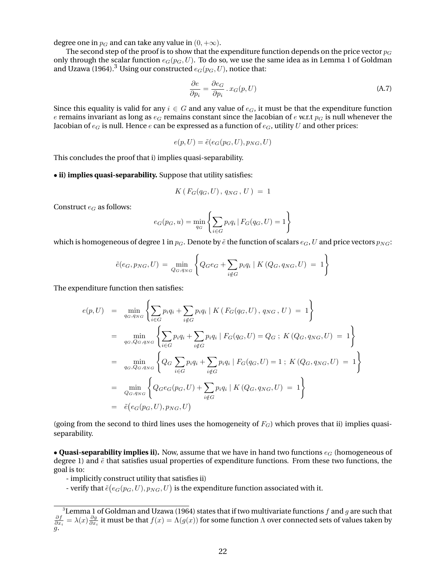degree one in  $p_G$  and can take any value in  $(0, +\infty)$ .

The second step of the proof is to show that the expenditure function depends on the price vector  $p_G$ only through the scalar function  $e_G(p_G, U)$ . To do so, we use the same idea as in Lemma 1 of Goldman and Uzawa (1964).<sup>3</sup> Using our constructed  $e_G(p_G, U)$ , notice that:

$$
\frac{\partial e}{\partial p_i} = \frac{\partial e_G}{\partial p_i} \cdot x_G(p, U) \tag{A.7}
$$

Since this equality is valid for any  $i \in G$  and any value of  $e_G$ , it must be that the expenditure function e remains invariant as long as  $e_G$  remains constant since the Jacobian of e w.r.t  $p_G$  is null whenever the Jacobian of  $e_G$  is null. Hence e can be expressed as a function of  $e_G$ , utility U and other prices:

$$
e(p, U) = \tilde{e}(e_G(p_G, U), p_{NG}, U)
$$

This concludes the proof that i) implies quasi-separability.

#### • **ii) implies quasi-separability.** Suppose that utility satisfies:

$$
K(F_G(q_G, U), q_{NG}, U) = 1
$$

Construct  $e_G$  as follows:

$$
e_G(p_G, u) = \min_{q_G} \left\{ \sum_{i \in G} p_i q_i \, | \, F_G(q_G, U) = 1 \right\}
$$

which is homogeneous of degree 1 in  $p_G$ . Denote by  $\tilde{e}$  the function of scalars  $e_G$ , U and price vectors  $p_{NG}$ :

$$
\tilde{e}(e_G, p_{NG}, U) = \min_{Q_G, q_{NG}} \left\{ Q_G e_G + \sum_{i \notin G} p_i q_i \mid K(Q_G, q_{NG}, U) = 1 \right\}
$$

The expenditure function then satisfies:

$$
e(p, U) = \min_{q_G, q_{NG}} \left\{ \sum_{i \in G} p_i q_i + \sum_{i \notin G} p_i q_i \mid K(F_G(q_G, U), q_{NG}, U) = 1 \right\}
$$
  
\n
$$
= \min_{q_G, Q_G, q_{NG}} \left\{ \sum_{i \in G} p_i q_i + \sum_{i \notin G} p_i q_i \mid F_G(q_G, U) = Q_G \; ; \; K(Q_G, q_{NG}, U) = 1 \right\}
$$
  
\n
$$
= \min_{q_G, Q_G, q_{NG}} \left\{ Q_G \sum_{i \in G} p_i q_i + \sum_{i \notin G} p_i q_i \mid F_G(q_G, U) = 1 \; ; \; K(Q_G, q_{NG}, U) = 1 \right\}
$$
  
\n
$$
= \min_{Q_G, q_{NG}} \left\{ Q_G e_G(p_G, U) + \sum_{i \notin G} p_i q_i \mid K(Q_G, q_{NG}, U) = 1 \right\}
$$
  
\n
$$
= \tilde{e}(e_G(p_G, U), p_{NG}, U)
$$

(going from the second to third lines uses the homogeneity of  $F_G$ ) which proves that ii) implies quasiseparability.

• **Quasi-separability implies ii).** Now, assume that we have in hand two functions  $e_G$  (homogeneous of degree 1) and  $\tilde{e}$  that satisfies usual properties of expenditure functions. From these two functions, the goal is to:

- implicitly construct utility that satisfies ii)

- verify that  $\tilde{e}(e_G(p_G, U), p_{NG}, U)$  is the expenditure function associated with it.

<sup>&</sup>lt;sup>3</sup>Lemma 1 of Goldman and Uzawa (1964) states that if two multivariate functions f and g are such that  $\frac{\partial f}{\partial x_i}=\lambda(x)\frac{\partial g}{\partial x_i}$  it must be that  $f(x)=\Lambda(g(x))$  for some function  $\Lambda$  over connected sets of values taken by  $\tilde{g}$ .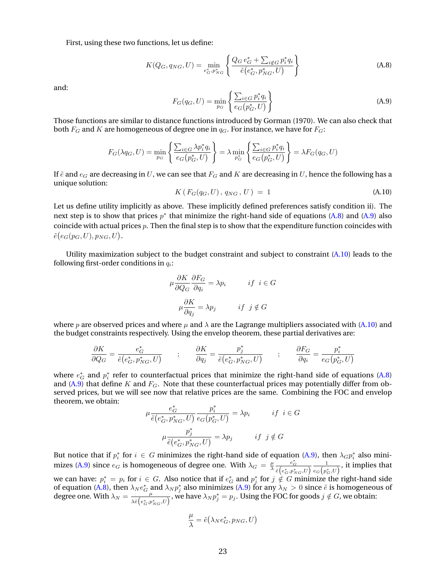<span id="page-65-0"></span>First, using these two functions, let us define:

$$
K(Q_G, q_{NG}, U) = \min_{e_G^*, p_{NG}^*} \left\{ \frac{Q_G e_G^* + \sum_{i \notin G} p_i^* q_i}{\tilde{e}(e_G^*, p_{NG}^*, U)} \right\}
$$
(A.8)

and:

$$
F_G(q_G, U) = \min_{p_G} \left\{ \frac{\sum_{i \in G} p_i^* q_i}{e_G(p_G^*, U)} \right\}
$$
(A.9)

Those functions are similar to distance functions introduced by Gorman (1970). We can also check that both  $F_G$  and K are homogeneous of degree one in  $q_G$ . For instance, we have for  $F_G$ :

$$
F_G(\lambda q_G, U) = \min_{p_G} \left\{ \frac{\sum_{i \in G} \lambda p_i^* q_i}{e_G(p_G^*, U)} \right\} = \lambda \min_{p_G^*} \left\{ \frac{\sum_{i \in G} p_i^* q_i}{e_G(p_G^*, U)} \right\} = \lambda F_G(q_G, U)
$$

If  $\tilde{e}$  and  $e_G$  are decreasing in U, we can see that  $F_G$  and K are decreasing in U, hence the following has a unique solution:

$$
K(F_G(q_G, U), q_{NG}, U) = 1
$$
\n(A.10)

Let us define utility implicitly as above. These implicitly defined preferences satisfy condition ii). The next step is to show that prices  $p^*$  that minimize the right-hand side of equations (A.8) and (A.9) also coincide with actual prices  $p$ . Then the final step is to show that the expenditure function coincides with  $\tilde{e}(e_G(p_G, U), p_{NG}, U).$ 

Utility maximization subject to the budget constraint and subject to constraint (A.10) leads to the following first-order conditions in  $q_i$ :

$$
\mu \frac{\partial K}{\partial Q_G} \frac{\partial F_G}{\partial q_i} = \lambda p_i \qquad \text{if } i \in G
$$

$$
\mu \frac{\partial K}{\partial q_j} = \lambda p_j \qquad \text{if } j \notin G
$$

where p are observed prices and where  $\mu$  and  $\lambda$  are the Lagrange multipliers associated with (A.10) and the budget constraints respectively. Using the envelop theorem, these partial derivatives are:

$$
\frac{\partial K}{\partial Q_G}=\frac{e^*_G}{\tilde{e}(e^*_G,p^*_{NG},U)}\qquad;\qquad \frac{\partial K}{\partial q_j}=\frac{p^*_j}{\tilde{e}(e^*_G,p^*_{NG},U)}\qquad;\qquad \frac{\partial F_G}{\partial q_i}=\frac{p^*_i}{e_G(p^*_G,U)}
$$

where  $e_G^*$  and  $p_i^*$  refer to counterfactual prices that minimize the right-hand side of equations (A.8) and (A.9) that define K and  $F_G$ . Note that these counterfactual prices may potentially differ from observed prices, but we will see now that relative prices are the same. Combining the FOC and envelop theorem, we obtain:

$$
\mu \frac{e_G^*}{\tilde{e}(e_G^*, p_{NG}^*, U)} \frac{p_i^*}{e_G(p_G^*, U)} = \lambda p_i \qquad if \ i \in G
$$

$$
\mu \frac{p_j^*}{\tilde{e}(e_G^*, p_{NG}^*, U)} = \lambda p_j \qquad if \ j \notin G
$$

But notice that if  $p_i^*$  for  $i \in G$  minimizes the right-hand side of equation (A.9), then  $\lambda_G p_i^*$  also minimizes (A.9) since  $e_G$  is homogeneous of degree one. With  $\lambda_G = \frac{\mu}{\lambda}$  $e_G^*$  $\frac{e_G^*}{\tilde{e}\left(e_G^*,p_{NG}^*,U\right)}\frac{1}{e_G\left(p_G^* \right)}$  $\frac{1}{e_G\left(p_G^*,U\right)},$  it implies that we can have:  $p_i^*=p_i$  for  $i\in G.$  Also notice that if  $e^*_G$  and  $p_j^*$  for  $j\notin G$  minimize the right-hand side we can have.  $p_i = p_i$  for  $i \in G$ . Also notice that if  $e_G$  and  $p_j$  for  $j \notin G$  infinitize the right-hand side of equation (A.8), then  $\lambda_N e_G^*$  and  $\lambda_N p_j^*$  also minimizes (A.9) for any  $\lambda_N > 0$  since  $\tilde{e}$  is homogene degree one. With  $\lambda_N = \frac{a}{\sqrt{1 + a^2}}$  $\frac{\mu}{\lambda \tilde{e}(e_{G}^*,p_{NG}^*,U)},$  we have  $\lambda_N p_j^* = p_j$ . Using the FOC for goods  $j \notin G$ , we obtain:

$$
\frac{\mu}{\lambda} = \tilde{e}(\lambda_N e^*_G, p_{NG}, U)
$$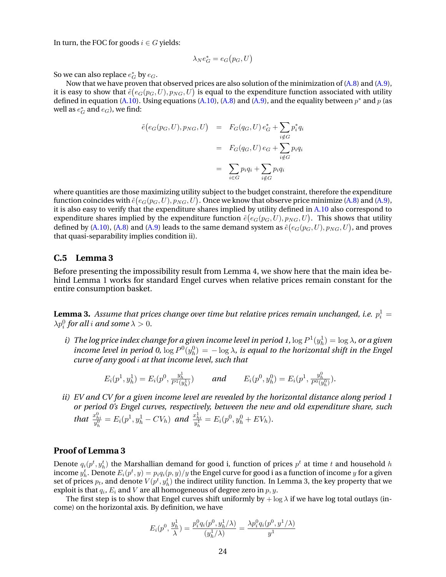In turn, the FOC for goods  $i \in G$  yields:

$$
\lambda_N e_G^* = e_G(p_G, U)
$$

So we can also replace  $e_G^*$  by  $e_G$ .

Now that we have proven that observed prices are also solution of the minimization of [\(A.8\)](#page-65-0) and [\(A.9\)](#page-65-0), it is easy to show that  ${\tilde e}(e_G(p_G, U), p_{NG}, U)$  is equal to the expenditure function associated with utility defined in equation [\(A.10\)](#page-65-0). Using equations (A.10), [\(A.8\)](#page-65-0) and [\(A.9\)](#page-65-0), and the equality between  $p^*$  and  $p$  (as well as  $e_G^*$  and  $e_G$ ), we find:

$$
\tilde{e}(e_G(p_G, U), p_{NG}, U) = F_G(q_G, U) e_G^* + \sum_{i \notin G} p_i^* q_i
$$

$$
= F_G(q_G, U) e_G + \sum_{i \notin G} p_i q_i
$$

$$
= \sum_{i \in G} p_i q_i + \sum_{i \notin G} p_i q_i
$$

where quantities are those maximizing utility subject to the budget constraint, therefore the expenditure function coincides with  ${\tilde e} (e_G(p_G, U), p_{NG}, U).$  Once we know that observe price minimize [\(A.8\)](#page-65-0) and [\(A.9\)](#page-65-0), it is also easy to verify that the expenditure shares implied by utility defined in [A.10](#page-65-0) also correspond to expenditure shares implied by the expenditure function  $\tilde{e}(e_G(p_G, U), p_{NG}, U)$ . This shows that utility defined by [\(A.10\)](#page-65-0), [\(A.8\)](#page-65-0) and [\(A.9\)](#page-65-0) leads to the same demand system as  $\tilde{e}(e_G(p_G,U),p_{NG},U)$ , and proves that quasi-separability implies condition ii).

#### **C.5 Lemma 3**

Before presenting the impossibility result from Lemma 4, we show here that the main idea behind Lemma 1 works for standard Engel curves when relative prices remain constant for the entire consumption basket.

 ${\bf Lemma~3.}$  Assume that prices change over time but relative prices remain unchanged, i.e.  $p_i^1 =$  $\lambda p_i^0$  for all i and some  $\lambda > 0$ .

i) The log price index change for a given income level in period 1,  $\log P^1(y^1_h) = \log \lambda$ , or a given income level in period 0,  $\log P^0(y^0_h) = -\log \lambda$ , is equal to the horizontal shift in the Engel *curve of any good* i *at that income level, such that*

$$
E_i(p^1, y_h^1) = E_i(p^0, \frac{y_h^1}{P^1(y_h^1)}) \quad \text{and} \quad E_i(p^0, y_h^0) = E_i(p^1, \frac{y_h^0}{P^0(y_h^0)}).
$$

*ii) EV and CV for a given income level are revealed by the horizontal distance along period 1 or period 0's Engel curves, respectively, between the new and old expenditure share, such that*  $\frac{x_{hi}^0}{y_h^0} = E_i(p^1, y_h^1 - CV_h)$  *and*  $\frac{x_{hi}^1}{y_h^1} = E_i(p^0, y_h^0 + EV_h)$ *.* 

#### **Proof of Lemma 3**

Denote  $q_i(p^t, y_h^t)$  the Marshallian demand for good i, function of prices  $p^t$  at time  $t$  and household  $h$ income  $y_h^t$ . Denote  $E_i(p^t,y) = p_iq_i(p,y)/y$  the Engel curve for good i as a function of income  $y$  for a given set of prices  $p_t$ , and denote  $V(p^t,y^t_h)$  the indirect utility function. In Lemma 3, the key property that we exploit is that  $q_i$ ,  $E_i$  and  $V$  are all homogeneous of degree zero in  $p,y.$ 

The first step is to show that Engel curves shift uniformly by  $+\log \lambda$  if we have log total outlays (income) on the horizontal axis. By definition, we have

$$
E_i(p^0, \frac{y_h^1}{\lambda}) = \frac{p_i^0 q_i(p^0, y_h^1/\lambda)}{(y_h^1/\lambda)} = \frac{\lambda p_i^0 q_i(p^0, y^1/\lambda)}{y^1}
$$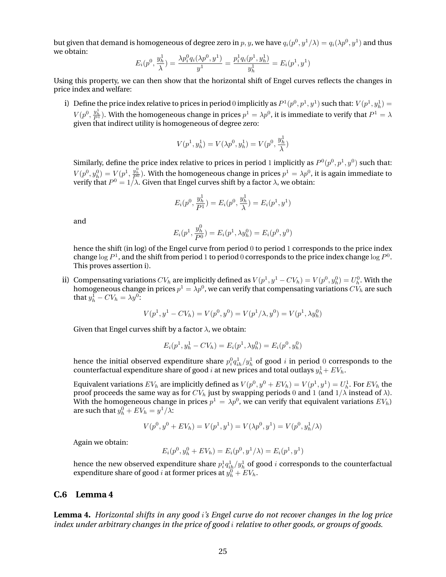but given that demand is homogeneous of degree zero in  $p,y$ , we have  $q_i(p^0,y^1/\lambda)=q_i(\lambda p^0,y^1)$  and thus we obtain:

$$
E_i(p^0, \frac{y_h^1}{\lambda}) = \frac{\lambda p_i^0 q_i(\lambda p^0, y^1)}{y^1} = \frac{p_i^1 q_i(p^1, y_h^1)}{y_h^1} = E_i(p^1, y^1)
$$

Using this property, we can then show that the horizontal shift of Engel curves reflects the changes in price index and welfare:

i) Define the price index relative to prices in period 0 implicitly as  $P^1(p^0, p^1, y^1)$  such that:  $V(p^1, y^1_h)$  $V(p^0,\frac{y_h^1}{P^1}).$  With the homogeneous change in prices  $p^1=\lambda p^0,$  it is immediate to verify that  $P^1=\lambda$ given that indirect utility is homogeneous of degree zero:

$$
V(p^1,y^1_h)=V(\lambda p^0,y^1_h)=V(p^0,\frac{y^1_h}{\lambda})
$$

Similarly, define the price index relative to prices in period 1 implicitly as  $P^0(p^0,p^1,y^0)$  such that:  $V(p^0,y^0_h)=V(p^1,\frac{y^0_h}{P^0})$ . With the homogeneous change in prices  $p^1=\lambda p^0$ , it is again immediate to verify that  $P^0 = 1/\lambda$ . Given that Engel curves shift by a factor  $\lambda$ , we obtain:

$$
E_i(p^0, \frac{y_h^1}{P^1}) = E_i(p^0, \frac{y_h^1}{\lambda}) = E_i(p^1, y^1)
$$

and

$$
E_i(p^1, \frac{y_h^0}{P^0}) = E_i(p^1, \lambda y_h^0) = E_i(p^0, y^0)
$$

hence the shift (in log) of the Engel curve from period  $0$  to period 1 corresponds to the price index change  $\log P^1$ , and the shift from period 1 to period 0 corresponds to the price index change  $\log P^0$ . This proves assertion i).

ii) Compensating variations  $CV_h$  are implicitly defined as  $V(p^1, y^1 - CV_h) = V(p^0, y^0_h) = U^0_h$ . With the homogeneous change in prices  $p^1 = \lambda p^0$ , we can verify that compensating variations  $C V_h$  are such that  $y_h^1 - CV_h = \lambda y^0$ :

$$
V(p1, y1 - CVh) = V(p0, y0) = V(p1/\lambda, y0) = V(p1, \lambda yh0)
$$

Given that Engel curves shift by a factor  $\lambda$ , we obtain:

$$
E_i(p^1, y_h^1 - CV_h) = E_i(p^1, \lambda y_h^0) = E_i(p^0, y_h^0)
$$

hence the initial observed expenditure share  $p_i^0q_{ih}^1/y_h^1$  of good  $i$  in period  $0$  corresponds to the counterfactual expenditure share of good  $i$  at new prices and total outlays  $y_h^1+\mathit{EV}_h.$ 

Equivalent variations  $EV_h$  are implicitly defined as  $V(p^0,y^0+EV_h)=V(p^1,y^1)=U^1_h.$  For  $EV_h$  the proof proceeds the same way as for  $CV<sub>h</sub>$  just by swapping periods 0 and 1 (and  $1/\lambda$  instead of  $λ$ ). With the homogeneous change in prices  $p^1=\lambda p^0$ , we can verify that equivalent variations  $EV_h$  ) are such that  $y_h^0 + EV_h = y^1/\lambda$ :

$$
V(p^{0}, y^{0} + EV_h) = V(p^{1}, y^{1}) = V(\lambda p^{0}, y^{1}) = V(p^{0}, y^{1}_{h}/\lambda)
$$

Again we obtain:

$$
E_i(p^0, y_h^0 + EV_h) = E_i(p^0, y^1/\lambda) = E_i(p^1, y^1)
$$

hence the new observed expenditure share  $p^1_i q^1_{ih}/y^1_h$  of good  $i$  corresponds to the counterfactual expenditure share of good  $i$  at former prices at  $y_h^0 + EV_h$ .

#### **C.6 Lemma 4**

**Lemma 4.** *Horizontal shifts in any good* i*'s Engel curve do not recover changes in the log price index under arbitrary changes in the price of good* i *relative to other goods, or groups of goods.*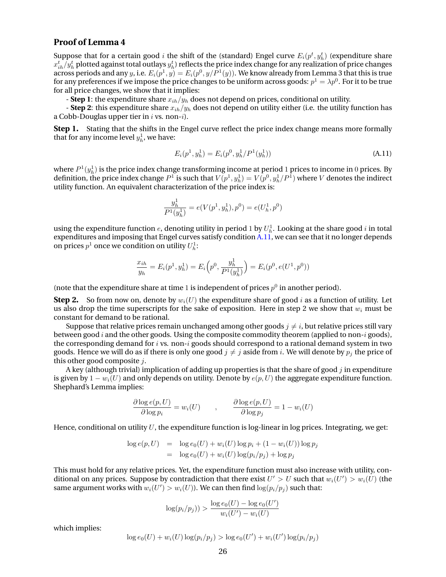#### **Proof of Lemma 4**

Suppose that for a certain good *i* the shift of the (standard) Engel curve  $E_i(p^t, y^t_h)$  (expenditure share  $x_{ih}^t/y_h^t$  plotted against total outlays  $y_h^t$ ) reflects the price index change for any realization of price changes across periods and any  $y$ , i.e.  $E_i(p^1,y)=E_i(p^0,y/P^1(y)).$  We know already from Lemma 3 that this is true for any preferences if we impose the price changes to be uniform across goods:  $p^1 = \lambda p^0.$  For it to be true for all price changes, we show that it implies:

**- Step 1**: the expenditure share  $x_{ih}/y_h$  does not depend on prices, conditional on utility.

- **Step 2**: this expenditure share  $x_{ih}/y_h$  does not depend on utility either (i.e. the utility function has a Cobb-Douglas upper tier in  $i$  vs. non- $i$ ).

**Step 1.** Stating that the shifts in the Engel curve reflect the price index change means more formally that for any income level  $y_h^1$ , we have:

$$
E_i(p^1, y_h^1) = E_i(p^0, y_h^1/P^1(y_h^1))
$$
\n(A.11)

where  $P^1(y^1_h)$  is the price index change transforming income at period  $1$  prices to income in  $0$  prices. By definition, the price index change  $P^1$  is such that  $V(p^1,y^1_h)=V(p^0,y^1_h/P^1)$  where  $V$  denotes the indirect utility function. An equivalent characterization of the price index is:

$$
\frac{y_h^1}{P^1(y_h^1)} = e(V(p^1, y_h^1), p^0) = e(U_h^1, p^0)
$$

using the expenditure function  $e$ , denoting utility in period  $1$  by  $U^1_h.$  Looking at the share good  $i$  in total expenditures and imposing that Engel curves satisfy condition A.11, we can see that it no longer depends on prices  $p^1$  once we condition on utility  $U_h^1$ :

$$
\frac{x_{ih}}{y_h} = E_i(p^1, y_h^1) = E_i\left(p^0, \frac{y_h^1}{P^1(y_h^1)}\right) = E_i(p^0, e(U^1, p^0))
$$

(note that the expenditure share at time 1 is independent of prices  $p^0$  in another period).

**Step 2.** So from now on, denote by  $w_i(U)$  the expenditure share of good i as a function of utility. Let us also drop the time superscripts for the sake of exposition. Here in step 2 we show that  $w_i$  must be constant for demand to be rational.

Suppose that relative prices remain unchanged among other goods  $j \neq i$ , but relative prices still vary between good i and the other goods. Using the composite commodity theorem (applied to non-i goods), the corresponding demand for i vs. non-i goods should correspond to a rational demand system in two goods. Hence we will do as if there is only one good  $j \neq j$  aside from i. We will denote by  $p_j$  the price of this other good composite  $i$ .

A key (although trivial) implication of adding up properties is that the share of good  $j$  in expenditure is given by  $1 - w_i(U)$  and only depends on utility. Denote by  $e(p, U)$  the aggregate expenditure function. Shephard's Lemma implies:

$$
\frac{\partial \log e(p, U)}{\partial \log p_i} = w_i(U) \qquad , \qquad \frac{\partial \log e(p, U)}{\partial \log p_j} = 1 - w_i(U)
$$

Hence, conditional on utility  $U$ , the expenditure function is log-linear in log prices. Integrating, we get:

$$
\log e(p, U) = \log e_0(U) + w_i(U) \log p_i + (1 - w_i(U)) \log p_j
$$
  
= 
$$
\log e_0(U) + w_i(U) \log (p_i/p_j) + \log p_j
$$

This must hold for any relative prices. Yet, the expenditure function must also increase with utility, conditional on any prices. Suppose by contradiction that there exist  $U' > U$  such that  $w_i(U') > w_i(U)$  (the same argument works with  $w_i(U') > w_i(U)$ ). We can then find  $\log(p_i/p_j)$  such that:

$$
\log(p_i/p_j)) > \frac{\log e_0(U) - \log e_0(U')}{w_i(U') - w_i(U)}
$$

which implies:

$$
\log e_0(U) + w_i(U) \log (p_i/p_j) > \log e_0(U') + w_i(U') \log (p_i/p_j)
$$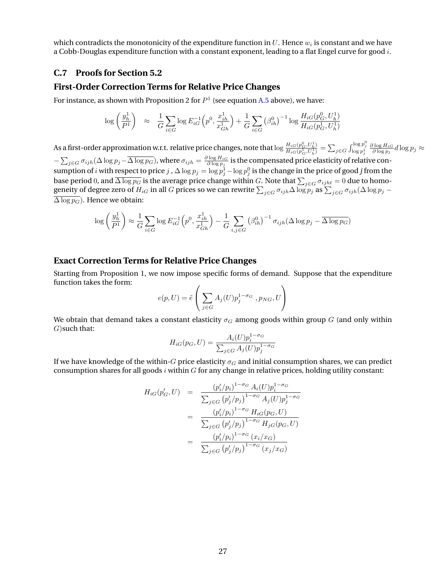which contradicts the monotonicity of the expenditure function in  $U.$  Hence  $w_i$  is constant and we have a Cobb-Douglas expenditure function with a constant exponent, leading to a flat Engel curve for good  $i$ .

#### **C.7 Proofs for Section 5.2**

#### **First-Order Correction Terms for Relative Price Changes**

For instance, as shown with Proposition 2 for  $P<sup>1</sup>$  (see equation [A.5](#page-62-0) above), we have:

$$
\log\left(\frac{y_h^1}{P^1}\right) \;\;\approx\;\;\frac{1}{G}\sum_{i\in G}\log E_{iG}^{-1}\Big(p^0, \frac{x_{ih}^1}{x_{Gh}^1}\Big) + \frac{1}{G}\sum_{i\in G}\left(\beta_{ih}^0\right)^{-1}\log\frac{H_{iG}(p_G^0,U_h^1)}{H_{iG}(p_G^1,U_h^1)}
$$

As a first-order approximation w.r.t. relative price changes, note that  $\log \frac{H_{iG}(p^0_G,U^1_h)}{H_{iG}(p^1_G,U^1_h)} = \sum_{j\in G} \int_{\log p^1_j}^{\log p^0_j}$  $\frac{\partial \log H_{iG}}{\partial \log p_j}d\log p_j\approx$  $-\sum_{j\in G}\sigma_{ijh}(\Delta\log p_j-\overline{\Delta\log p_G})$ , where  $\sigma_{ijh}=\frac{\partial\log H_{iG}}{\partial\log p_j}$  is the compensated price elasticity of relative consumption of  $i$  with respect to price  $j$  ,  $\Delta\log p_j=\log p_j^1-\log p_j^0$  is the change in the price of good  $j$  from the base period 0, and  $\Delta\log p_G$  is the average price change within  $G.$  Note that  $\sum_{j\in G}\sigma_{ijht}=0$  due to homogeneity of degree zero of  $H_{iG}$  in all  $G$  prices so we can rewrite  $\sum_{j\in G}\sigma_{ijh}\Delta\log p_j$  as  $\sum_{j\in G}\sigma_{ijh}(\Delta\log p_j-\Delta\log p_j)$  $\overline{\Delta \log p_G}$ ). Hence we obtain:

$$
\log\left(\frac{y_h^1}{P^1}\right) \approx \frac{1}{G} \sum_{i \in G} \log E_{iG}^{-1}\left(p^0, \frac{x_{ih}^1}{x_{Gh}^1}\right) - \frac{1}{G} \sum_{i,j \in G} \left(\beta_{ih}^0\right)^{-1} \sigma_{ijh}(\Delta \log p_j - \overline{\Delta \log p_G})
$$

#### **Exact Correction Terms for Relative Price Changes**

Starting from Proposition 1, we now impose specific forms of demand. Suppose that the expenditure function takes the form:

$$
e(p, U) = \tilde{e}\left(\sum_{j \in G} A_j(U) p_j^{1-\sigma_G}, p_{NG}, U\right)
$$

We obtain that demand takes a constant elasticity  $\sigma_G$  among goods within group G (and only within  $G$ ) such that:

$$
H_{iG}(p_G, U) = \frac{A_i(U)p_i^{1-\sigma_G}}{\sum_{j \in G} A_j(U)p_j^{1-\sigma_G}}
$$

If we have knowledge of the within-G price elasticity  $\sigma_G$  and initial consumption shares, we can predict consumption shares for all goods  $i$  within  $G$  for any change in relative prices, holding utility constant:

$$
H_{iG}(p'_{G}, U) = \frac{(p'_{i}/p_{i})^{1-\sigma_{G}} A_{i}(U)p_{i}^{1-\sigma_{G}}}{\sum_{j \in G} (p'_{j}/p_{j})^{1-\sigma_{G}} A_{j}(U)p_{j}^{1-\sigma_{G}}}
$$
  

$$
= \frac{(p'_{i}/p_{i})^{1-\sigma_{G}} H_{iG}(p_{G}, U)}{\sum_{j \in G} (p'_{j}/p_{j})^{1-\sigma_{G}} H_{jG}(p_{G}, U)}
$$
  

$$
= \frac{(p'_{i}/p_{i})^{1-\sigma_{G}} (x_{i}/x_{G})}{\sum_{j \in G} (p'_{j}/p_{j})^{1-\sigma_{G}} (x_{j}/x_{G})}
$$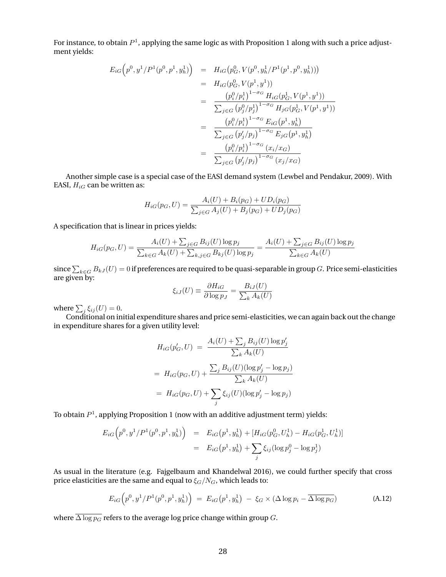For instance, to obtain  $P^1$ , applying the same logic as with Proposition 1 along with such a price adjustment yields:

$$
E_{iG}\left(p^{0},y^{1}/P^{1}(p^{0},p^{1},y_{h}^{1})\right) = H_{iG}\left(p_{G}^{0},V(p^{0},y_{h}^{1}/P^{1}(p^{1},p^{0},y_{h}^{1}))\right)
$$
  
\n
$$
= H_{iG}\left(p_{G}^{0},V(p^{1},y^{1})\right)
$$
  
\n
$$
= \frac{\left(p_{i}^{0}/p_{i}^{1}\right)^{1-\sigma_{G}}H_{iG}\left(p_{G}^{1},V(p^{1},y^{1})\right)}{\sum_{j\in G}\left(p_{j}^{0}/p_{j}^{1}\right)^{1-\sigma_{G}}H_{jG}\left(p_{G}^{1},V(p^{1},y^{1})\right)}
$$
  
\n
$$
= \frac{\left(p_{i}^{0}/p_{i}^{1}\right)^{1-\sigma_{G}}E_{iG}\left(p^{1},y_{h}^{1}\right)}{\sum_{j\in G}\left(p_{j}^{0}/p_{j}\right)^{1-\sigma_{G}}E_{jG}\left(p^{1},y_{h}^{1}\right)}
$$
  
\n
$$
= \frac{\left(p_{i}^{0}/p_{i}^{1}\right)^{1-\sigma_{G}}\left(x_{i}/x_{G}\right)}{\sum_{j\in G}\left(p_{j}^{0}/p_{j}\right)^{1-\sigma_{G}}\left(x_{j}/x_{G}\right)}
$$

Another simple case is a special case of the EASI demand system (Lewbel and Pendakur, 2009). With EASI,  $H_{iG}$  can be written as:

$$
H_{iG}(p_G, U) = \frac{A_i(U) + B_i(p_G) + UD_i(p_G)}{\sum_{j \in G} A_j(U) + B_j(p_G) + UD_j(p_G)}
$$

A specification that is linear in prices yields:

$$
H_{iG}(p_G, U) = \frac{A_i(U) + \sum_{j \in G} B_{ij}(U) \log p_j}{\sum_{k \in G} A_k(U) + \sum_{k,j \in G} B_{kj}(U) \log p_j} = \frac{A_i(U) + \sum_{j \in G} B_{ij}(U) \log p_j}{\sum_{k \in G} A_k(U)}
$$

since  $\sum_{k\in G}B_{kJ}(U)=0$  if preferences are required to be quasi-separable in group  $G.$  Price semi-elasticities are given by:

$$
\xi_{iJ}(U) \equiv \frac{\partial H_{iG}}{\partial \log p_J} = \frac{B_{iJ}(U)}{\sum_k A_k(U)}
$$

where  $\sum_j \xi_{ij}(U) = 0$ .

Conditional on initial expenditure shares and price semi-elasticities, we can again back out the change in expenditure shares for a given utility level:

$$
H_{iG}(p'_{G}, U) = \frac{A_{i}(U) + \sum_{j} B_{ij}(U) \log p'_{j}}{\sum_{k} A_{k}(U)}
$$
  
=  $H_{iG}(p_{G}, U) + \frac{\sum_{j} B_{ij}(U) (\log p'_{j} - \log p_{j})}{\sum_{k} A_{k}(U)}$   
=  $H_{iG}(p_{G}, U) + \sum_{j} \xi_{ij}(U) (\log p'_{j} - \log p_{j})$ 

To obtain  $P^1$ , applying Proposition 1 (now with an additive adjustment term) yields:

$$
E_{iG}\left(p^{0}, y^{1}/P^{1}(p^{0}, p^{1}, y_{h}^{1})\right) = E_{iG}(p^{1}, y_{h}^{1}) + [H_{iG}(p_{G}^{0}, U_{h}^{1}) - H_{iG}(p_{G}^{1}, U_{h}^{1})]
$$
  

$$
= E_{iG}(p^{1}, y_{h}^{1}) + \sum_{j} \xi_{ij} (\log p_{j}^{0} - \log p_{j}^{1})
$$

As usual in the literature (e.g. Fajgelbaum and Khandelwal 2016), we could further specify that cross price elasticities are the same and equal to  $\xi_G/N_G$ , which leads to:

$$
E_{iG}\left(p^{0}, y^{1}/P^{1}(p^{0}, p^{1}, y_{h}^{1})\right) = E_{iG}\left(p^{1}, y_{h}^{1}\right) - \xi_{G} \times (\Delta \log p_{i} - \overline{\Delta \log p_{G}})
$$
(A.12)

where  $\overline{\Delta \log p_G}$  refers to the average log price change within group G.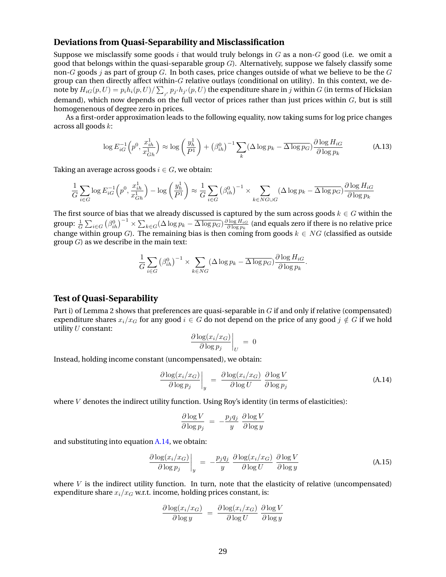#### **Deviations from Quasi-Separability and Misclassification**

Suppose we misclassify some goods  $i$  that would truly belongs in  $G$  as a non- $G$  good (i.e. we omit a good that belongs within the quasi-separable group  $G$ ). Alternatively, suppose we falsely classify some non- $G$  goods  $j$  as part of group  $G$ . In both cases, price changes outside of what we believe to be the  $G$ group can then directly affect within-G relative outlays (conditional on utility). In this context, we denote by  $H_{iG}(p,U)=p_ih_i(p,U)/\sum_{j'}p_{j'}h_{j'}(p,U)$  the expenditure share in  $j$  within  $G$  (in terms of Hicksian demand), which now depends on the full vector of prices rather than just prices within  $G$ , but is still homogenenous of degree zero in prices.

As a first-order approximation leads to the following equality, now taking sums for log price changes across all goods k:

$$
\log E_{iG}^{-1}\left(p^0, \frac{x_{ih}^1}{x_{Gh}^1}\right) \approx \log\left(\frac{y_h^1}{P^1}\right) + \left(\beta_{ih}^0\right)^{-1} \sum_k (\Delta \log p_k - \overline{\Delta \log p_G}) \frac{\partial \log H_{iG}}{\partial \log p_k} \tag{A.13}
$$

Taking an average across goods  $i \in G$ , we obtain:

$$
\frac{1}{G} \sum_{i \in G} \log E_{iG}^{-1} \left( p^0, \frac{x_{ih}^1}{x_{Gh}^1} \right) - \log \left( \frac{y_h^1}{P^1} \right) \approx \frac{1}{G} \sum_{i \in G} \left( \beta_{ih}^0 \right)^{-1} \times \sum_{k \in NG \cup G} (\Delta \log p_k - \overline{\Delta \log p_G}) \frac{\partial \log H_{iG}}{\partial \log p_k}
$$

The first source of bias that we already discussed is captured by the sum across goods  $k \in G$  within the group:  $\frac{1}{G}\sum_{i\in G}\left(\beta_{ih}^{0}\right)^{-1}\times\sum_{k\in G}(\Delta\log p_{k}-\overline{\Delta\log p_{G}})\frac{\partial\log H_{iG}}{\partial\log p_{k}}$  (and equals zero if there is no relative price change within group G). The remaining bias is then coming from goods  $k \in NG$  (classified as outside group  $G$ ) as we describe in the main text:

$$
\frac{1}{G} \sum_{i \in G} \left( \beta_{ih}^0 \right)^{-1} \times \sum_{k \in NG} \left( \Delta \log p_k - \overline{\Delta \log p_G} \right) \frac{\partial \log H_{iG}}{\partial \log p_k}.
$$

#### **Test of Quasi-Separability**

Part i) of Lemma 2 shows that preferences are quasi-separable in  $G$  if and only if relative (compensated) expenditure shares  $x_i/x_G$  for any good  $i \in G$  do not depend on the price of any good  $j \notin G$  if we hold utility  $U$  constant:

$$
\left. \frac{\partial \log(x_i/x_G)}{\partial \log p_j} \right|_U = 0
$$

Instead, holding income constant (uncompensated), we obtain:

$$
\left. \frac{\partial \log(x_i/x_G)}{\partial \log p_j} \right|_y = \left. \frac{\partial \log(x_i/x_G)}{\partial \log U} \right|_y \frac{\partial \log V}{\partial \log p_j} \tag{A.14}
$$

where  $V$  denotes the indirect utility function. Using Roy's identity (in terms of elasticities):

$$
\frac{\partial \log V}{\partial \log p_j} = -\frac{p_j q_j}{y} \frac{\partial \log V}{\partial \log y}
$$

and substituting into equation A.14, we obtain:

$$
\left. \frac{\partial \log(x_i/x_G)}{\partial \log p_j} \right|_y = -\frac{p_j q_j}{y} \frac{\partial \log(x_i/x_G)}{\partial \log U} \frac{\partial \log V}{\partial \log y}
$$
 (A.15)

where  $V$  is the indirect utility function. In turn, note that the elasticity of relative (uncompensated) expenditure share  $x_i/x_G$  w.r.t. income, holding prices constant, is:

$$
\frac{\partial \log(x_i/x_G)}{\partial \log y} = \frac{\partial \log(x_i/x_G)}{\partial \log U} \frac{\partial \log V}{\partial \log y}
$$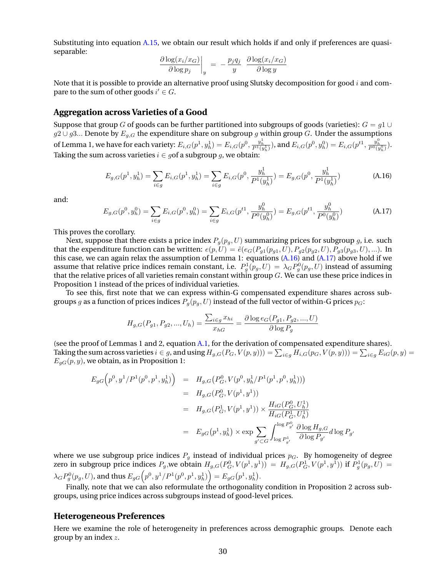Substituting into equation [A.15,](#page-71-0) we obtain our result which holds if and only if preferences are quasiseparable:

$$
\left. \frac{\partial \log(x_i/x_G)}{\partial \log p_j} \right|_y = -\frac{p_j q_j}{y} \left. \frac{\partial \log(x_i/x_G)}{\partial \log y} \right|
$$

Note that it is possible to provide an alternative proof using Slutsky decomposition for good  $i$  and compare to the sum of other goods  $i' \in G$ .

## **Aggregation across Varieties of a Good**

Suppose that group G of goods can be further partitioned into subgroups of goods (varieties):  $G = q1 \cup$  $g2 \cup g3...$  Denote by  $E_{g,G}$  the expenditure share on subgroup  $g$  within group  $G.$  Under the assumptions of Lemma 1, we have for each variety:  $E_{i,G}(p^1,y^1_h) = E_{i,G}(p^0,\frac{y^1_h}{P^1(y^1_h)}),$  and  $E_{i,G}(p^0,y^0_h) = E_{i,G}(p^{t1},\frac{y^0_h}{P^0(y^0_h)}).$ Taking the sum across varieties  $i \in g$  of a subgroup g, we obtain:

$$
E_{g,G}(p^1, y_h^1) = \sum_{i \in g} E_{i,G}(p^1, y_h^1) = \sum_{i \in g} E_{i,G}(p^0, \frac{y_h^1}{P^1(y_h^1)}) = E_{g,G}(p^0, \frac{y_h^1}{P^1(y_h^1)})
$$
(A.16)

and:

$$
E_{g,G}(p^0, y_h^0) = \sum_{i \in g} E_{i,G}(p^0, y_h^0) = \sum_{i \in g} E_{i,G}(p^{t1}, \frac{y_h^0}{P^0(y_h^0)}) = E_{g,G}(p^{t1}, \frac{y_h^0}{P^0(y_h^0)})
$$
(A.17)

This proves the corollary.

Next, suppose that there exists a price index  $P_q(p_q, U)$  summarizing prices for subgroup g, i.e. such that the expenditure function can be written:  $e(p, U) = \tilde{e}(e_G(P_{g1}(p_{g1}, U), P_{g2}(p_{g2}, U), P_{g3}(p_{g3}, U), ...).$  In this case, we can again relax the assumption of Lemma 1: equations (A.16) and (A.17) above hold if we assume that relative price indices remain constant, i.e.  $P_g^1(p_g, U) = \lambda_G P_g^0(p_g, U)$  instead of assuming that the relative prices of all varieties remain constant within group  $G$ . We can use these price indices in Proposition 1 instead of the prices of individual varieties.

To see this, first note that we can express within-G compensated expenditure shares across subgroups g as a function of prices indices  $P_q(p_q, U)$  instead of the full vector of within-G prices  $p_G$ :

$$
H_{g,G}(P_{g1}, P_{g2},..., U_h) = \frac{\sum_{i \in g} x_{hi}}{x_{hG}} = \frac{\partial \log e_G(P_{g1}, P_{g2},..., U)}{\partial \log P_g}
$$

(see the proof of Lemmas 1 and 2, equation [A.1,](#page-59-0) for the derivation of compensated expenditure shares). Taking the sum across varieties  $i\in g$ , and using  $H_{g,G}(P_G,V(p,y))) = \sum_{i\in g} H_{i,G}(p_G,V(p,y))) = \sum_{i\in g} E_{iG}(p,y) =$  $E_{gG}(p, y)$ , we obtain, as in Proposition 1:

$$
E_{gG}\left(p^{0},y^{1}/P^{1}(p^{0},p^{1},y_{h}^{1})\right) = H_{g,G}\left(P_{G}^{0},V(p^{0},y_{h}^{1}/P^{1}(p^{1},p^{0},y_{h}^{1}))\right)
$$
  
\n
$$
= H_{g,G}\left(P_{G}^{0},V(p^{1},y^{1})\right)
$$
  
\n
$$
= H_{g,G}\left(P_{G}^{1},V(p^{1},y^{1})\right) \times \frac{H_{iG}\left(P_{G}^{0},U_{h}^{1}\right)}{H_{iG}\left(P_{G}^{1},U_{h}^{1}\right)}
$$
  
\n
$$
= E_{gG}\left(p^{1},y_{h}^{1}\right) \times \exp \sum_{g' \subset G} \int_{\log P_{g'}^{1}}^{\log P_{g'}} \frac{\partial \log H_{g,G}}{\partial \log P_{g'}} d\log P_{g'}
$$

where we use subgroup price indices  $P<sub>g</sub>$  instead of individual prices  $p<sub>G</sub>$ . By homogeneity of degree zero in subgroup price indices  $P_g$ , we obtain  $H_{g,G}(P_G^0, V(p^1, y^1)) = H_{g,G}(P_G^1, V(p^1, y^1))$  if  $P_g^1(p_g, U) =$  $\lambda_G P_g^0(p_g, U)$ , and thus  $E_{gG}\Big(p^0, y^1/P^1(p^0, p^1, y^1_h)\Big) = E_{gG}\big(p^1, y^1_h\big).$ 

Finally, note that we can also reformulate the orthogonality condition in Proposition 2 across subgroups, using price indices across subgroups instead of good-level prices.

## **Heterogeneous Preferences**

Here we examine the role of heterogeneity in preferences across demographic groups. Denote each group by an index z.